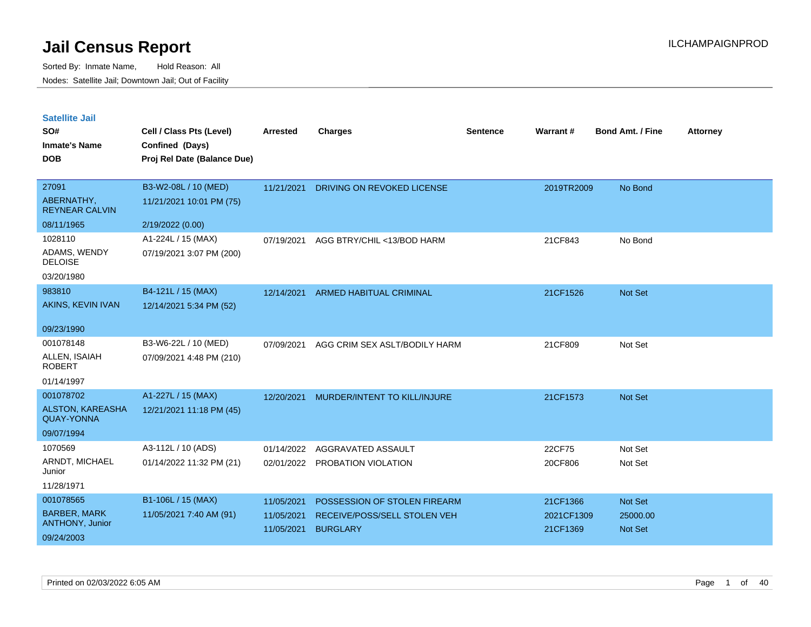| <b>Satellite Jail</b> |  |
|-----------------------|--|
|                       |  |

| SO#<br><b>Inmate's Name</b><br><b>DOB</b>    | Cell / Class Pts (Level)<br>Confined (Days)<br>Proj Rel Date (Balance Due) | Arrested   | <b>Charges</b>                 | <b>Sentence</b> | Warrant#   | <b>Bond Amt. / Fine</b> | <b>Attorney</b> |
|----------------------------------------------|----------------------------------------------------------------------------|------------|--------------------------------|-----------------|------------|-------------------------|-----------------|
| 27091                                        | B3-W2-08L / 10 (MED)                                                       | 11/21/2021 | DRIVING ON REVOKED LICENSE     |                 | 2019TR2009 | No Bond                 |                 |
| ABERNATHY,<br><b>REYNEAR CALVIN</b>          | 11/21/2021 10:01 PM (75)                                                   |            |                                |                 |            |                         |                 |
| 08/11/1965                                   | 2/19/2022 (0.00)                                                           |            |                                |                 |            |                         |                 |
| 1028110                                      | A1-224L / 15 (MAX)                                                         | 07/19/2021 | AGG BTRY/CHIL <13/BOD HARM     |                 | 21CF843    | No Bond                 |                 |
| ADAMS, WENDY<br><b>DELOISE</b>               | 07/19/2021 3:07 PM (200)                                                   |            |                                |                 |            |                         |                 |
| 03/20/1980                                   |                                                                            |            |                                |                 |            |                         |                 |
| 983810                                       | B4-121L / 15 (MAX)                                                         | 12/14/2021 | <b>ARMED HABITUAL CRIMINAL</b> |                 | 21CF1526   | Not Set                 |                 |
| AKINS, KEVIN IVAN                            | 12/14/2021 5:34 PM (52)                                                    |            |                                |                 |            |                         |                 |
| 09/23/1990                                   |                                                                            |            |                                |                 |            |                         |                 |
| 001078148                                    | B3-W6-22L / 10 (MED)                                                       | 07/09/2021 | AGG CRIM SEX ASLT/BODILY HARM  |                 | 21CF809    | Not Set                 |                 |
| ALLEN, ISAIAH<br><b>ROBERT</b>               | 07/09/2021 4:48 PM (210)                                                   |            |                                |                 |            |                         |                 |
| 01/14/1997                                   |                                                                            |            |                                |                 |            |                         |                 |
| 001078702                                    | A1-227L / 15 (MAX)                                                         | 12/20/2021 | MURDER/INTENT TO KILL/INJURE   |                 | 21CF1573   | <b>Not Set</b>          |                 |
| <b>ALSTON, KAREASHA</b><br><b>QUAY-YONNA</b> | 12/21/2021 11:18 PM (45)                                                   |            |                                |                 |            |                         |                 |
| 09/07/1994                                   |                                                                            |            |                                |                 |            |                         |                 |
| 1070569                                      | A3-112L / 10 (ADS)                                                         | 01/14/2022 | AGGRAVATED ASSAULT             |                 | 22CF75     | Not Set                 |                 |
| ARNDT, MICHAEL<br>Junior                     | 01/14/2022 11:32 PM (21)                                                   |            | 02/01/2022 PROBATION VIOLATION |                 | 20CF806    | Not Set                 |                 |
| 11/28/1971                                   |                                                                            |            |                                |                 |            |                         |                 |
| 001078565                                    | B1-106L / 15 (MAX)                                                         | 11/05/2021 | POSSESSION OF STOLEN FIREARM   |                 | 21CF1366   | Not Set                 |                 |
| <b>BARBER, MARK</b>                          | 11/05/2021 7:40 AM (91)                                                    | 11/05/2021 | RECEIVE/POSS/SELL STOLEN VEH   |                 | 2021CF1309 | 25000.00                |                 |
| ANTHONY, Junior<br>09/24/2003                |                                                                            | 11/05/2021 | <b>BURGLARY</b>                |                 | 21CF1369   | <b>Not Set</b>          |                 |
|                                              |                                                                            |            |                                |                 |            |                         |                 |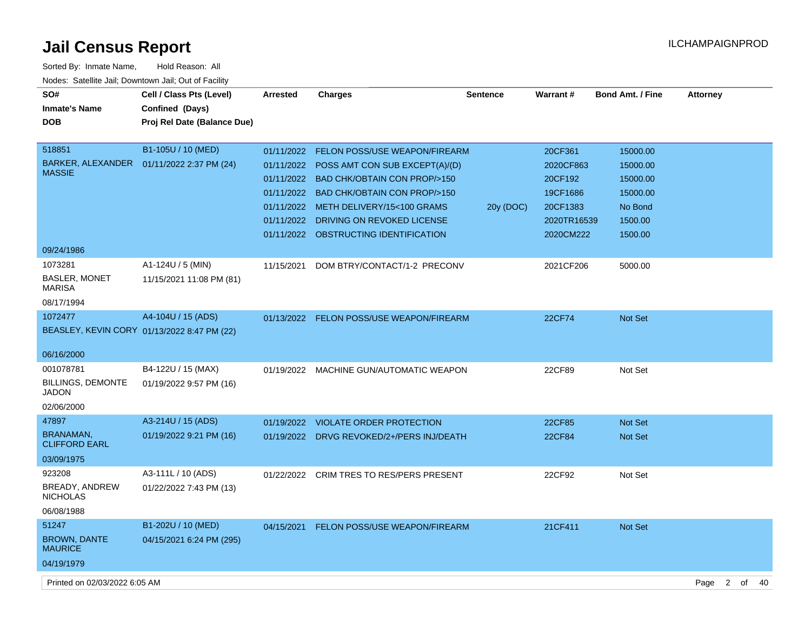| Sorted By: Inmate Name,                               | Hold Reason: All                            |                 |                                           |                 |                 |                         |                 |
|-------------------------------------------------------|---------------------------------------------|-----------------|-------------------------------------------|-----------------|-----------------|-------------------------|-----------------|
| Nodes: Satellite Jail; Downtown Jail; Out of Facility |                                             |                 |                                           |                 |                 |                         |                 |
| SO#                                                   | Cell / Class Pts (Level)                    | <b>Arrested</b> | <b>Charges</b>                            | <b>Sentence</b> | <b>Warrant#</b> | <b>Bond Amt. / Fine</b> | <b>Attorney</b> |
| <b>Inmate's Name</b>                                  | Confined (Days)                             |                 |                                           |                 |                 |                         |                 |
| <b>DOB</b>                                            | Proj Rel Date (Balance Due)                 |                 |                                           |                 |                 |                         |                 |
|                                                       |                                             |                 |                                           |                 |                 |                         |                 |
| 518851                                                | B1-105U / 10 (MED)                          | 01/11/2022      | <b>FELON POSS/USE WEAPON/FIREARM</b>      |                 | 20CF361         | 15000.00                |                 |
|                                                       | BARKER, ALEXANDER  01/11/2022 2:37 PM (24)  | 01/11/2022      | POSS AMT CON SUB EXCEPT(A)/(D)            |                 | 2020CF863       | 15000.00                |                 |
| <b>MASSIE</b>                                         |                                             | 01/11/2022      | <b>BAD CHK/OBTAIN CON PROP/&gt;150</b>    |                 | 20CF192         | 15000.00                |                 |
|                                                       |                                             | 01/11/2022      | <b>BAD CHK/OBTAIN CON PROP/&gt;150</b>    |                 | 19CF1686        | 15000.00                |                 |
|                                                       |                                             |                 | 01/11/2022 METH DELIVERY/15<100 GRAMS     | 20y (DOC)       | 20CF1383        | No Bond                 |                 |
|                                                       |                                             |                 | 01/11/2022 DRIVING ON REVOKED LICENSE     |                 | 2020TR16539     | 1500.00                 |                 |
|                                                       |                                             |                 | 01/11/2022 OBSTRUCTING IDENTIFICATION     |                 | 2020CM222       | 1500.00                 |                 |
| 09/24/1986                                            |                                             |                 |                                           |                 |                 |                         |                 |
| 1073281                                               | A1-124U / 5 (MIN)                           | 11/15/2021      | DOM BTRY/CONTACT/1-2 PRECONV              |                 | 2021CF206       | 5000.00                 |                 |
| <b>BASLER, MONET</b><br>MARISA                        | 11/15/2021 11:08 PM (81)                    |                 |                                           |                 |                 |                         |                 |
| 08/17/1994                                            |                                             |                 |                                           |                 |                 |                         |                 |
| 1072477                                               | A4-104U / 15 (ADS)                          |                 | 01/13/2022 FELON POSS/USE WEAPON/FIREARM  |                 | <b>22CF74</b>   | <b>Not Set</b>          |                 |
|                                                       | BEASLEY, KEVIN CORY 01/13/2022 8:47 PM (22) |                 |                                           |                 |                 |                         |                 |
|                                                       |                                             |                 |                                           |                 |                 |                         |                 |
| 06/16/2000                                            |                                             |                 |                                           |                 |                 |                         |                 |
| 001078781                                             | B4-122U / 15 (MAX)                          | 01/19/2022      | MACHINE GUN/AUTOMATIC WEAPON              |                 | 22CF89          | Not Set                 |                 |
| <b>BILLINGS, DEMONTE</b><br><b>JADON</b>              | 01/19/2022 9:57 PM (16)                     |                 |                                           |                 |                 |                         |                 |
| 02/06/2000                                            |                                             |                 |                                           |                 |                 |                         |                 |
| 47897                                                 | A3-214U / 15 (ADS)                          | 01/19/2022      | <b>VIOLATE ORDER PROTECTION</b>           |                 | 22CF85          | <b>Not Set</b>          |                 |
| <b>BRANAMAN,</b>                                      | 01/19/2022 9:21 PM (16)                     |                 | 01/19/2022 DRVG REVOKED/2+/PERS INJ/DEATH |                 | 22CF84          | <b>Not Set</b>          |                 |
| <b>CLIFFORD EARL</b>                                  |                                             |                 |                                           |                 |                 |                         |                 |
| 03/09/1975                                            |                                             |                 |                                           |                 |                 |                         |                 |
| 923208                                                | A3-111L / 10 (ADS)                          | 01/22/2022      | <b>CRIM TRES TO RES/PERS PRESENT</b>      |                 | 22CF92          | Not Set                 |                 |
| BREADY, ANDREW<br><b>NICHOLAS</b>                     | 01/22/2022 7:43 PM (13)                     |                 |                                           |                 |                 |                         |                 |
| 06/08/1988                                            |                                             |                 |                                           |                 |                 |                         |                 |
| 51247                                                 | B1-202U / 10 (MED)                          | 04/15/2021      | FELON POSS/USE WEAPON/FIREARM             |                 | 21CF411         | Not Set                 |                 |
| <b>BROWN, DANTE</b><br><b>MAURICE</b>                 | 04/15/2021 6:24 PM (295)                    |                 |                                           |                 |                 |                         |                 |
| 04/19/1979                                            |                                             |                 |                                           |                 |                 |                         |                 |
|                                                       |                                             |                 |                                           |                 |                 |                         |                 |

Printed on 02/03/2022 6:05 AM Page 2 of 40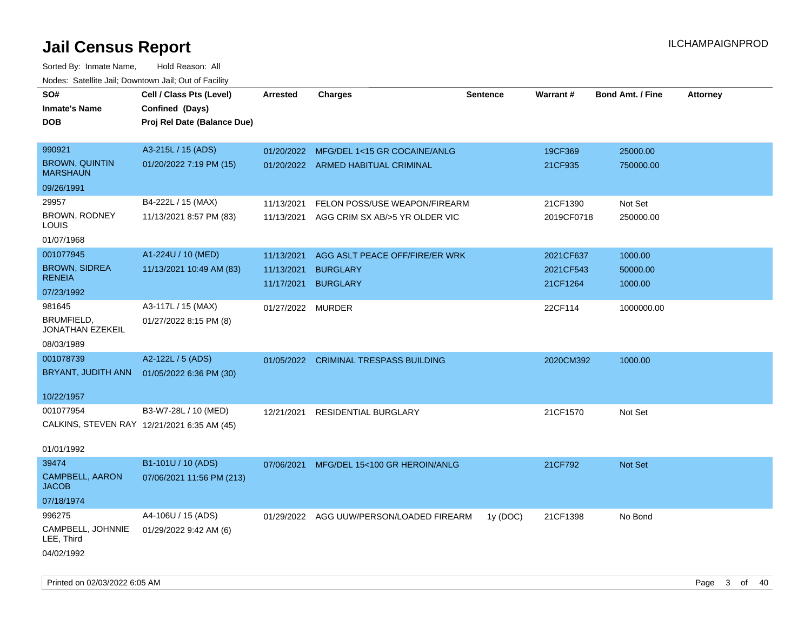| SO#                                         | Cell / Class Pts (Level)    | Arrested          | <b>Charges</b>                           | <b>Sentence</b> | Warrant#   | <b>Bond Amt. / Fine</b> | <b>Attorney</b> |
|---------------------------------------------|-----------------------------|-------------------|------------------------------------------|-----------------|------------|-------------------------|-----------------|
| <b>Inmate's Name</b>                        | Confined (Days)             |                   |                                          |                 |            |                         |                 |
| <b>DOB</b>                                  | Proj Rel Date (Balance Due) |                   |                                          |                 |            |                         |                 |
|                                             |                             |                   |                                          |                 |            |                         |                 |
| 990921                                      | A3-215L / 15 (ADS)          | 01/20/2022        | MFG/DEL 1<15 GR COCAINE/ANLG             |                 | 19CF369    | 25000.00                |                 |
| <b>BROWN, QUINTIN</b><br><b>MARSHAUN</b>    | 01/20/2022 7:19 PM (15)     |                   | 01/20/2022 ARMED HABITUAL CRIMINAL       |                 | 21CF935    | 750000.00               |                 |
| 09/26/1991                                  |                             |                   |                                          |                 |            |                         |                 |
| 29957                                       | B4-222L / 15 (MAX)          | 11/13/2021        | FELON POSS/USE WEAPON/FIREARM            |                 | 21CF1390   | Not Set                 |                 |
| BROWN, RODNEY<br>LOUIS                      | 11/13/2021 8:57 PM (83)     | 11/13/2021        | AGG CRIM SX AB/>5 YR OLDER VIC           |                 | 2019CF0718 | 250000.00               |                 |
| 01/07/1968                                  |                             |                   |                                          |                 |            |                         |                 |
| 001077945                                   | A1-224U / 10 (MED)          | 11/13/2021        | AGG ASLT PEACE OFF/FIRE/ER WRK           |                 | 2021CF637  | 1000.00                 |                 |
| <b>BROWN, SIDREA</b>                        | 11/13/2021 10:49 AM (83)    | 11/13/2021        | <b>BURGLARY</b>                          |                 | 2021CF543  | 50000.00                |                 |
| <b>RENEIA</b>                               |                             | 11/17/2021        | <b>BURGLARY</b>                          |                 | 21CF1264   | 1000.00                 |                 |
| 07/23/1992                                  |                             |                   |                                          |                 |            |                         |                 |
| 981645                                      | A3-117L / 15 (MAX)          | 01/27/2022 MURDER |                                          |                 | 22CF114    | 1000000.00              |                 |
| BRUMFIELD,<br>JONATHAN EZEKEIL              | 01/27/2022 8:15 PM (8)      |                   |                                          |                 |            |                         |                 |
| 08/03/1989                                  |                             |                   |                                          |                 |            |                         |                 |
| 001078739                                   | A2-122L / 5 (ADS)           |                   | 01/05/2022 CRIMINAL TRESPASS BUILDING    |                 | 2020CM392  | 1000.00                 |                 |
| BRYANT, JUDITH ANN                          | 01/05/2022 6:36 PM (30)     |                   |                                          |                 |            |                         |                 |
|                                             |                             |                   |                                          |                 |            |                         |                 |
| 10/22/1957                                  |                             |                   |                                          |                 |            |                         |                 |
| 001077954                                   | B3-W7-28L / 10 (MED)        | 12/21/2021        | <b>RESIDENTIAL BURGLARY</b>              |                 | 21CF1570   | Not Set                 |                 |
| CALKINS, STEVEN RAY 12/21/2021 6:35 AM (45) |                             |                   |                                          |                 |            |                         |                 |
|                                             |                             |                   |                                          |                 |            |                         |                 |
| 01/01/1992                                  |                             |                   |                                          |                 |            |                         |                 |
| 39474                                       | B1-101U / 10 (ADS)          | 07/06/2021        | MFG/DEL 15<100 GR HEROIN/ANLG            |                 | 21CF792    | <b>Not Set</b>          |                 |
| <b>CAMPBELL, AARON</b><br><b>JACOB</b>      | 07/06/2021 11:56 PM (213)   |                   |                                          |                 |            |                         |                 |
| 07/18/1974                                  |                             |                   |                                          |                 |            |                         |                 |
| 996275                                      | A4-106U / 15 (ADS)          |                   | 01/29/2022 AGG UUW/PERSON/LOADED FIREARM | 1y (DOC)        | 21CF1398   | No Bond                 |                 |
| CAMPBELL, JOHNNIE<br>LEE, Third             | 01/29/2022 9:42 AM (6)      |                   |                                          |                 |            |                         |                 |
| 04/02/1992                                  |                             |                   |                                          |                 |            |                         |                 |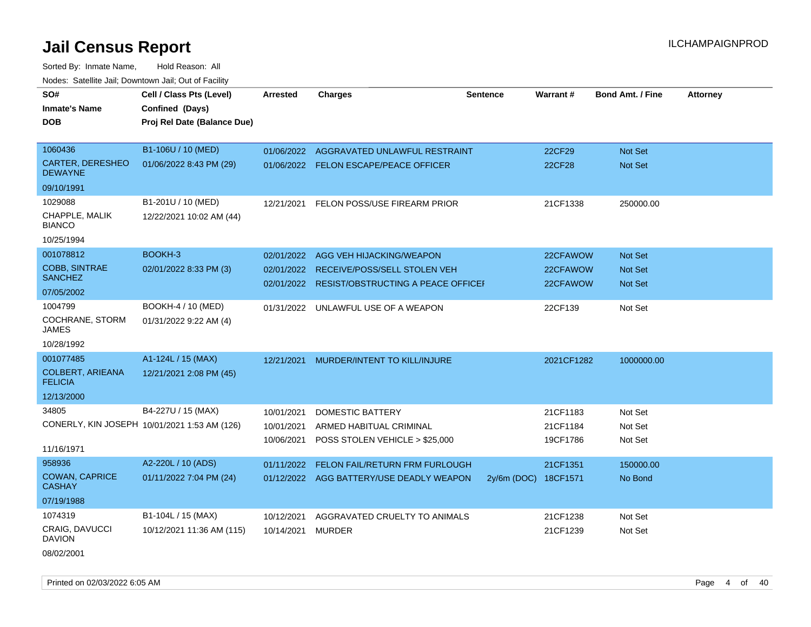Sorted By: Inmate Name, Hold Reason: All

| Nodes: Satellite Jail; Downtown Jail; Out of Facility |                                              |                 |                                               |                 |               |                         |                 |
|-------------------------------------------------------|----------------------------------------------|-----------------|-----------------------------------------------|-----------------|---------------|-------------------------|-----------------|
| SO#                                                   | Cell / Class Pts (Level)                     | <b>Arrested</b> | Charges                                       | <b>Sentence</b> | Warrant#      | <b>Bond Amt. / Fine</b> | <b>Attorney</b> |
| <b>Inmate's Name</b>                                  | Confined (Days)                              |                 |                                               |                 |               |                         |                 |
| <b>DOB</b>                                            | Proj Rel Date (Balance Due)                  |                 |                                               |                 |               |                         |                 |
|                                                       |                                              |                 |                                               |                 |               |                         |                 |
| 1060436                                               | B1-106U / 10 (MED)                           |                 | 01/06/2022 AGGRAVATED UNLAWFUL RESTRAINT      |                 | 22CF29        | Not Set                 |                 |
| <b>CARTER, DERESHEO</b><br><b>DEWAYNE</b>             | 01/06/2022 8:43 PM (29)                      |                 | 01/06/2022 FELON ESCAPE/PEACE OFFICER         |                 | <b>22CF28</b> | Not Set                 |                 |
| 09/10/1991                                            |                                              |                 |                                               |                 |               |                         |                 |
| 1029088                                               | B1-201U / 10 (MED)                           |                 | 12/21/2021 FELON POSS/USE FIREARM PRIOR       |                 | 21CF1338      | 250000.00               |                 |
| CHAPPLE, MALIK<br><b>BIANCO</b>                       | 12/22/2021 10:02 AM (44)                     |                 |                                               |                 |               |                         |                 |
| 10/25/1994                                            |                                              |                 |                                               |                 |               |                         |                 |
| 001078812                                             | BOOKH-3                                      | 02/01/2022      | AGG VEH HIJACKING/WEAPON                      |                 | 22CFAWOW      | Not Set                 |                 |
| COBB, SINTRAE                                         | 02/01/2022 8:33 PM (3)                       | 02/01/2022      | RECEIVE/POSS/SELL STOLEN VEH                  |                 | 22CFAWOW      | <b>Not Set</b>          |                 |
| <b>SANCHEZ</b>                                        |                                              |                 | 02/01/2022 RESIST/OBSTRUCTING A PEACE OFFICEL |                 | 22CFAWOW      | Not Set                 |                 |
| 07/05/2002                                            |                                              |                 |                                               |                 |               |                         |                 |
| 1004799                                               | BOOKH-4 / 10 (MED)                           | 01/31/2022      | UNLAWFUL USE OF A WEAPON                      |                 | 22CF139       | Not Set                 |                 |
| COCHRANE, STORM<br><b>JAMES</b>                       | 01/31/2022 9:22 AM (4)                       |                 |                                               |                 |               |                         |                 |
| 10/28/1992                                            |                                              |                 |                                               |                 |               |                         |                 |
| 001077485                                             | A1-124L / 15 (MAX)                           | 12/21/2021      | MURDER/INTENT TO KILL/INJURE                  |                 | 2021CF1282    | 1000000.00              |                 |
| <b>COLBERT, ARIEANA</b><br><b>FELICIA</b>             | 12/21/2021 2:08 PM (45)                      |                 |                                               |                 |               |                         |                 |
| 12/13/2000                                            |                                              |                 |                                               |                 |               |                         |                 |
| 34805                                                 | B4-227U / 15 (MAX)                           | 10/01/2021      | DOMESTIC BATTERY                              |                 | 21CF1183      | Not Set                 |                 |
|                                                       | CONERLY, KIN JOSEPH 10/01/2021 1:53 AM (126) | 10/01/2021      | ARMED HABITUAL CRIMINAL                       |                 | 21CF1184      | Not Set                 |                 |
|                                                       |                                              | 10/06/2021      | POSS STOLEN VEHICLE > \$25,000                |                 | 19CF1786      | Not Set                 |                 |
| 11/16/1971                                            |                                              |                 |                                               |                 |               |                         |                 |
| 958936                                                | A2-220L / 10 (ADS)                           | 01/11/2022      | FELON FAIL/RETURN FRM FURLOUGH                |                 | 21CF1351      | 150000.00               |                 |
| <b>COWAN, CAPRICE</b><br><b>CASHAY</b>                | 01/11/2022 7:04 PM (24)                      |                 | 01/12/2022 AGG BATTERY/USE DEADLY WEAPON      | $2y/6m$ (DOC)   | 18CF1571      | No Bond                 |                 |
| 07/19/1988                                            |                                              |                 |                                               |                 |               |                         |                 |
| 1074319                                               | B1-104L / 15 (MAX)                           | 10/12/2021      | AGGRAVATED CRUELTY TO ANIMALS                 |                 | 21CF1238      | Not Set                 |                 |
| CRAIG, DAVUCCI<br><b>DAVION</b>                       | 10/12/2021 11:36 AM (115)                    | 10/14/2021      | <b>MURDER</b>                                 |                 | 21CF1239      | Not Set                 |                 |
|                                                       |                                              |                 |                                               |                 |               |                         |                 |

08/02/2001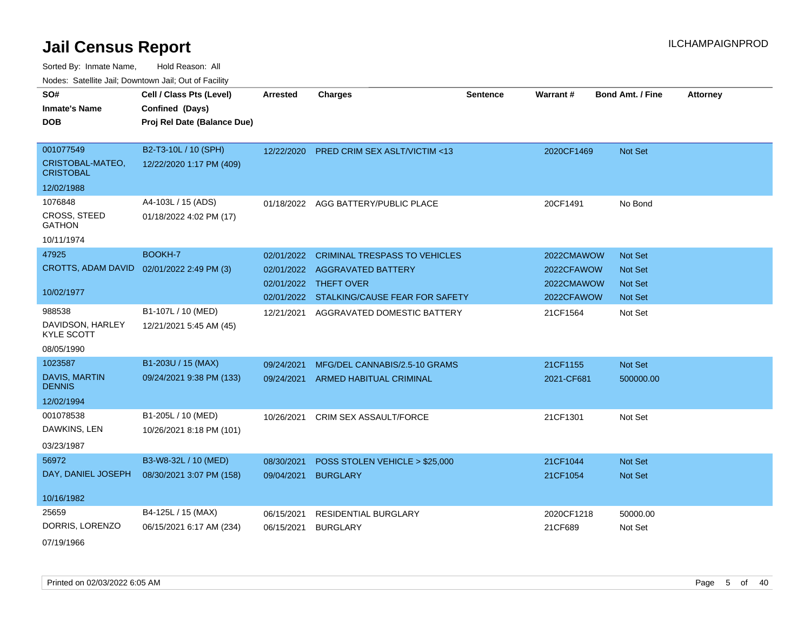Sorted By: Inmate Name, Hold Reason: All Nodes: Satellite Jail; Downtown Jail; Out of Facility

| SO#<br><b>Inmate's Name</b><br><b>DOB</b> | Cell / Class Pts (Level)<br>Confined (Days)<br>Proj Rel Date (Balance Due) | <b>Arrested</b> | <b>Charges</b>                            | <b>Sentence</b> | Warrant #  | <b>Bond Amt. / Fine</b> | <b>Attorney</b> |
|-------------------------------------------|----------------------------------------------------------------------------|-----------------|-------------------------------------------|-----------------|------------|-------------------------|-----------------|
| 001077549<br>CRISTOBAL-MATEO,             | B2-T3-10L / 10 (SPH)                                                       |                 | 12/22/2020 PRED CRIM SEX ASLT/VICTIM <13  |                 | 2020CF1469 | Not Set                 |                 |
| <b>CRISTOBAL</b>                          | 12/22/2020 1:17 PM (409)                                                   |                 |                                           |                 |            |                         |                 |
| 12/02/1988                                |                                                                            |                 |                                           |                 |            |                         |                 |
| 1076848                                   | A4-103L / 15 (ADS)                                                         | 01/18/2022      | AGG BATTERY/PUBLIC PLACE                  |                 | 20CF1491   | No Bond                 |                 |
| <b>CROSS, STEED</b><br><b>GATHON</b>      | 01/18/2022 4:02 PM (17)                                                    |                 |                                           |                 |            |                         |                 |
| 10/11/1974                                |                                                                            |                 |                                           |                 |            |                         |                 |
| 47925                                     | BOOKH-7                                                                    | 02/01/2022      | <b>CRIMINAL TRESPASS TO VEHICLES</b>      |                 | 2022CMAWOW | Not Set                 |                 |
| CROTTS, ADAM DAVID                        | 02/01/2022 2:49 PM (3)                                                     | 02/01/2022      | AGGRAVATED BATTERY                        |                 | 2022CFAWOW | <b>Not Set</b>          |                 |
|                                           |                                                                            | 02/01/2022      | THEFT OVER                                |                 | 2022CMAWOW | <b>Not Set</b>          |                 |
| 10/02/1977                                |                                                                            |                 | 02/01/2022 STALKING/CAUSE FEAR FOR SAFETY |                 | 2022CFAWOW | <b>Not Set</b>          |                 |
| 988538                                    | B1-107L / 10 (MED)                                                         | 12/21/2021      | AGGRAVATED DOMESTIC BATTERY               |                 | 21CF1564   | Not Set                 |                 |
| DAVIDSON, HARLEY<br><b>KYLE SCOTT</b>     | 12/21/2021 5:45 AM (45)                                                    |                 |                                           |                 |            |                         |                 |
| 08/05/1990                                |                                                                            |                 |                                           |                 |            |                         |                 |
| 1023587                                   | B1-203U / 15 (MAX)                                                         | 09/24/2021      | MFG/DEL CANNABIS/2.5-10 GRAMS             |                 | 21CF1155   | Not Set                 |                 |
| DAVIS, MARTIN<br><b>DENNIS</b>            | 09/24/2021 9:38 PM (133)                                                   | 09/24/2021      | <b>ARMED HABITUAL CRIMINAL</b>            |                 | 2021-CF681 | 500000.00               |                 |
| 12/02/1994                                |                                                                            |                 |                                           |                 |            |                         |                 |
| 001078538                                 | B1-205L / 10 (MED)                                                         | 10/26/2021      | CRIM SEX ASSAULT/FORCE                    |                 | 21CF1301   | Not Set                 |                 |
| DAWKINS, LEN                              | 10/26/2021 8:18 PM (101)                                                   |                 |                                           |                 |            |                         |                 |
| 03/23/1987                                |                                                                            |                 |                                           |                 |            |                         |                 |
| 56972                                     | B3-W8-32L / 10 (MED)                                                       | 08/30/2021      | POSS STOLEN VEHICLE > \$25,000            |                 | 21CF1044   | Not Set                 |                 |
| DAY, DANIEL JOSEPH                        | 08/30/2021 3:07 PM (158)                                                   | 09/04/2021      | <b>BURGLARY</b>                           |                 | 21CF1054   | Not Set                 |                 |
| 10/16/1982                                |                                                                            |                 |                                           |                 |            |                         |                 |
| 25659                                     | B4-125L / 15 (MAX)                                                         | 06/15/2021      | RESIDENTIAL BURGLARY                      |                 | 2020CF1218 | 50000.00                |                 |
| DORRIS, LORENZO                           | 06/15/2021 6:17 AM (234)                                                   | 06/15/2021      | <b>BURGLARY</b>                           |                 | 21CF689    | Not Set                 |                 |
|                                           |                                                                            |                 |                                           |                 |            |                         |                 |

07/19/1966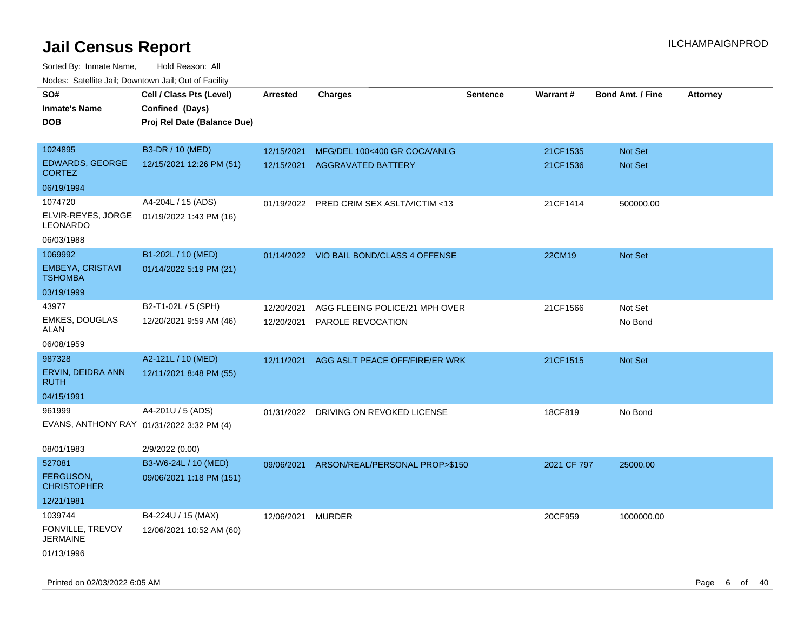| roaco. Catolino dall, Downtown dall, Out of Fability |                             |                 |                                          |                 |             |                         |                 |
|------------------------------------------------------|-----------------------------|-----------------|------------------------------------------|-----------------|-------------|-------------------------|-----------------|
| SO#                                                  | Cell / Class Pts (Level)    | <b>Arrested</b> | <b>Charges</b>                           | <b>Sentence</b> | Warrant#    | <b>Bond Amt. / Fine</b> | <b>Attorney</b> |
| <b>Inmate's Name</b>                                 | Confined (Days)             |                 |                                          |                 |             |                         |                 |
| <b>DOB</b>                                           | Proj Rel Date (Balance Due) |                 |                                          |                 |             |                         |                 |
|                                                      |                             |                 |                                          |                 |             |                         |                 |
| 1024895                                              | B3-DR / 10 (MED)            | 12/15/2021      | MFG/DEL 100<400 GR COCA/ANLG             |                 | 21CF1535    | Not Set                 |                 |
| EDWARDS, GEORGE<br><b>CORTEZ</b>                     | 12/15/2021 12:26 PM (51)    | 12/15/2021      | <b>AGGRAVATED BATTERY</b>                |                 | 21CF1536    | Not Set                 |                 |
| 06/19/1994                                           |                             |                 |                                          |                 |             |                         |                 |
| 1074720                                              | A4-204L / 15 (ADS)          | 01/19/2022      | PRED CRIM SEX ASLT/VICTIM <13            |                 | 21CF1414    | 500000.00               |                 |
| ELVIR-REYES, JORGE<br>LEONARDO                       | 01/19/2022 1:43 PM (16)     |                 |                                          |                 |             |                         |                 |
| 06/03/1988                                           |                             |                 |                                          |                 |             |                         |                 |
| 1069992                                              | B1-202L / 10 (MED)          |                 | 01/14/2022 VIO BAIL BOND/CLASS 4 OFFENSE |                 | 22CM19      | Not Set                 |                 |
| EMBEYA, CRISTAVI<br><b>TSHOMBA</b>                   | 01/14/2022 5:19 PM (21)     |                 |                                          |                 |             |                         |                 |
| 03/19/1999                                           |                             |                 |                                          |                 |             |                         |                 |
| 43977                                                | B2-T1-02L / 5 (SPH)         | 12/20/2021      | AGG FLEEING POLICE/21 MPH OVER           |                 | 21CF1566    | Not Set                 |                 |
| <b>EMKES, DOUGLAS</b><br>ALAN                        | 12/20/2021 9:59 AM (46)     | 12/20/2021      | PAROLE REVOCATION                        |                 |             | No Bond                 |                 |
| 06/08/1959                                           |                             |                 |                                          |                 |             |                         |                 |
| 987328                                               | A2-121L / 10 (MED)          | 12/11/2021      | AGG ASLT PEACE OFF/FIRE/ER WRK           |                 | 21CF1515    | <b>Not Set</b>          |                 |
| ERVIN, DEIDRA ANN<br><b>RUTH</b>                     | 12/11/2021 8:48 PM (55)     |                 |                                          |                 |             |                         |                 |
| 04/15/1991                                           |                             |                 |                                          |                 |             |                         |                 |
| 961999                                               | A4-201U / 5 (ADS)           | 01/31/2022      | DRIVING ON REVOKED LICENSE               |                 | 18CF819     | No Bond                 |                 |
| EVANS, ANTHONY RAY 01/31/2022 3:32 PM (4)            |                             |                 |                                          |                 |             |                         |                 |
| 08/01/1983                                           | 2/9/2022 (0.00)             |                 |                                          |                 |             |                         |                 |
| 527081                                               | B3-W6-24L / 10 (MED)        | 09/06/2021      | ARSON/REAL/PERSONAL PROP>\$150           |                 | 2021 CF 797 | 25000.00                |                 |
| <b>FERGUSON,</b><br><b>CHRISTOPHER</b>               | 09/06/2021 1:18 PM (151)    |                 |                                          |                 |             |                         |                 |
| 12/21/1981                                           |                             |                 |                                          |                 |             |                         |                 |
| 1039744                                              | B4-224U / 15 (MAX)          | 12/06/2021      | <b>MURDER</b>                            |                 | 20CF959     | 1000000.00              |                 |
| FONVILLE, TREVOY<br><b>JERMAINE</b>                  | 12/06/2021 10:52 AM (60)    |                 |                                          |                 |             |                         |                 |
| 01/13/1996                                           |                             |                 |                                          |                 |             |                         |                 |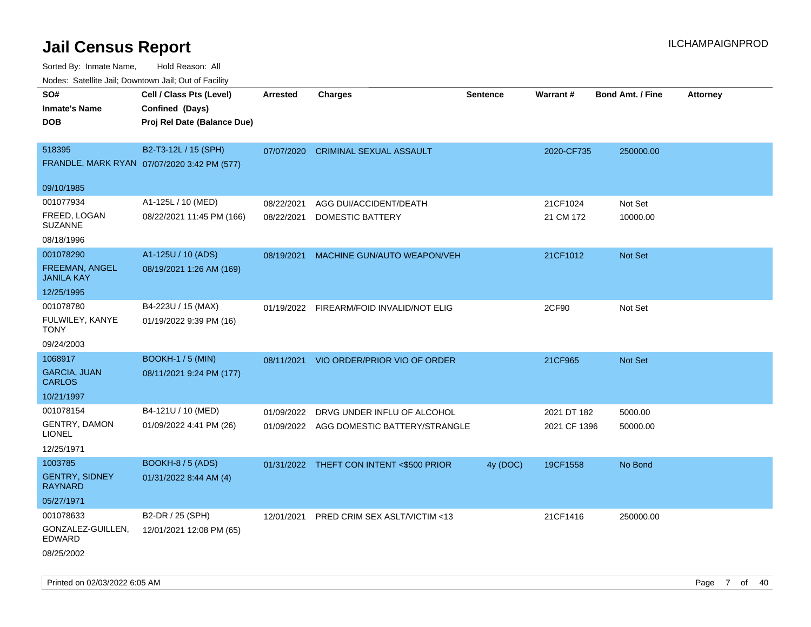| Nodes. Satellite Jali, Downtown Jali, Out of Facility |                                             |                 |                                          |                 |              |                         |                 |
|-------------------------------------------------------|---------------------------------------------|-----------------|------------------------------------------|-----------------|--------------|-------------------------|-----------------|
| SO#                                                   | Cell / Class Pts (Level)                    | <b>Arrested</b> | <b>Charges</b>                           | <b>Sentence</b> | Warrant#     | <b>Bond Amt. / Fine</b> | <b>Attorney</b> |
| <b>Inmate's Name</b>                                  | Confined (Days)                             |                 |                                          |                 |              |                         |                 |
| DOB                                                   | Proj Rel Date (Balance Due)                 |                 |                                          |                 |              |                         |                 |
|                                                       |                                             |                 |                                          |                 |              |                         |                 |
| 518395                                                | B2-T3-12L / 15 (SPH)                        | 07/07/2020      | <b>CRIMINAL SEXUAL ASSAULT</b>           |                 | 2020-CF735   | 250000.00               |                 |
|                                                       | FRANDLE, MARK RYAN 07/07/2020 3:42 PM (577) |                 |                                          |                 |              |                         |                 |
| 09/10/1985                                            |                                             |                 |                                          |                 |              |                         |                 |
| 001077934                                             | A1-125L / 10 (MED)                          | 08/22/2021      | AGG DUI/ACCIDENT/DEATH                   |                 | 21CF1024     | Not Set                 |                 |
| FREED, LOGAN<br><b>SUZANNE</b>                        | 08/22/2021 11:45 PM (166)                   | 08/22/2021      | DOMESTIC BATTERY                         |                 | 21 CM 172    | 10000.00                |                 |
| 08/18/1996                                            |                                             |                 |                                          |                 |              |                         |                 |
| 001078290                                             | A1-125U / 10 (ADS)                          | 08/19/2021      | MACHINE GUN/AUTO WEAPON/VEH              |                 | 21CF1012     | Not Set                 |                 |
| <b>FREEMAN, ANGEL</b><br>JANILA KAY                   | 08/19/2021 1:26 AM (169)                    |                 |                                          |                 |              |                         |                 |
| 12/25/1995                                            |                                             |                 |                                          |                 |              |                         |                 |
| 001078780                                             | B4-223U / 15 (MAX)                          |                 | 01/19/2022 FIREARM/FOID INVALID/NOT ELIG |                 | 2CF90        | Not Set                 |                 |
| FULWILEY, KANYE<br>TONY                               | 01/19/2022 9:39 PM (16)                     |                 |                                          |                 |              |                         |                 |
| 09/24/2003                                            |                                             |                 |                                          |                 |              |                         |                 |
| 1068917                                               | <b>BOOKH-1 / 5 (MIN)</b>                    | 08/11/2021      | VIO ORDER/PRIOR VIO OF ORDER             |                 | 21CF965      | <b>Not Set</b>          |                 |
| <b>GARCIA, JUAN</b><br>CARLOS                         | 08/11/2021 9:24 PM (177)                    |                 |                                          |                 |              |                         |                 |
| 10/21/1997                                            |                                             |                 |                                          |                 |              |                         |                 |
| 001078154                                             | B4-121U / 10 (MED)                          | 01/09/2022      | DRVG UNDER INFLU OF ALCOHOL              |                 | 2021 DT 182  | 5000.00                 |                 |
| GENTRY, DAMON<br>LIONEL                               | 01/09/2022 4:41 PM (26)                     |                 | 01/09/2022 AGG DOMESTIC BATTERY/STRANGLE |                 | 2021 CF 1396 | 50000.00                |                 |
| 12/25/1971                                            |                                             |                 |                                          |                 |              |                         |                 |
| 1003785                                               | <b>BOOKH-8 / 5 (ADS)</b>                    |                 | 01/31/2022 THEFT CON INTENT <\$500 PRIOR | 4y (DOC)        | 19CF1558     | No Bond                 |                 |
| <b>GENTRY, SIDNEY</b><br>RAYNARD                      | 01/31/2022 8:44 AM (4)                      |                 |                                          |                 |              |                         |                 |
| 05/27/1971                                            |                                             |                 |                                          |                 |              |                         |                 |
| 001078633                                             | B2-DR / 25 (SPH)                            | 12/01/2021      | PRED CRIM SEX ASLT/VICTIM <13            |                 | 21CF1416     | 250000.00               |                 |
| GONZALEZ-GUILLEN,<br>EDWARD                           | 12/01/2021 12:08 PM (65)                    |                 |                                          |                 |              |                         |                 |
| 08/25/2002                                            |                                             |                 |                                          |                 |              |                         |                 |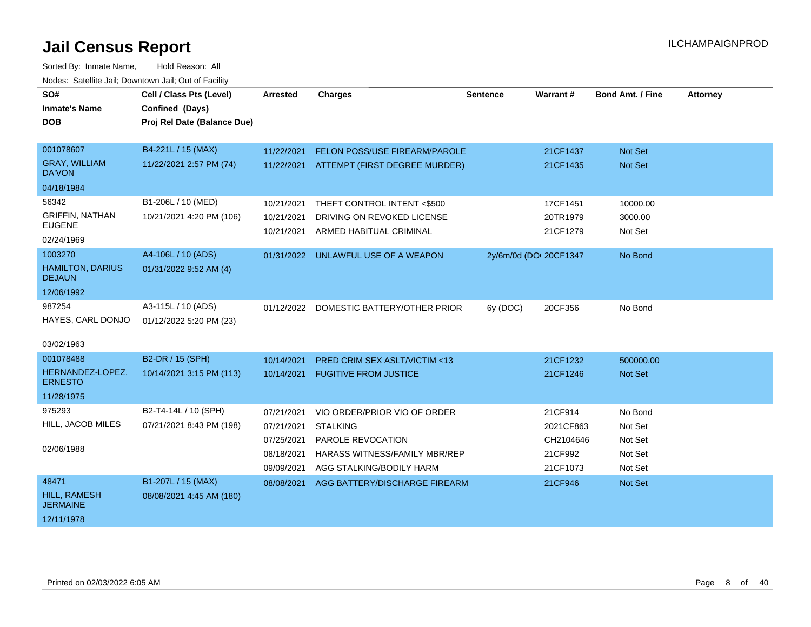| SO#                                      | Cell / Class Pts (Level)    | <b>Arrested</b> | <b>Charges</b>                           | <b>Sentence</b>        | Warrant#  | <b>Bond Amt. / Fine</b> | <b>Attorney</b> |
|------------------------------------------|-----------------------------|-----------------|------------------------------------------|------------------------|-----------|-------------------------|-----------------|
| <b>Inmate's Name</b>                     | Confined (Days)             |                 |                                          |                        |           |                         |                 |
| <b>DOB</b>                               | Proj Rel Date (Balance Due) |                 |                                          |                        |           |                         |                 |
| 001078607                                | B4-221L / 15 (MAX)          | 11/22/2021      | FELON POSS/USE FIREARM/PAROLE            |                        | 21CF1437  | <b>Not Set</b>          |                 |
| <b>GRAY, WILLIAM</b><br><b>DA'VON</b>    | 11/22/2021 2:57 PM (74)     |                 | 11/22/2021 ATTEMPT (FIRST DEGREE MURDER) |                        | 21CF1435  | Not Set                 |                 |
| 04/18/1984                               |                             |                 |                                          |                        |           |                         |                 |
| 56342                                    | B1-206L / 10 (MED)          | 10/21/2021      | THEFT CONTROL INTENT <\$500              |                        | 17CF1451  | 10000.00                |                 |
| <b>GRIFFIN, NATHAN</b>                   | 10/21/2021 4:20 PM (106)    | 10/21/2021      | DRIVING ON REVOKED LICENSE               |                        | 20TR1979  | 3000.00                 |                 |
| <b>EUGENE</b><br>02/24/1969              |                             | 10/21/2021      | ARMED HABITUAL CRIMINAL                  |                        | 21CF1279  | Not Set                 |                 |
| 1003270                                  | A4-106L / 10 (ADS)          |                 | 01/31/2022 UNLAWFUL USE OF A WEAPON      | 2y/6m/0d (DOI 20CF1347 |           | No Bond                 |                 |
| <b>HAMILTON, DARIUS</b><br><b>DEJAUN</b> | 01/31/2022 9:52 AM (4)      |                 |                                          |                        |           |                         |                 |
| 12/06/1992                               |                             |                 |                                          |                        |           |                         |                 |
| 987254                                   | A3-115L / 10 (ADS)          | 01/12/2022      | DOMESTIC BATTERY/OTHER PRIOR             | 6y (DOC)               | 20CF356   | No Bond                 |                 |
| HAYES, CARL DONJO                        | 01/12/2022 5:20 PM (23)     |                 |                                          |                        |           |                         |                 |
| 03/02/1963                               |                             |                 |                                          |                        |           |                         |                 |
| 001078488                                | B2-DR / 15 (SPH)            | 10/14/2021      | <b>PRED CRIM SEX ASLT/VICTIM &lt;13</b>  |                        | 21CF1232  | 500000.00               |                 |
| HERNANDEZ-LOPEZ,<br><b>ERNESTO</b>       | 10/14/2021 3:15 PM (113)    | 10/14/2021      | <b>FUGITIVE FROM JUSTICE</b>             |                        | 21CF1246  | Not Set                 |                 |
| 11/28/1975                               |                             |                 |                                          |                        |           |                         |                 |
| 975293                                   | B2-T4-14L / 10 (SPH)        | 07/21/2021      | VIO ORDER/PRIOR VIO OF ORDER             |                        | 21CF914   | No Bond                 |                 |
| HILL, JACOB MILES                        | 07/21/2021 8:43 PM (198)    | 07/21/2021      | <b>STALKING</b>                          |                        | 2021CF863 | Not Set                 |                 |
|                                          |                             | 07/25/2021      | PAROLE REVOCATION                        |                        | CH2104646 | Not Set                 |                 |
| 02/06/1988                               |                             | 08/18/2021      | HARASS WITNESS/FAMILY MBR/REP            |                        | 21CF992   | Not Set                 |                 |
|                                          |                             | 09/09/2021      | AGG STALKING/BODILY HARM                 |                        | 21CF1073  | Not Set                 |                 |
| 48471                                    | B1-207L / 15 (MAX)          | 08/08/2021      | AGG BATTERY/DISCHARGE FIREARM            |                        | 21CF946   | <b>Not Set</b>          |                 |
| <b>HILL, RAMESH</b><br><b>JERMAINE</b>   | 08/08/2021 4:45 AM (180)    |                 |                                          |                        |           |                         |                 |
| 12/11/1978                               |                             |                 |                                          |                        |           |                         |                 |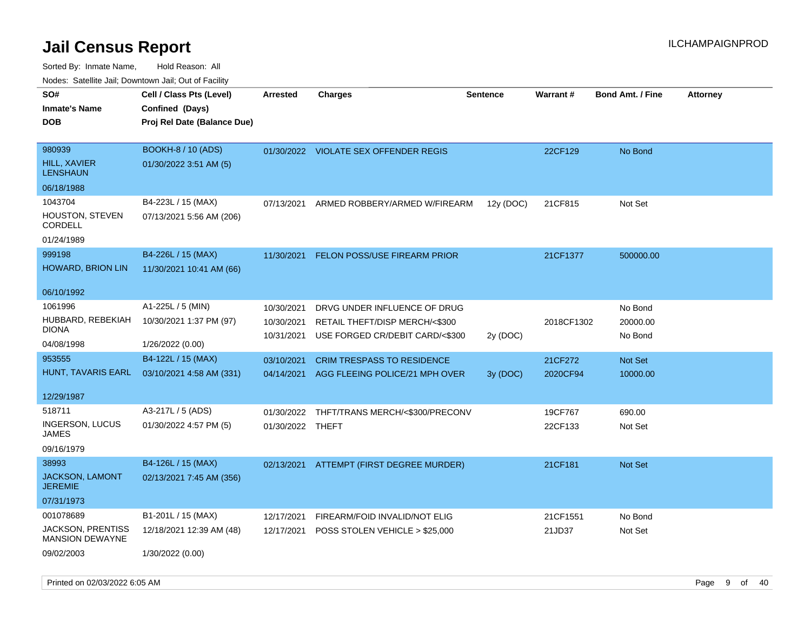| i vuuto. Talelille Jall, Dowlltowii Jall, Out of Facility |                             |                  |                                       |                 |            |                         |                 |
|-----------------------------------------------------------|-----------------------------|------------------|---------------------------------------|-----------------|------------|-------------------------|-----------------|
| SO#                                                       | Cell / Class Pts (Level)    | <b>Arrested</b>  | Charges                               | <b>Sentence</b> | Warrant#   | <b>Bond Amt. / Fine</b> | <b>Attorney</b> |
| <b>Inmate's Name</b>                                      | Confined (Days)             |                  |                                       |                 |            |                         |                 |
| <b>DOB</b>                                                | Proj Rel Date (Balance Due) |                  |                                       |                 |            |                         |                 |
|                                                           |                             |                  |                                       |                 |            |                         |                 |
| 980939                                                    | <b>BOOKH-8 / 10 (ADS)</b>   |                  | 01/30/2022 VIOLATE SEX OFFENDER REGIS |                 | 22CF129    | No Bond                 |                 |
| <b>HILL, XAVIER</b><br><b>LENSHAUN</b>                    | 01/30/2022 3:51 AM (5)      |                  |                                       |                 |            |                         |                 |
| 06/18/1988                                                |                             |                  |                                       |                 |            |                         |                 |
| 1043704                                                   | B4-223L / 15 (MAX)          | 07/13/2021       | ARMED ROBBERY/ARMED W/FIREARM         | 12y (DOC)       | 21CF815    | Not Set                 |                 |
| HOUSTON, STEVEN<br><b>CORDELL</b>                         | 07/13/2021 5:56 AM (206)    |                  |                                       |                 |            |                         |                 |
| 01/24/1989                                                |                             |                  |                                       |                 |            |                         |                 |
| 999198                                                    | B4-226L / 15 (MAX)          | 11/30/2021       | <b>FELON POSS/USE FIREARM PRIOR</b>   |                 | 21CF1377   | 500000.00               |                 |
| HOWARD, BRION LIN                                         | 11/30/2021 10:41 AM (66)    |                  |                                       |                 |            |                         |                 |
|                                                           |                             |                  |                                       |                 |            |                         |                 |
| 06/10/1992                                                |                             |                  |                                       |                 |            |                         |                 |
| 1061996                                                   | A1-225L / 5 (MIN)           | 10/30/2021       | DRVG UNDER INFLUENCE OF DRUG          |                 |            | No Bond                 |                 |
| HUBBARD, REBEKIAH                                         | 10/30/2021 1:37 PM (97)     | 10/30/2021       | RETAIL THEFT/DISP MERCH/<\$300        |                 | 2018CF1302 | 20000.00                |                 |
| <b>DIONA</b>                                              |                             | 10/31/2021       | USE FORGED CR/DEBIT CARD/<\$300       | 2y (DOC)        |            | No Bond                 |                 |
| 04/08/1998                                                | 1/26/2022 (0.00)            |                  |                                       |                 |            |                         |                 |
| 953555                                                    | B4-122L / 15 (MAX)          | 03/10/2021       | CRIM TRESPASS TO RESIDENCE            |                 | 21CF272    | Not Set                 |                 |
| HUNT, TAVARIS EARL                                        | 03/10/2021 4:58 AM (331)    | 04/14/2021       | AGG FLEEING POLICE/21 MPH OVER        | 3y (DOC)        | 2020CF94   | 10000.00                |                 |
| 12/29/1987                                                |                             |                  |                                       |                 |            |                         |                 |
|                                                           |                             |                  |                                       |                 |            |                         |                 |
| 518711                                                    | A3-217L / 5 (ADS)           | 01/30/2022       | THFT/TRANS MERCH/<\$300/PRECONV       |                 | 19CF767    | 690.00                  |                 |
| INGERSON, LUCUS<br><b>JAMES</b>                           | 01/30/2022 4:57 PM (5)      | 01/30/2022 THEFT |                                       |                 | 22CF133    | Not Set                 |                 |
| 09/16/1979                                                |                             |                  |                                       |                 |            |                         |                 |
| 38993                                                     | B4-126L / 15 (MAX)          | 02/13/2021       | ATTEMPT (FIRST DEGREE MURDER)         |                 | 21CF181    | Not Set                 |                 |
| <b>JACKSON, LAMONT</b><br><b>JEREMIE</b>                  | 02/13/2021 7:45 AM (356)    |                  |                                       |                 |            |                         |                 |
| 07/31/1973                                                |                             |                  |                                       |                 |            |                         |                 |
| 001078689                                                 | B1-201L / 15 (MAX)          | 12/17/2021       | FIREARM/FOID INVALID/NOT ELIG         |                 | 21CF1551   | No Bond                 |                 |
| JACKSON, PRENTISS                                         | 12/18/2021 12:39 AM (48)    | 12/17/2021       | POSS STOLEN VEHICLE > \$25,000        |                 | 21JD37     | Not Set                 |                 |
| <b>MANSION DEWAYNE</b>                                    |                             |                  |                                       |                 |            |                         |                 |
| 09/02/2003                                                | 1/30/2022 (0.00)            |                  |                                       |                 |            |                         |                 |
|                                                           |                             |                  |                                       |                 |            |                         |                 |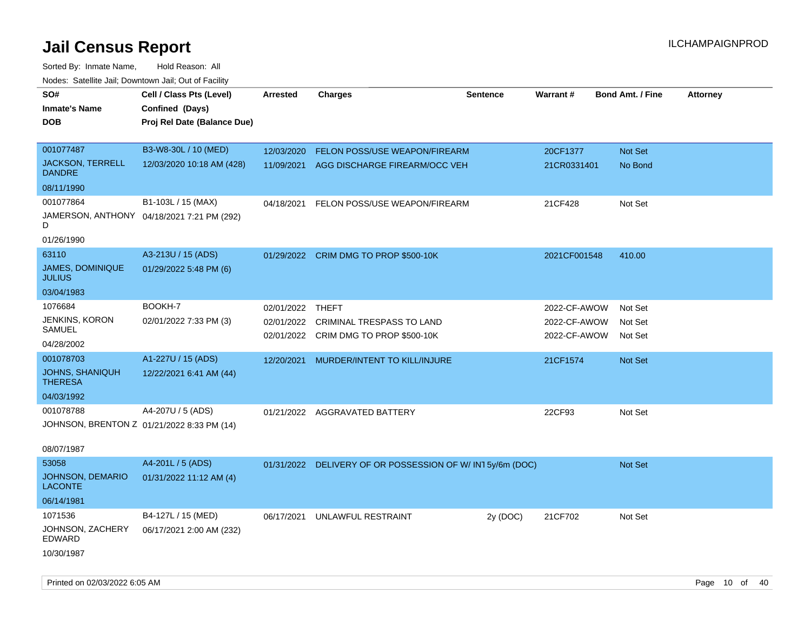| rouco. Calcillo Jali, Downtown Jali, Out of Facility |                                            |                 |                                                          |                 |              |                         |                 |
|------------------------------------------------------|--------------------------------------------|-----------------|----------------------------------------------------------|-----------------|--------------|-------------------------|-----------------|
| SO#                                                  | Cell / Class Pts (Level)                   | <b>Arrested</b> | <b>Charges</b>                                           | <b>Sentence</b> | Warrant#     | <b>Bond Amt. / Fine</b> | <b>Attorney</b> |
| <b>Inmate's Name</b>                                 | Confined (Days)                            |                 |                                                          |                 |              |                         |                 |
| <b>DOB</b>                                           | Proj Rel Date (Balance Due)                |                 |                                                          |                 |              |                         |                 |
|                                                      |                                            |                 |                                                          |                 |              |                         |                 |
| 001077487                                            | B3-W8-30L / 10 (MED)                       | 12/03/2020      | <b>FELON POSS/USE WEAPON/FIREARM</b>                     |                 | 20CF1377     | <b>Not Set</b>          |                 |
| <b>JACKSON, TERRELL</b><br><b>DANDRE</b>             | 12/03/2020 10:18 AM (428)                  | 11/09/2021      | AGG DISCHARGE FIREARM/OCC VEH                            |                 | 21CR0331401  | No Bond                 |                 |
| 08/11/1990                                           |                                            |                 |                                                          |                 |              |                         |                 |
| 001077864                                            | B1-103L / 15 (MAX)                         | 04/18/2021      | FELON POSS/USE WEAPON/FIREARM                            |                 | 21CF428      | Not Set                 |                 |
| D                                                    | JAMERSON, ANTHONY 04/18/2021 7:21 PM (292) |                 |                                                          |                 |              |                         |                 |
| 01/26/1990                                           |                                            |                 |                                                          |                 |              |                         |                 |
| 63110                                                | A3-213U / 15 (ADS)                         | 01/29/2022      | CRIM DMG TO PROP \$500-10K                               |                 | 2021CF001548 | 410.00                  |                 |
| <b>JAMES, DOMINIQUE</b><br><b>JULIUS</b>             | 01/29/2022 5:48 PM (6)                     |                 |                                                          |                 |              |                         |                 |
| 03/04/1983                                           |                                            |                 |                                                          |                 |              |                         |                 |
| 1076684                                              | BOOKH-7                                    | 02/01/2022      | THEFT                                                    |                 | 2022-CF-AWOW | Not Set                 |                 |
| JENKINS, KORON                                       | 02/01/2022 7:33 PM (3)                     | 02/01/2022      | <b>CRIMINAL TRESPASS TO LAND</b>                         |                 | 2022-CF-AWOW | Not Set                 |                 |
| SAMUEL                                               |                                            |                 | 02/01/2022 CRIM DMG TO PROP \$500-10K                    |                 | 2022-CF-AWOW | Not Set                 |                 |
| 04/28/2002                                           |                                            |                 |                                                          |                 |              |                         |                 |
| 001078703                                            | A1-227U / 15 (ADS)                         | 12/20/2021      | MURDER/INTENT TO KILL/INJURE                             |                 | 21CF1574     | <b>Not Set</b>          |                 |
| <b>JOHNS, SHANIQUH</b><br><b>THERESA</b>             | 12/22/2021 6:41 AM (44)                    |                 |                                                          |                 |              |                         |                 |
| 04/03/1992                                           |                                            |                 |                                                          |                 |              |                         |                 |
| 001078788                                            | A4-207U / 5 (ADS)                          | 01/21/2022      | AGGRAVATED BATTERY                                       |                 | 22CF93       | Not Set                 |                 |
| JOHNSON, BRENTON Z 01/21/2022 8:33 PM (14)           |                                            |                 |                                                          |                 |              |                         |                 |
| 08/07/1987                                           |                                            |                 |                                                          |                 |              |                         |                 |
| 53058                                                | A4-201L / 5 (ADS)                          |                 | 01/31/2022 DELIVERY OF OR POSSESSION OF W/IN15y/6m (DOC) |                 |              | <b>Not Set</b>          |                 |
| <b>JOHNSON, DEMARIO</b><br><b>LACONTE</b>            | 01/31/2022 11:12 AM (4)                    |                 |                                                          |                 |              |                         |                 |
| 06/14/1981                                           |                                            |                 |                                                          |                 |              |                         |                 |
| 1071536                                              | B4-127L / 15 (MED)                         | 06/17/2021      | UNLAWFUL RESTRAINT                                       | 2y (DOC)        | 21CF702      | Not Set                 |                 |
| JOHNSON, ZACHERY<br>EDWARD                           | 06/17/2021 2:00 AM (232)                   |                 |                                                          |                 |              |                         |                 |
| 10/30/1987                                           |                                            |                 |                                                          |                 |              |                         |                 |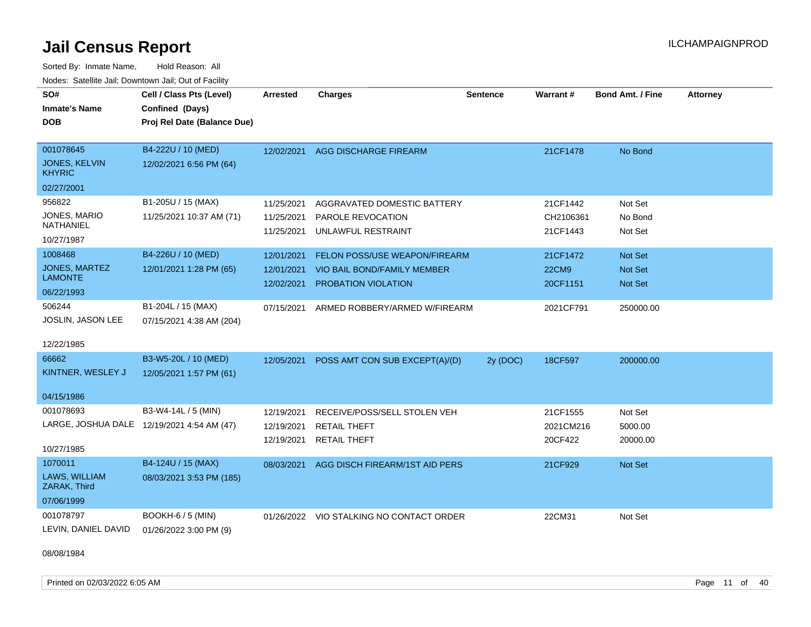Sorted By: Inmate Name, Hold Reason: All Nodes: Satellite Jail; Downtown Jail; Out of Facility

| SO#<br><b>Inmate's Name</b><br><b>DOB</b>                 | Cell / Class Pts (Level)<br>Confined (Days)<br>Proj Rel Date (Balance Due) | <b>Arrested</b>                        | <b>Charges</b>                                                                             | <b>Sentence</b> | Warrant#                             | <b>Bond Amt. / Fine</b>        | <b>Attorney</b> |
|-----------------------------------------------------------|----------------------------------------------------------------------------|----------------------------------------|--------------------------------------------------------------------------------------------|-----------------|--------------------------------------|--------------------------------|-----------------|
| 001078645<br>JONES, KELVIN<br><b>KHYRIC</b><br>02/27/2001 | B4-222U / 10 (MED)<br>12/02/2021 6:56 PM (64)                              | 12/02/2021                             | AGG DISCHARGE FIREARM                                                                      |                 | 21CF1478                             | No Bond                        |                 |
| 956822<br>JONES, MARIO<br><b>NATHANIEL</b><br>10/27/1987  | B1-205U / 15 (MAX)<br>11/25/2021 10:37 AM (71)                             | 11/25/2021<br>11/25/2021<br>11/25/2021 | AGGRAVATED DOMESTIC BATTERY<br>PAROLE REVOCATION<br>UNLAWFUL RESTRAINT                     |                 | 21CF1442<br>CH2106361<br>21CF1443    | Not Set<br>No Bond<br>Not Set  |                 |
| 1008468<br>JONES, MARTEZ<br><b>LAMONTE</b><br>06/22/1993  | B4-226U / 10 (MED)<br>12/01/2021 1:28 PM (65)                              | 12/01/2021<br>12/01/2021<br>12/02/2021 | <b>FELON POSS/USE WEAPON/FIREARM</b><br>VIO BAIL BOND/FAMILY MEMBER<br>PROBATION VIOLATION |                 | 21CF1472<br><b>22CM9</b><br>20CF1151 | Not Set<br>Not Set<br>Not Set  |                 |
| 506244<br>JOSLIN, JASON LEE<br>12/22/1985                 | B1-204L / 15 (MAX)<br>07/15/2021 4:38 AM (204)                             | 07/15/2021                             | ARMED ROBBERY/ARMED W/FIREARM                                                              |                 | 2021CF791                            | 250000.00                      |                 |
| 66662<br>KINTNER, WESLEY J                                | B3-W5-20L / 10 (MED)<br>12/05/2021 1:57 PM (61)                            | 12/05/2021                             | POSS AMT CON SUB EXCEPT(A)/(D)                                                             | 2y (DOC)        | 18CF597                              | 200000.00                      |                 |
| 04/15/1986<br>001078693<br>10/27/1985                     | B3-W4-14L / 5 (MIN)<br>LARGE, JOSHUA DALE 12/19/2021 4:54 AM (47)          | 12/19/2021<br>12/19/2021<br>12/19/2021 | RECEIVE/POSS/SELL STOLEN VEH<br><b>RETAIL THEFT</b><br><b>RETAIL THEFT</b>                 |                 | 21CF1555<br>2021CM216<br>20CF422     | Not Set<br>5000.00<br>20000.00 |                 |
| 1070011<br>LAWS, WILLIAM<br>ZARAK, Third<br>07/06/1999    | B4-124U / 15 (MAX)<br>08/03/2021 3:53 PM (185)                             | 08/03/2021                             | AGG DISCH FIREARM/1ST AID PERS                                                             |                 | 21CF929                              | Not Set                        |                 |
| 001078797<br>LEVIN, DANIEL DAVID                          | BOOKH-6 / 5 (MIN)<br>01/26/2022 3:00 PM (9)                                |                                        | 01/26/2022 VIO STALKING NO CONTACT ORDER                                                   |                 | 22CM31                               | Not Set                        |                 |

08/08/1984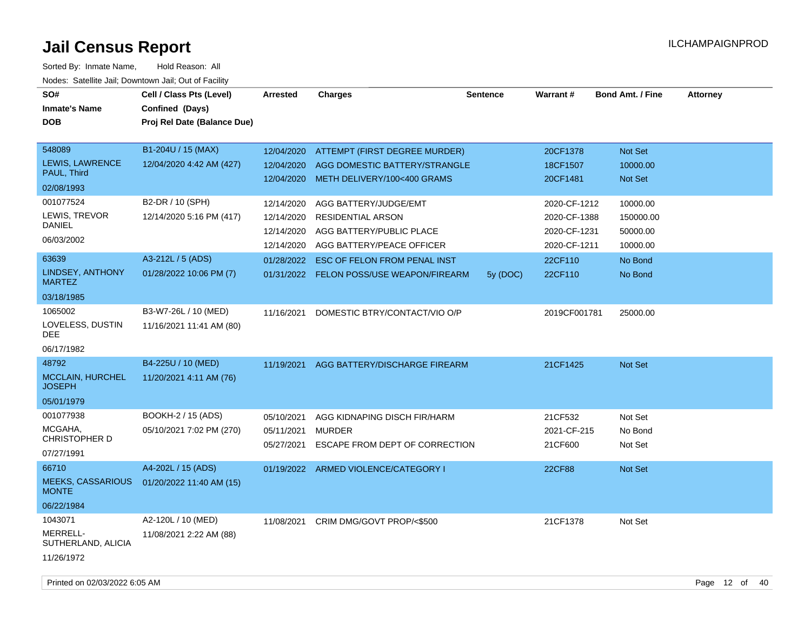Sorted By: Inmate Name, Hold Reason: All Nodes: Satellite Jail; Downtown Jail; Out of Facility

| SO#<br><b>Inmate's Name</b><br><b>DOB</b>                       | Cell / Class Pts (Level)<br>Confined (Days)<br>Proj Rel Date (Balance Due) | <b>Arrested</b>                                      | <b>Charges</b>                                                                                             | <b>Sentence</b> | Warrant#                                                     | <b>Bond Amt. / Fine</b>                       | <b>Attorney</b> |
|-----------------------------------------------------------------|----------------------------------------------------------------------------|------------------------------------------------------|------------------------------------------------------------------------------------------------------------|-----------------|--------------------------------------------------------------|-----------------------------------------------|-----------------|
| 548089<br>LEWIS, LAWRENCE<br>PAUL, Third<br>02/08/1993          | B1-204U / 15 (MAX)<br>12/04/2020 4:42 AM (427)                             | 12/04/2020<br>12/04/2020<br>12/04/2020               | ATTEMPT (FIRST DEGREE MURDER)<br>AGG DOMESTIC BATTERY/STRANGLE<br>METH DELIVERY/100<400 GRAMS              |                 | 20CF1378<br>18CF1507<br>20CF1481                             | Not Set<br>10000.00<br>Not Set                |                 |
| 001077524<br>LEWIS, TREVOR<br><b>DANIEL</b><br>06/03/2002       | B2-DR / 10 (SPH)<br>12/14/2020 5:16 PM (417)                               | 12/14/2020<br>12/14/2020<br>12/14/2020<br>12/14/2020 | AGG BATTERY/JUDGE/EMT<br><b>RESIDENTIAL ARSON</b><br>AGG BATTERY/PUBLIC PLACE<br>AGG BATTERY/PEACE OFFICER |                 | 2020-CF-1212<br>2020-CF-1388<br>2020-CF-1231<br>2020-CF-1211 | 10000.00<br>150000.00<br>50000.00<br>10000.00 |                 |
| 63639<br>LINDSEY, ANTHONY<br><b>MARTEZ</b><br>03/18/1985        | A3-212L / 5 (ADS)<br>01/28/2022 10:06 PM (7)                               | 01/28/2022                                           | <b>ESC OF FELON FROM PENAL INST</b><br>01/31/2022 FELON POSS/USE WEAPON/FIREARM                            | 5y (DOC)        | 22CF110<br>22CF110                                           | No Bond<br>No Bond                            |                 |
| 1065002<br>LOVELESS, DUSTIN<br>DEE.<br>06/17/1982               | B3-W7-26L / 10 (MED)<br>11/16/2021 11:41 AM (80)                           | 11/16/2021                                           | DOMESTIC BTRY/CONTACT/VIO O/P                                                                              |                 | 2019CF001781                                                 | 25000.00                                      |                 |
| 48792<br><b>MCCLAIN, HURCHEL</b><br><b>JOSEPH</b><br>05/01/1979 | B4-225U / 10 (MED)<br>11/20/2021 4:11 AM (76)                              |                                                      | 11/19/2021 AGG BATTERY/DISCHARGE FIREARM                                                                   |                 | 21CF1425                                                     | Not Set                                       |                 |
| 001077938<br>MCGAHA,<br>CHRISTOPHER D<br>07/27/1991             | <b>BOOKH-2 / 15 (ADS)</b><br>05/10/2021 7:02 PM (270)                      | 05/10/2021<br>05/11/2021<br>05/27/2021               | AGG KIDNAPING DISCH FIR/HARM<br><b>MURDER</b><br>ESCAPE FROM DEPT OF CORRECTION                            |                 | 21CF532<br>2021-CF-215<br>21CF600                            | Not Set<br>No Bond<br>Not Set                 |                 |
| 66710<br><b>MEEKS, CASSARIOUS</b><br><b>MONTE</b><br>06/22/1984 | A4-202L / 15 (ADS)<br>01/20/2022 11:40 AM (15)                             |                                                      | 01/19/2022 ARMED VIOLENCE/CATEGORY I                                                                       |                 | 22CF88                                                       | Not Set                                       |                 |
| 1043071<br>MERRELL-<br>SUTHERLAND, ALICIA<br>11/26/1972         | A2-120L / 10 (MED)<br>11/08/2021 2:22 AM (88)                              | 11/08/2021                                           | CRIM DMG/GOVT PROP/<\$500                                                                                  |                 | 21CF1378                                                     | Not Set                                       |                 |

Printed on 02/03/2022 6:05 AM Page 12 of 40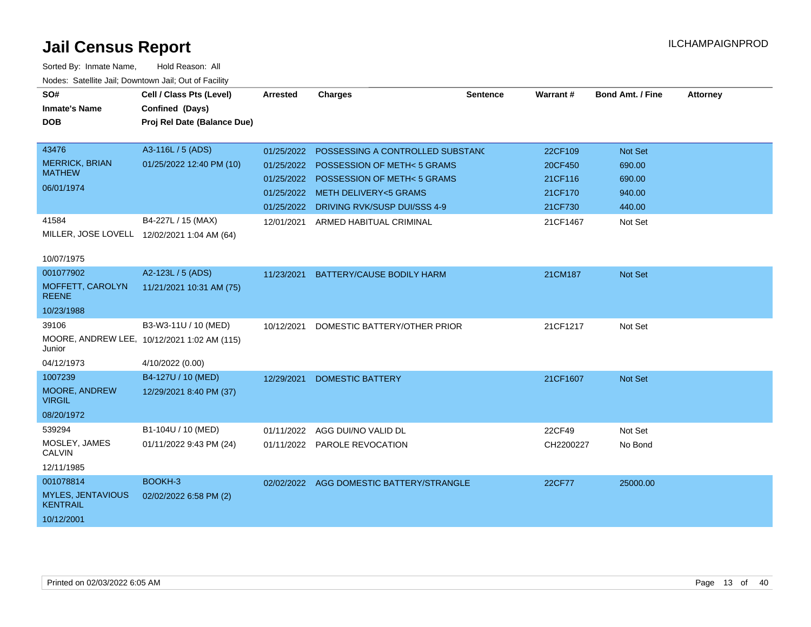| SO#                                         | Cell / Class Pts (Level)                    | Arrested   | <b>Charges</b>                           | <b>Sentence</b> | <b>Warrant#</b> | <b>Bond Amt. / Fine</b> | <b>Attorney</b> |
|---------------------------------------------|---------------------------------------------|------------|------------------------------------------|-----------------|-----------------|-------------------------|-----------------|
| <b>Inmate's Name</b>                        | Confined (Days)                             |            |                                          |                 |                 |                         |                 |
| <b>DOB</b>                                  | Proj Rel Date (Balance Due)                 |            |                                          |                 |                 |                         |                 |
|                                             |                                             |            |                                          |                 |                 |                         |                 |
| 43476                                       | A3-116L / 5 (ADS)                           | 01/25/2022 | POSSESSING A CONTROLLED SUBSTAND         |                 | 22CF109         | <b>Not Set</b>          |                 |
| <b>MERRICK, BRIAN</b><br><b>MATHEW</b>      | 01/25/2022 12:40 PM (10)                    | 01/25/2022 | <b>POSSESSION OF METH-5 GRAMS</b>        |                 | 20CF450         | 690.00                  |                 |
|                                             |                                             |            | 01/25/2022 POSSESSION OF METH< 5 GRAMS   |                 | 21CF116         | 690.00                  |                 |
| 06/01/1974                                  |                                             |            | 01/25/2022 METH DELIVERY<5 GRAMS         |                 | 21CF170         | 940.00                  |                 |
|                                             |                                             |            | 01/25/2022 DRIVING RVK/SUSP DUI/SSS 4-9  |                 | 21CF730         | 440.00                  |                 |
| 41584                                       | B4-227L / 15 (MAX)                          | 12/01/2021 | ARMED HABITUAL CRIMINAL                  |                 | 21CF1467        | Not Set                 |                 |
|                                             | MILLER, JOSE LOVELL 12/02/2021 1:04 AM (64) |            |                                          |                 |                 |                         |                 |
| 10/07/1975                                  |                                             |            |                                          |                 |                 |                         |                 |
| 001077902                                   | A2-123L / 5 (ADS)                           | 11/23/2021 | BATTERY/CAUSE BODILY HARM                |                 | 21CM187         | <b>Not Set</b>          |                 |
| MOFFETT, CAROLYN<br><b>REENE</b>            | 11/21/2021 10:31 AM (75)                    |            |                                          |                 |                 |                         |                 |
| 10/23/1988                                  |                                             |            |                                          |                 |                 |                         |                 |
| 39106                                       | B3-W3-11U / 10 (MED)                        | 10/12/2021 | DOMESTIC BATTERY/OTHER PRIOR             |                 | 21CF1217        | Not Set                 |                 |
| Junior                                      | MOORE, ANDREW LEE, 10/12/2021 1:02 AM (115) |            |                                          |                 |                 |                         |                 |
| 04/12/1973                                  | 4/10/2022 (0.00)                            |            |                                          |                 |                 |                         |                 |
| 1007239                                     | B4-127U / 10 (MED)                          | 12/29/2021 | <b>DOMESTIC BATTERY</b>                  |                 | 21CF1607        | <b>Not Set</b>          |                 |
| MOORE, ANDREW<br><b>VIRGIL</b>              | 12/29/2021 8:40 PM (37)                     |            |                                          |                 |                 |                         |                 |
| 08/20/1972                                  |                                             |            |                                          |                 |                 |                         |                 |
| 539294                                      | B1-104U / 10 (MED)                          |            | 01/11/2022 AGG DUI/NO VALID DL           |                 | 22CF49          | Not Set                 |                 |
| MOSLEY, JAMES<br><b>CALVIN</b>              | 01/11/2022 9:43 PM (24)                     |            | 01/11/2022 PAROLE REVOCATION             |                 | CH2200227       | No Bond                 |                 |
| 12/11/1985                                  |                                             |            |                                          |                 |                 |                         |                 |
| 001078814                                   | BOOKH-3                                     |            | 02/02/2022 AGG DOMESTIC BATTERY/STRANGLE |                 | 22CF77          | 25000.00                |                 |
| <b>MYLES, JENTAVIOUS</b><br><b>KENTRAIL</b> | 02/02/2022 6:58 PM (2)                      |            |                                          |                 |                 |                         |                 |
| 10/12/2001                                  |                                             |            |                                          |                 |                 |                         |                 |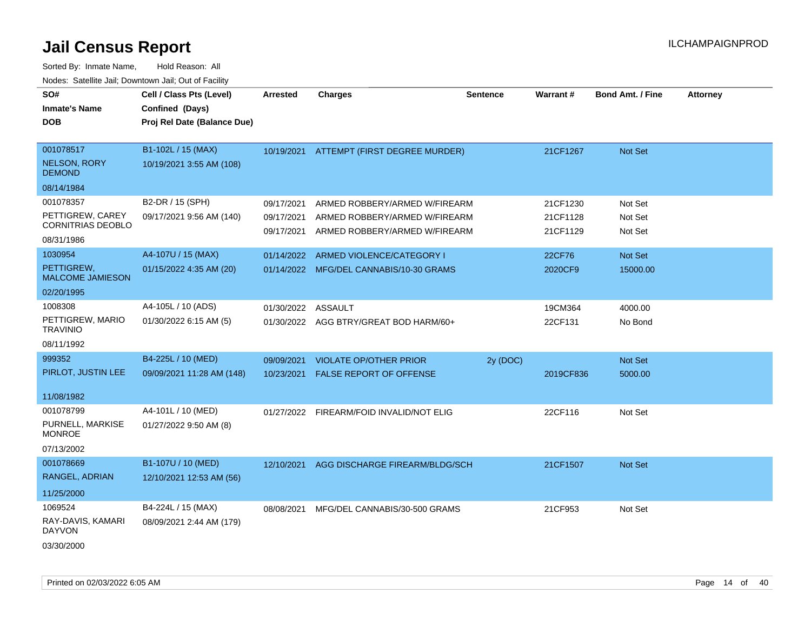| SO#<br><b>Inmate's Name</b><br><b>DOB</b>         | Cell / Class Pts (Level)<br>Confined (Days)<br>Proj Rel Date (Balance Due) | Arrested                 | <b>Charges</b>                                                 | <b>Sentence</b> | Warrant#             | <b>Bond Amt. / Fine</b> | <b>Attorney</b> |
|---------------------------------------------------|----------------------------------------------------------------------------|--------------------------|----------------------------------------------------------------|-----------------|----------------------|-------------------------|-----------------|
| 001078517<br><b>NELSON, RORY</b><br><b>DEMOND</b> | B1-102L / 15 (MAX)<br>10/19/2021 3:55 AM (108)                             |                          | 10/19/2021 ATTEMPT (FIRST DEGREE MURDER)                       |                 | 21CF1267             | Not Set                 |                 |
| 08/14/1984                                        |                                                                            |                          |                                                                |                 |                      |                         |                 |
| 001078357                                         | B2-DR / 15 (SPH)                                                           | 09/17/2021               | ARMED ROBBERY/ARMED W/FIREARM                                  |                 | 21CF1230             | Not Set                 |                 |
| PETTIGREW, CAREY<br><b>CORNITRIAS DEOBLO</b>      | 09/17/2021 9:56 AM (140)                                                   | 09/17/2021<br>09/17/2021 | ARMED ROBBERY/ARMED W/FIREARM<br>ARMED ROBBERY/ARMED W/FIREARM |                 | 21CF1128<br>21CF1129 | Not Set<br>Not Set      |                 |
| 08/31/1986                                        |                                                                            |                          |                                                                |                 |                      |                         |                 |
| 1030954                                           | A4-107U / 15 (MAX)                                                         | 01/14/2022               | ARMED VIOLENCE/CATEGORY I                                      |                 | 22CF76               | Not Set                 |                 |
| PETTIGREW,<br><b>MALCOME JAMIESON</b>             | 01/15/2022 4:35 AM (20)                                                    | 01/14/2022               | MFG/DEL CANNABIS/10-30 GRAMS                                   |                 | 2020CF9              | 15000.00                |                 |
| 02/20/1995                                        |                                                                            |                          |                                                                |                 |                      |                         |                 |
| 1008308                                           | A4-105L / 10 (ADS)                                                         | 01/30/2022               | <b>ASSAULT</b>                                                 |                 | 19CM364              | 4000.00                 |                 |
| PETTIGREW, MARIO<br><b>TRAVINIO</b>               | 01/30/2022 6:15 AM (5)                                                     |                          | 01/30/2022 AGG BTRY/GREAT BOD HARM/60+                         |                 | 22CF131              | No Bond                 |                 |
| 08/11/1992                                        |                                                                            |                          |                                                                |                 |                      |                         |                 |
| 999352                                            | B4-225L / 10 (MED)                                                         | 09/09/2021               | <b>VIOLATE OP/OTHER PRIOR</b>                                  | 2y (DOC)        |                      | Not Set                 |                 |
| PIRLOT, JUSTIN LEE                                | 09/09/2021 11:28 AM (148)                                                  | 10/23/2021               | FALSE REPORT OF OFFENSE                                        |                 | 2019CF836            | 5000.00                 |                 |
| 11/08/1982                                        |                                                                            |                          |                                                                |                 |                      |                         |                 |
| 001078799                                         | A4-101L / 10 (MED)                                                         |                          | 01/27/2022 FIREARM/FOID INVALID/NOT ELIG                       |                 | 22CF116              | Not Set                 |                 |
| PURNELL, MARKISE<br><b>MONROE</b>                 | 01/27/2022 9:50 AM (8)                                                     |                          |                                                                |                 |                      |                         |                 |
| 07/13/2002                                        |                                                                            |                          |                                                                |                 |                      |                         |                 |
| 001078669                                         | B1-107U / 10 (MED)                                                         | 12/10/2021               | AGG DISCHARGE FIREARM/BLDG/SCH                                 |                 | 21CF1507             | <b>Not Set</b>          |                 |
| RANGEL, ADRIAN                                    | 12/10/2021 12:53 AM (56)                                                   |                          |                                                                |                 |                      |                         |                 |
| 11/25/2000                                        |                                                                            |                          |                                                                |                 |                      |                         |                 |
| 1069524                                           | B4-224L / 15 (MAX)                                                         | 08/08/2021               | MFG/DEL CANNABIS/30-500 GRAMS                                  |                 | 21CF953              | Not Set                 |                 |
| RAY-DAVIS, KAMARI<br><b>DAYVON</b>                | 08/09/2021 2:44 AM (179)                                                   |                          |                                                                |                 |                      |                         |                 |
| 03/30/2000                                        |                                                                            |                          |                                                                |                 |                      |                         |                 |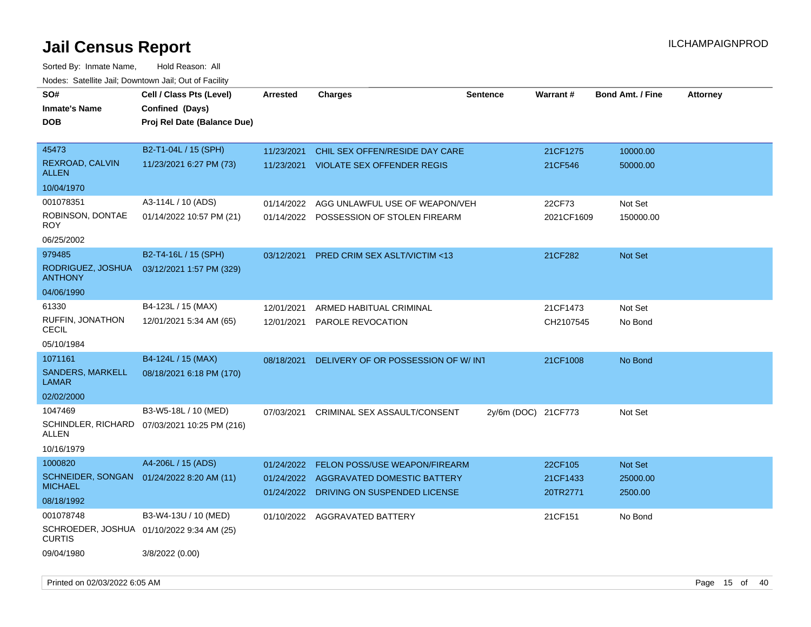| SO#<br><b>Inmate's Name</b><br><b>DOB</b>                                      | Cell / Class Pts (Level)<br>Confined (Days)<br>Proj Rel Date (Balance Due) | <b>Arrested</b>                        | <b>Charges</b>                                                                                      | <b>Sentence</b>     | Warrant#                        | <b>Bond Amt. / Fine</b>        | <b>Attorney</b> |
|--------------------------------------------------------------------------------|----------------------------------------------------------------------------|----------------------------------------|-----------------------------------------------------------------------------------------------------|---------------------|---------------------------------|--------------------------------|-----------------|
| 45473<br>REXROAD, CALVIN<br><b>ALLEN</b><br>10/04/1970                         | B2-T1-04L / 15 (SPH)<br>11/23/2021 6:27 PM (73)                            | 11/23/2021<br>11/23/2021               | CHIL SEX OFFEN/RESIDE DAY CARE<br><b>VIOLATE SEX OFFENDER REGIS</b>                                 |                     | 21CF1275<br>21CF546             | 10000.00<br>50000.00           |                 |
| 001078351<br>ROBINSON, DONTAE<br>ROY<br>06/25/2002                             | A3-114L / 10 (ADS)<br>01/14/2022 10:57 PM (21)                             | 01/14/2022<br>01/14/2022               | AGG UNLAWFUL USE OF WEAPON/VEH<br>POSSESSION OF STOLEN FIREARM                                      |                     | 22CF73<br>2021CF1609            | Not Set<br>150000.00           |                 |
| 979485<br>RODRIGUEZ, JOSHUA<br><b>ANTHONY</b><br>04/06/1990                    | B2-T4-16L / 15 (SPH)<br>03/12/2021 1:57 PM (329)                           | 03/12/2021                             | <b>PRED CRIM SEX ASLT/VICTIM &lt;13</b>                                                             |                     | 21CF282                         | <b>Not Set</b>                 |                 |
| 61330<br>RUFFIN, JONATHON<br><b>CECIL</b><br>05/10/1984                        | B4-123L / 15 (MAX)<br>12/01/2021 5:34 AM (65)                              | 12/01/2021<br>12/01/2021               | ARMED HABITUAL CRIMINAL<br>PAROLE REVOCATION                                                        |                     | 21CF1473<br>CH2107545           | Not Set<br>No Bond             |                 |
| 1071161<br><b>SANDERS, MARKELL</b><br>LAMAR<br>02/02/2000                      | B4-124L / 15 (MAX)<br>08/18/2021 6:18 PM (170)                             | 08/18/2021                             | DELIVERY OF OR POSSESSION OF W/INT                                                                  |                     | 21CF1008                        | No Bond                        |                 |
| 1047469<br>ALLEN<br>10/16/1979                                                 | B3-W5-18L / 10 (MED)<br>SCHINDLER, RICHARD 07/03/2021 10:25 PM (216)       | 07/03/2021                             | CRIMINAL SEX ASSAULT/CONSENT                                                                        | 2y/6m (DOC) 21CF773 |                                 | Not Set                        |                 |
| 1000820<br>SCHNEIDER, SONGAN<br><b>MICHAEL</b><br>08/18/1992                   | A4-206L / 15 (ADS)<br>01/24/2022 8:20 AM (11)                              | 01/24/2022<br>01/24/2022<br>01/24/2022 | <b>FELON POSS/USE WEAPON/FIREARM</b><br>AGGRAVATED DOMESTIC BATTERY<br>DRIVING ON SUSPENDED LICENSE |                     | 22CF105<br>21CF1433<br>20TR2771 | Not Set<br>25000.00<br>2500.00 |                 |
| 001078748<br>SCHROEDER, JOSHUA 01/10/2022 9:34 AM (25)<br>CURTIS<br>09/04/1980 | B3-W4-13U / 10 (MED)<br>3/8/2022 (0.00)                                    |                                        | 01/10/2022 AGGRAVATED BATTERY                                                                       |                     | 21CF151                         | No Bond                        |                 |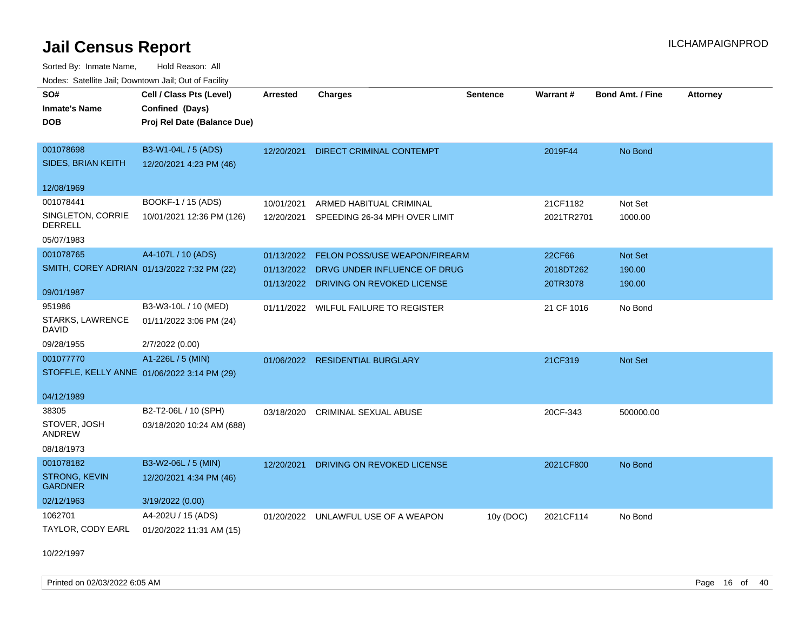Sorted By: Inmate Name, Hold Reason: All Nodes: Satellite Jail; Downtown Jail; Out of Facility

| SO#                                         | Cell / Class Pts (Level)    | <b>Arrested</b> | <b>Charges</b>                        | <b>Sentence</b> | Warrant#   | <b>Bond Amt. / Fine</b> | <b>Attorney</b> |
|---------------------------------------------|-----------------------------|-----------------|---------------------------------------|-----------------|------------|-------------------------|-----------------|
| <b>Inmate's Name</b>                        | Confined (Days)             |                 |                                       |                 |            |                         |                 |
| <b>DOB</b>                                  | Proj Rel Date (Balance Due) |                 |                                       |                 |            |                         |                 |
|                                             |                             |                 |                                       |                 |            |                         |                 |
| 001078698                                   | B3-W1-04L / 5 (ADS)         | 12/20/2021      | DIRECT CRIMINAL CONTEMPT              |                 | 2019F44    | No Bond                 |                 |
| SIDES, BRIAN KEITH                          | 12/20/2021 4:23 PM (46)     |                 |                                       |                 |            |                         |                 |
| 12/08/1969                                  |                             |                 |                                       |                 |            |                         |                 |
| 001078441                                   | BOOKF-1 / 15 (ADS)          | 10/01/2021      | ARMED HABITUAL CRIMINAL               |                 | 21CF1182   | Not Set                 |                 |
| SINGLETON, CORRIE<br><b>DERRELL</b>         | 10/01/2021 12:36 PM (126)   | 12/20/2021      | SPEEDING 26-34 MPH OVER LIMIT         |                 | 2021TR2701 | 1000.00                 |                 |
| 05/07/1983                                  |                             |                 |                                       |                 |            |                         |                 |
| 001078765                                   | A4-107L / 10 (ADS)          | 01/13/2022      | <b>FELON POSS/USE WEAPON/FIREARM</b>  |                 | 22CF66     | Not Set                 |                 |
| SMITH, COREY ADRIAN 01/13/2022 7:32 PM (22) |                             | 01/13/2022      | DRVG UNDER INFLUENCE OF DRUG          |                 | 2018DT262  | 190.00                  |                 |
| 09/01/1987                                  |                             |                 | 01/13/2022 DRIVING ON REVOKED LICENSE |                 | 20TR3078   | 190.00                  |                 |
| 951986                                      | B3-W3-10L / 10 (MED)        |                 | 01/11/2022 WILFUL FAILURE TO REGISTER |                 | 21 CF 1016 | No Bond                 |                 |
| STARKS, LAWRENCE<br><b>DAVID</b>            | 01/11/2022 3:06 PM (24)     |                 |                                       |                 |            |                         |                 |
| 09/28/1955                                  | 2/7/2022 (0.00)             |                 |                                       |                 |            |                         |                 |
| 001077770                                   | A1-226L / 5 (MIN)           | 01/06/2022      | <b>RESIDENTIAL BURGLARY</b>           |                 | 21CF319    | Not Set                 |                 |
| STOFFLE, KELLY ANNE 01/06/2022 3:14 PM (29) |                             |                 |                                       |                 |            |                         |                 |
| 04/12/1989                                  |                             |                 |                                       |                 |            |                         |                 |
| 38305                                       | B2-T2-06L / 10 (SPH)        |                 | <b>CRIMINAL SEXUAL ABUSE</b>          |                 | 20CF-343   |                         |                 |
| STOVER, JOSH                                | 03/18/2020 10:24 AM (688)   | 03/18/2020      |                                       |                 |            | 500000.00               |                 |
| ANDREW                                      |                             |                 |                                       |                 |            |                         |                 |
| 08/18/1973                                  |                             |                 |                                       |                 |            |                         |                 |
| 001078182                                   | B3-W2-06L / 5 (MIN)         | 12/20/2021      | DRIVING ON REVOKED LICENSE            |                 | 2021CF800  | No Bond                 |                 |
| <b>STRONG, KEVIN</b><br><b>GARDNER</b>      | 12/20/2021 4:34 PM (46)     |                 |                                       |                 |            |                         |                 |
| 02/12/1963                                  | 3/19/2022 (0.00)            |                 |                                       |                 |            |                         |                 |
| 1062701                                     | A4-202U / 15 (ADS)          |                 | 01/20/2022 UNLAWFUL USE OF A WEAPON   | 10y (DOC)       | 2021CF114  | No Bond                 |                 |
| TAYLOR, CODY EARL                           | 01/20/2022 11:31 AM (15)    |                 |                                       |                 |            |                         |                 |

10/22/1997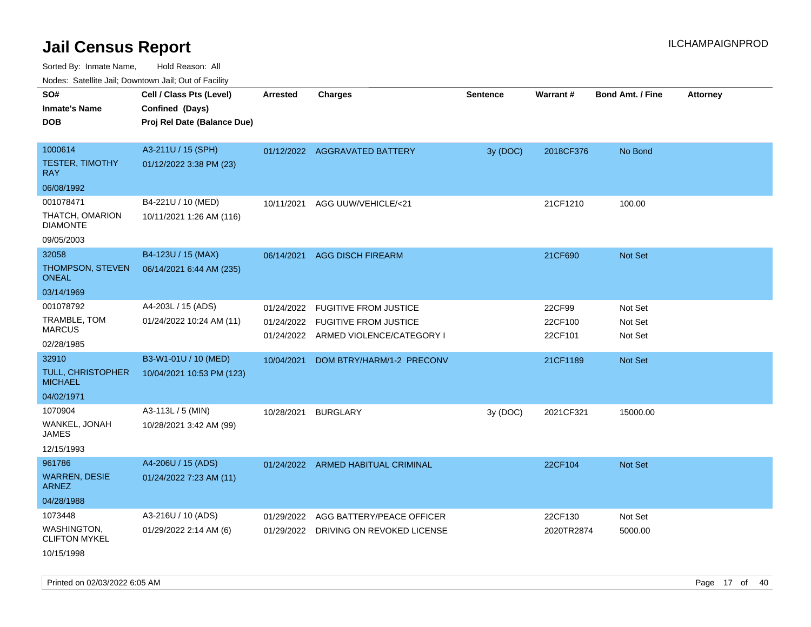Sorted By: Inmate Name, Hold Reason: All

|  |  |  | Nodes: Satellite Jail; Downtown Jail; Out of Facility |  |
|--|--|--|-------------------------------------------------------|--|
|--|--|--|-------------------------------------------------------|--|

| roaco. Calcinio dan, Downtown dan, Cal or Fability<br>SO# | Cell / Class Pts (Level)    |                 | <b>Charges</b>                        | <b>Sentence</b> | Warrant#   | <b>Bond Amt. / Fine</b> |                 |
|-----------------------------------------------------------|-----------------------------|-----------------|---------------------------------------|-----------------|------------|-------------------------|-----------------|
|                                                           |                             | <b>Arrested</b> |                                       |                 |            |                         | <b>Attorney</b> |
| <b>Inmate's Name</b>                                      | Confined (Days)             |                 |                                       |                 |            |                         |                 |
| <b>DOB</b>                                                | Proj Rel Date (Balance Due) |                 |                                       |                 |            |                         |                 |
| 1000614                                                   | A3-211U / 15 (SPH)          |                 |                                       |                 |            |                         |                 |
| <b>TESTER, TIMOTHY</b>                                    |                             |                 | 01/12/2022 AGGRAVATED BATTERY         | 3y (DOC)        | 2018CF376  | No Bond                 |                 |
| <b>RAY</b>                                                | 01/12/2022 3:38 PM (23)     |                 |                                       |                 |            |                         |                 |
| 06/08/1992                                                |                             |                 |                                       |                 |            |                         |                 |
| 001078471                                                 | B4-221U / 10 (MED)          | 10/11/2021      | AGG UUW/VEHICLE/<21                   |                 | 21CF1210   | 100.00                  |                 |
| THATCH, OMARION<br><b>DIAMONTE</b>                        | 10/11/2021 1:26 AM (116)    |                 |                                       |                 |            |                         |                 |
| 09/05/2003                                                |                             |                 |                                       |                 |            |                         |                 |
| 32058                                                     | B4-123U / 15 (MAX)          |                 | 06/14/2021 AGG DISCH FIREARM          |                 | 21CF690    | Not Set                 |                 |
| THOMPSON, STEVEN<br><b>ONEAL</b>                          | 06/14/2021 6:44 AM (235)    |                 |                                       |                 |            |                         |                 |
| 03/14/1969                                                |                             |                 |                                       |                 |            |                         |                 |
| 001078792                                                 | A4-203L / 15 (ADS)          | 01/24/2022      | <b>FUGITIVE FROM JUSTICE</b>          |                 | 22CF99     | Not Set                 |                 |
| TRAMBLE, TOM                                              | 01/24/2022 10:24 AM (11)    |                 | 01/24/2022 FUGITIVE FROM JUSTICE      |                 | 22CF100    | Not Set                 |                 |
| <b>MARCUS</b>                                             |                             |                 | 01/24/2022 ARMED VIOLENCE/CATEGORY I  |                 | 22CF101    | Not Set                 |                 |
| 02/28/1985                                                |                             |                 |                                       |                 |            |                         |                 |
| 32910                                                     | B3-W1-01U / 10 (MED)        | 10/04/2021      | DOM BTRY/HARM/1-2 PRECONV             |                 | 21CF1189   | Not Set                 |                 |
| TULL, CHRISTOPHER<br><b>MICHAEL</b>                       | 10/04/2021 10:53 PM (123)   |                 |                                       |                 |            |                         |                 |
| 04/02/1971                                                |                             |                 |                                       |                 |            |                         |                 |
| 1070904                                                   | A3-113L / 5 (MIN)           | 10/28/2021      | <b>BURGLARY</b>                       | 3y (DOC)        | 2021CF321  | 15000.00                |                 |
| WANKEL, JONAH<br><b>JAMES</b>                             | 10/28/2021 3:42 AM (99)     |                 |                                       |                 |            |                         |                 |
| 12/15/1993                                                |                             |                 |                                       |                 |            |                         |                 |
| 961786                                                    | A4-206U / 15 (ADS)          |                 | 01/24/2022 ARMED HABITUAL CRIMINAL    |                 | 22CF104    | Not Set                 |                 |
| <b>WARREN, DESIE</b><br><b>ARNEZ</b>                      | 01/24/2022 7:23 AM (11)     |                 |                                       |                 |            |                         |                 |
| 04/28/1988                                                |                             |                 |                                       |                 |            |                         |                 |
| 1073448                                                   | A3-216U / 10 (ADS)          | 01/29/2022      | AGG BATTERY/PEACE OFFICER             |                 | 22CF130    | Not Set                 |                 |
| WASHINGTON,<br><b>CLIFTON MYKEL</b>                       | 01/29/2022 2:14 AM (6)      |                 | 01/29/2022 DRIVING ON REVOKED LICENSE |                 | 2020TR2874 | 5000.00                 |                 |
| 10/15/1998                                                |                             |                 |                                       |                 |            |                         |                 |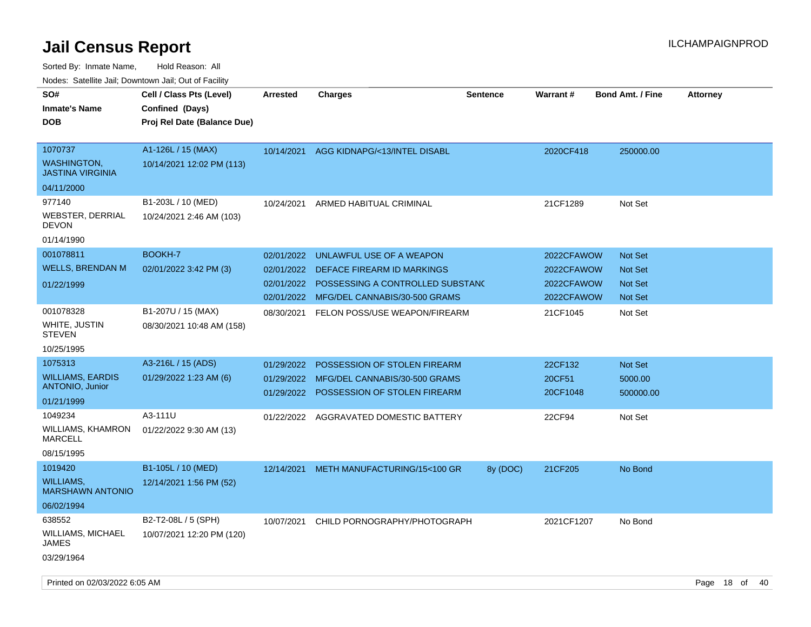Sorted By: Inmate Name, Hold Reason: All

| Nodes: Satellite Jail; Downtown Jail; Out of Facility                      |                                                                            |                                        |                                                                                                                                        |                 |                                                      |                                                               |                 |
|----------------------------------------------------------------------------|----------------------------------------------------------------------------|----------------------------------------|----------------------------------------------------------------------------------------------------------------------------------------|-----------------|------------------------------------------------------|---------------------------------------------------------------|-----------------|
| SO#<br><b>Inmate's Name</b><br><b>DOB</b>                                  | Cell / Class Pts (Level)<br>Confined (Days)<br>Proj Rel Date (Balance Due) | <b>Arrested</b>                        | Charges                                                                                                                                | <b>Sentence</b> | Warrant#                                             | <b>Bond Amt. / Fine</b>                                       | <b>Attorney</b> |
| 1070737<br><b>WASHINGTON,</b><br><b>JASTINA VIRGINIA</b><br>04/11/2000     | A1-126L / 15 (MAX)<br>10/14/2021 12:02 PM (113)                            |                                        | 10/14/2021 AGG KIDNAPG/<13/INTEL DISABL                                                                                                |                 | 2020CF418                                            | 250000.00                                                     |                 |
| 977140<br><b>WEBSTER, DERRIAL</b><br><b>DEVON</b><br>01/14/1990            | B1-203L / 10 (MED)<br>10/24/2021 2:46 AM (103)                             | 10/24/2021                             | ARMED HABITUAL CRIMINAL                                                                                                                |                 | 21CF1289                                             | Not Set                                                       |                 |
| 001078811<br><b>WELLS, BRENDAN M</b><br>01/22/1999                         | BOOKH-7<br>02/01/2022 3:42 PM (3)                                          | 02/01/2022<br>02/01/2022<br>02/01/2022 | UNLAWFUL USE OF A WEAPON<br>DEFACE FIREARM ID MARKINGS<br>POSSESSING A CONTROLLED SUBSTANC<br>02/01/2022 MFG/DEL CANNABIS/30-500 GRAMS |                 | 2022CFAWOW<br>2022CFAWOW<br>2022CFAWOW<br>2022CFAWOW | <b>Not Set</b><br><b>Not Set</b><br><b>Not Set</b><br>Not Set |                 |
| 001078328<br>WHITE, JUSTIN<br><b>STEVEN</b><br>10/25/1995                  | B1-207U / 15 (MAX)<br>08/30/2021 10:48 AM (158)                            | 08/30/2021                             | FELON POSS/USE WEAPON/FIREARM                                                                                                          |                 | 21CF1045                                             | Not Set                                                       |                 |
| 1075313<br><b>WILLIAMS, EARDIS</b><br><b>ANTONIO, Junior</b><br>01/21/1999 | A3-216L / 15 (ADS)<br>01/29/2022 1:23 AM (6)                               | 01/29/2022<br>01/29/2022<br>01/29/2022 | POSSESSION OF STOLEN FIREARM<br>MFG/DEL CANNABIS/30-500 GRAMS<br>POSSESSION OF STOLEN FIREARM                                          |                 | 22CF132<br>20CF51<br>20CF1048                        | <b>Not Set</b><br>5000.00<br>500000.00                        |                 |
| 1049234<br>WILLIAMS, KHAMRON<br><b>MARCELL</b><br>08/15/1995               | A3-111U<br>01/22/2022 9:30 AM (13)                                         | 01/22/2022                             | AGGRAVATED DOMESTIC BATTERY                                                                                                            |                 | 22CF94                                               | Not Set                                                       |                 |
| 1019420<br><b>WILLIAMS,</b><br><b>MARSHAWN ANTONIO</b><br>06/02/1994       | B1-105L / 10 (MED)<br>12/14/2021 1:56 PM (52)                              | 12/14/2021                             | METH MANUFACTURING/15<100 GR                                                                                                           | 8y (DOC)        | 21CF205                                              | No Bond                                                       |                 |
| 638552<br><b>WILLIAMS, MICHAEL</b><br><b>JAMES</b><br>03/29/1964           | B2-T2-08L / 5 (SPH)<br>10/07/2021 12:20 PM (120)                           | 10/07/2021                             | CHILD PORNOGRAPHY/PHOTOGRAPH                                                                                                           |                 | 2021CF1207                                           | No Bond                                                       |                 |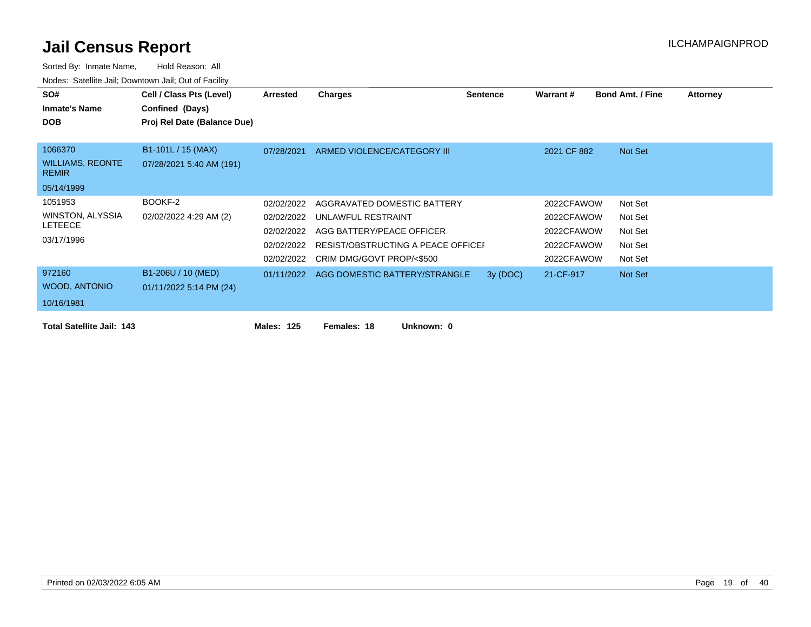| SO#                                     | Cell / Class Pts (Level)    | Arrested   | Charges                                  | <b>Sentence</b> | Warrant #   | <b>Bond Amt. / Fine</b> | <b>Attorney</b> |
|-----------------------------------------|-----------------------------|------------|------------------------------------------|-----------------|-------------|-------------------------|-----------------|
| <b>Inmate's Name</b>                    | Confined (Days)             |            |                                          |                 |             |                         |                 |
| <b>DOB</b>                              | Proj Rel Date (Balance Due) |            |                                          |                 |             |                         |                 |
|                                         |                             |            |                                          |                 |             |                         |                 |
| 1066370                                 | B1-101L / 15 (MAX)          | 07/28/2021 | ARMED VIOLENCE/CATEGORY III              |                 | 2021 CF 882 | Not Set                 |                 |
| <b>WILLIAMS, REONTE</b><br><b>REMIR</b> | 07/28/2021 5:40 AM (191)    |            |                                          |                 |             |                         |                 |
| 05/14/1999                              |                             |            |                                          |                 |             |                         |                 |
| 1051953                                 | BOOKF-2                     | 02/02/2022 | AGGRAVATED DOMESTIC BATTERY              |                 | 2022CFAWOW  | Not Set                 |                 |
| WINSTON, ALYSSIA                        | 02/02/2022 4:29 AM (2)      | 02/02/2022 | UNLAWFUL RESTRAINT                       |                 | 2022CFAWOW  | Not Set                 |                 |
| <b>LETEECE</b>                          |                             | 02/02/2022 | AGG BATTERY/PEACE OFFICER                |                 | 2022CFAWOW  | Not Set                 |                 |
| 03/17/1996                              |                             | 02/02/2022 | RESIST/OBSTRUCTING A PEACE OFFICEI       |                 | 2022CFAWOW  | Not Set                 |                 |
|                                         |                             | 02/02/2022 | CRIM DMG/GOVT PROP/<\$500                |                 | 2022CFAWOW  | Not Set                 |                 |
| 972160                                  | B1-206U / 10 (MED)          |            | 01/11/2022 AGG DOMESTIC BATTERY/STRANGLE | 3y (DOC)        | 21-CF-917   | Not Set                 |                 |
| WOOD, ANTONIO                           | 01/11/2022 5:14 PM (24)     |            |                                          |                 |             |                         |                 |
| 10/16/1981                              |                             |            |                                          |                 |             |                         |                 |
| <b>Total Satellite Jail: 143</b>        |                             | Males: 125 | Females: 18<br>Unknown: 0                |                 |             |                         |                 |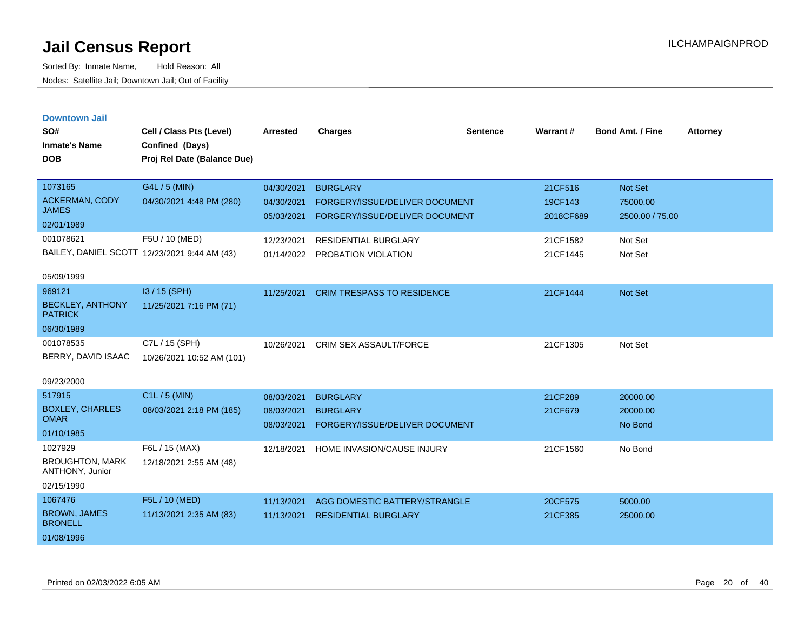Sorted By: Inmate Name, Hold Reason: All Nodes: Satellite Jail; Downtown Jail; Out of Facility

| <b>Downtown Jail</b><br>SO#<br><b>Inmate's Name</b><br><b>DOB</b>  | Cell / Class Pts (Level)<br>Confined (Days)<br>Proj Rel Date (Balance Due) | <b>Arrested</b>                        | <b>Charges</b>                                                                      | <b>Sentence</b> | Warrant#                        | <b>Bond Amt. / Fine</b>                | <b>Attorney</b> |
|--------------------------------------------------------------------|----------------------------------------------------------------------------|----------------------------------------|-------------------------------------------------------------------------------------|-----------------|---------------------------------|----------------------------------------|-----------------|
| 1073165<br>ACKERMAN, CODY<br><b>JAMES</b><br>02/01/1989            | G4L / 5 (MIN)<br>04/30/2021 4:48 PM (280)                                  | 04/30/2021<br>04/30/2021<br>05/03/2021 | <b>BURGLARY</b><br>FORGERY/ISSUE/DELIVER DOCUMENT<br>FORGERY/ISSUE/DELIVER DOCUMENT |                 | 21CF516<br>19CF143<br>2018CF689 | Not Set<br>75000.00<br>2500.00 / 75.00 |                 |
| 001078621<br>05/09/1999                                            | F5U / 10 (MED)<br>BAILEY, DANIEL SCOTT 12/23/2021 9:44 AM (43)             | 12/23/2021<br>01/14/2022               | <b>RESIDENTIAL BURGLARY</b><br>PROBATION VIOLATION                                  |                 | 21CF1582<br>21CF1445            | Not Set<br>Not Set                     |                 |
| 969121<br><b>BECKLEY, ANTHONY</b><br><b>PATRICK</b><br>06/30/1989  | I3 / 15 (SPH)<br>11/25/2021 7:16 PM (71)                                   | 11/25/2021                             | <b>CRIM TRESPASS TO RESIDENCE</b>                                                   |                 | 21CF1444                        | Not Set                                |                 |
| 001078535<br>BERRY, DAVID ISAAC<br>09/23/2000                      | C7L / 15 (SPH)<br>10/26/2021 10:52 AM (101)                                | 10/26/2021                             | <b>CRIM SEX ASSAULT/FORCE</b>                                                       |                 | 21CF1305                        | Not Set                                |                 |
| 517915<br><b>BOXLEY, CHARLES</b><br><b>OMAR</b><br>01/10/1985      | C1L / 5 (MIN)<br>08/03/2021 2:18 PM (185)                                  | 08/03/2021<br>08/03/2021<br>08/03/2021 | <b>BURGLARY</b><br><b>BURGLARY</b><br>FORGERY/ISSUE/DELIVER DOCUMENT                |                 | 21CF289<br>21CF679              | 20000.00<br>20000.00<br>No Bond        |                 |
| 1027929<br><b>BROUGHTON, MARK</b><br>ANTHONY, Junior<br>02/15/1990 | F6L / 15 (MAX)<br>12/18/2021 2:55 AM (48)                                  | 12/18/2021                             | HOME INVASION/CAUSE INJURY                                                          |                 | 21CF1560                        | No Bond                                |                 |
| 1067476<br><b>BROWN, JAMES</b><br><b>BRONELL</b>                   | F5L / 10 (MED)<br>11/13/2021 2:35 AM (83)                                  | 11/13/2021<br>11/13/2021               | AGG DOMESTIC BATTERY/STRANGLE<br><b>RESIDENTIAL BURGLARY</b>                        |                 | 20CF575<br>21CF385              | 5000.00<br>25000.00                    |                 |

01/08/1996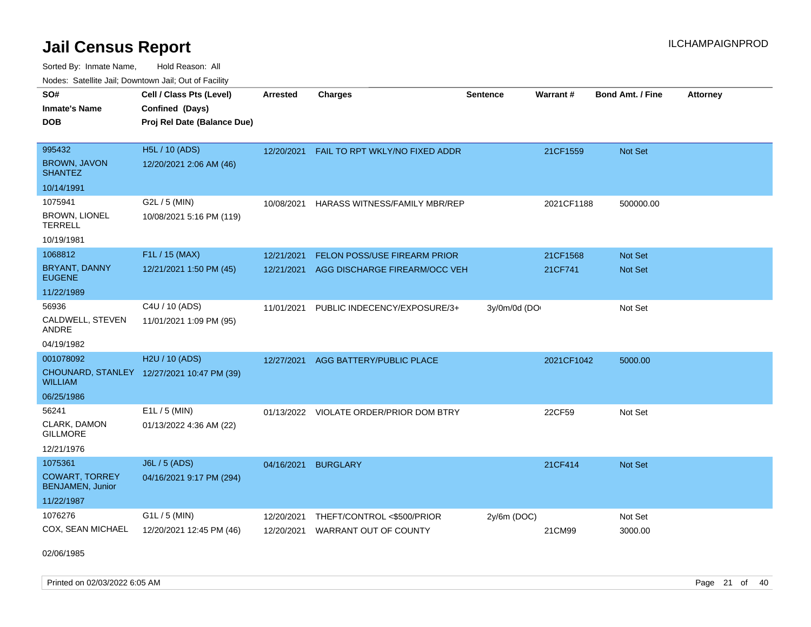Sorted By: Inmate Name, Hold Reason: All

| Nodes: Satellite Jail; Downtown Jail; Out of Facility |                                            |                 |                                         |                 |            |                  |                 |  |  |  |
|-------------------------------------------------------|--------------------------------------------|-----------------|-----------------------------------------|-----------------|------------|------------------|-----------------|--|--|--|
| SO#                                                   | Cell / Class Pts (Level)                   | <b>Arrested</b> | <b>Charges</b>                          | <b>Sentence</b> | Warrant#   | Bond Amt. / Fine | <b>Attorney</b> |  |  |  |
| <b>Inmate's Name</b>                                  | Confined (Days)                            |                 |                                         |                 |            |                  |                 |  |  |  |
| <b>DOB</b>                                            | Proj Rel Date (Balance Due)                |                 |                                         |                 |            |                  |                 |  |  |  |
|                                                       |                                            |                 |                                         |                 |            |                  |                 |  |  |  |
| 995432                                                | <b>H5L / 10 (ADS)</b>                      | 12/20/2021      | FAIL TO RPT WKLY/NO FIXED ADDR          |                 | 21CF1559   | Not Set          |                 |  |  |  |
| <b>BROWN, JAVON</b><br><b>SHANTEZ</b>                 | 12/20/2021 2:06 AM (46)                    |                 |                                         |                 |            |                  |                 |  |  |  |
| 10/14/1991                                            |                                            |                 |                                         |                 |            |                  |                 |  |  |  |
| 1075941                                               | G2L / 5 (MIN)                              | 10/08/2021      | HARASS WITNESS/FAMILY MBR/REP           |                 | 2021CF1188 | 500000.00        |                 |  |  |  |
| <b>BROWN, LIONEL</b><br><b>TERRELL</b>                | 10/08/2021 5:16 PM (119)                   |                 |                                         |                 |            |                  |                 |  |  |  |
| 10/19/1981                                            |                                            |                 |                                         |                 |            |                  |                 |  |  |  |
| 1068812                                               | F1L / 15 (MAX)                             | 12/21/2021      | FELON POSS/USE FIREARM PRIOR            |                 | 21CF1568   | Not Set          |                 |  |  |  |
| BRYANT, DANNY<br><b>EUGENE</b>                        | 12/21/2021 1:50 PM (45)                    | 12/21/2021      | AGG DISCHARGE FIREARM/OCC VEH           |                 | 21CF741    | Not Set          |                 |  |  |  |
| 11/22/1989                                            |                                            |                 |                                         |                 |            |                  |                 |  |  |  |
| 56936                                                 | C4U / 10 (ADS)                             | 11/01/2021      | PUBLIC INDECENCY/EXPOSURE/3+            | 3y/0m/0d (DO    |            | Not Set          |                 |  |  |  |
| CALDWELL, STEVEN<br>ANDRE                             | 11/01/2021 1:09 PM (95)                    |                 |                                         |                 |            |                  |                 |  |  |  |
| 04/19/1982                                            |                                            |                 |                                         |                 |            |                  |                 |  |  |  |
| 001078092                                             | H2U / 10 (ADS)                             | 12/27/2021      | AGG BATTERY/PUBLIC PLACE                |                 | 2021CF1042 | 5000.00          |                 |  |  |  |
| <b>WILLIAM</b>                                        | CHOUNARD, STANLEY 12/27/2021 10:47 PM (39) |                 |                                         |                 |            |                  |                 |  |  |  |
| 06/25/1986                                            |                                            |                 |                                         |                 |            |                  |                 |  |  |  |
| 56241                                                 | E1L / 5 (MIN)                              |                 | 01/13/2022 VIOLATE ORDER/PRIOR DOM BTRY |                 | 22CF59     | Not Set          |                 |  |  |  |
| CLARK, DAMON<br><b>GILLMORE</b>                       | 01/13/2022 4:36 AM (22)                    |                 |                                         |                 |            |                  |                 |  |  |  |
| 12/21/1976                                            |                                            |                 |                                         |                 |            |                  |                 |  |  |  |
| 1075361                                               | J6L / 5 (ADS)                              | 04/16/2021      | <b>BURGLARY</b>                         |                 | 21CF414    | Not Set          |                 |  |  |  |
| <b>COWART, TORREY</b><br><b>BENJAMEN, Junior</b>      | 04/16/2021 9:17 PM (294)                   |                 |                                         |                 |            |                  |                 |  |  |  |
| 11/22/1987                                            |                                            |                 |                                         |                 |            |                  |                 |  |  |  |
| 1076276                                               | G1L / 5 (MIN)                              | 12/20/2021      | THEFT/CONTROL <\$500/PRIOR              | 2y/6m (DOC)     |            | Not Set          |                 |  |  |  |
| COX, SEAN MICHAEL                                     | 12/20/2021 12:45 PM (46)                   | 12/20/2021      | WARRANT OUT OF COUNTY                   |                 | 21CM99     | 3000.00          |                 |  |  |  |

02/06/1985

Printed on 02/03/2022 6:05 AM Page 21 of 40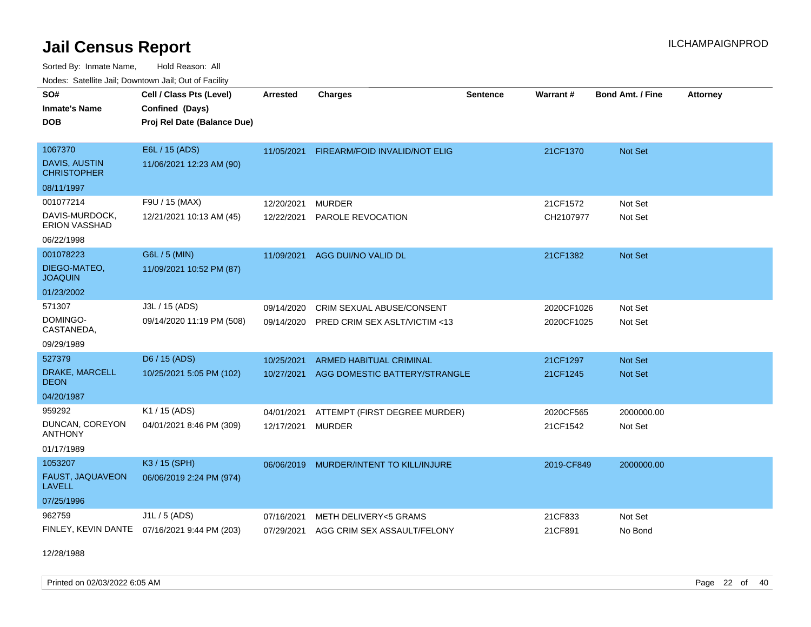Sorted By: Inmate Name, Hold Reason: All Nodes: Satellite Jail; Downtown Jail; Out of Facility

| <u>Houcs.</u> Outchne July, Downtown July, Out of Facility |                                              |                 |                                |                 |            |                         |                 |
|------------------------------------------------------------|----------------------------------------------|-----------------|--------------------------------|-----------------|------------|-------------------------|-----------------|
| SO#                                                        | Cell / Class Pts (Level)                     | <b>Arrested</b> | <b>Charges</b>                 | <b>Sentence</b> | Warrant#   | <b>Bond Amt. / Fine</b> | <b>Attorney</b> |
| <b>Inmate's Name</b>                                       | Confined (Days)                              |                 |                                |                 |            |                         |                 |
| <b>DOB</b>                                                 | Proj Rel Date (Balance Due)                  |                 |                                |                 |            |                         |                 |
|                                                            |                                              |                 |                                |                 |            |                         |                 |
| 1067370                                                    | E6L / 15 (ADS)                               | 11/05/2021      | FIREARM/FOID INVALID/NOT ELIG  |                 | 21CF1370   | Not Set                 |                 |
| DAVIS, AUSTIN<br><b>CHRISTOPHER</b>                        | 11/06/2021 12:23 AM (90)                     |                 |                                |                 |            |                         |                 |
| 08/11/1997                                                 |                                              |                 |                                |                 |            |                         |                 |
| 001077214                                                  | F9U / 15 (MAX)                               | 12/20/2021      | <b>MURDER</b>                  |                 | 21CF1572   | Not Set                 |                 |
| DAVIS-MURDOCK,<br>ERION VASSHAD                            | 12/21/2021 10:13 AM (45)                     | 12/22/2021      | PAROLE REVOCATION              |                 | CH2107977  | Not Set                 |                 |
| 06/22/1998                                                 |                                              |                 |                                |                 |            |                         |                 |
| 001078223                                                  | G6L / 5 (MIN)                                | 11/09/2021      | AGG DUI/NO VALID DL            |                 | 21CF1382   | Not Set                 |                 |
| DIEGO-MATEO,<br><b>JOAQUIN</b>                             | 11/09/2021 10:52 PM (87)                     |                 |                                |                 |            |                         |                 |
| 01/23/2002                                                 |                                              |                 |                                |                 |            |                         |                 |
| 571307                                                     | J3L / 15 (ADS)                               | 09/14/2020      | CRIM SEXUAL ABUSE/CONSENT      |                 | 2020CF1026 | Not Set                 |                 |
| DOMINGO-<br>CASTANEDA,                                     | 09/14/2020 11:19 PM (508)                    | 09/14/2020      | PRED CRIM SEX ASLT/VICTIM <13  |                 | 2020CF1025 | Not Set                 |                 |
| 09/29/1989                                                 |                                              |                 |                                |                 |            |                         |                 |
| 527379                                                     | D6 / 15 (ADS)                                | 10/25/2021      | <b>ARMED HABITUAL CRIMINAL</b> |                 | 21CF1297   | <b>Not Set</b>          |                 |
| DRAKE, MARCELL<br><b>DEON</b>                              | 10/25/2021 5:05 PM (102)                     | 10/27/2021      | AGG DOMESTIC BATTERY/STRANGLE  |                 | 21CF1245   | <b>Not Set</b>          |                 |
| 04/20/1987                                                 |                                              |                 |                                |                 |            |                         |                 |
| 959292                                                     | K1 / 15 (ADS)                                | 04/01/2021      | ATTEMPT (FIRST DEGREE MURDER)  |                 | 2020CF565  | 2000000.00              |                 |
| DUNCAN, COREYON<br><b>ANTHONY</b>                          | 04/01/2021 8:46 PM (309)                     | 12/17/2021      | <b>MURDER</b>                  |                 | 21CF1542   | Not Set                 |                 |
| 01/17/1989                                                 |                                              |                 |                                |                 |            |                         |                 |
| 1053207                                                    | K3 / 15 (SPH)                                | 06/06/2019      | MURDER/INTENT TO KILL/INJURE   |                 | 2019-CF849 | 2000000.00              |                 |
| FAUST, JAQUAVEON<br><b>LAVELL</b>                          | 06/06/2019 2:24 PM (974)                     |                 |                                |                 |            |                         |                 |
| 07/25/1996                                                 |                                              |                 |                                |                 |            |                         |                 |
| 962759                                                     | J1L / 5 (ADS)                                | 07/16/2021      | METH DELIVERY<5 GRAMS          |                 | 21CF833    | Not Set                 |                 |
|                                                            | FINLEY, KEVIN DANTE 07/16/2021 9:44 PM (203) | 07/29/2021      | AGG CRIM SEX ASSAULT/FELONY    |                 | 21CF891    | No Bond                 |                 |

12/28/1988

Printed on 02/03/2022 6:05 AM Page 22 of 40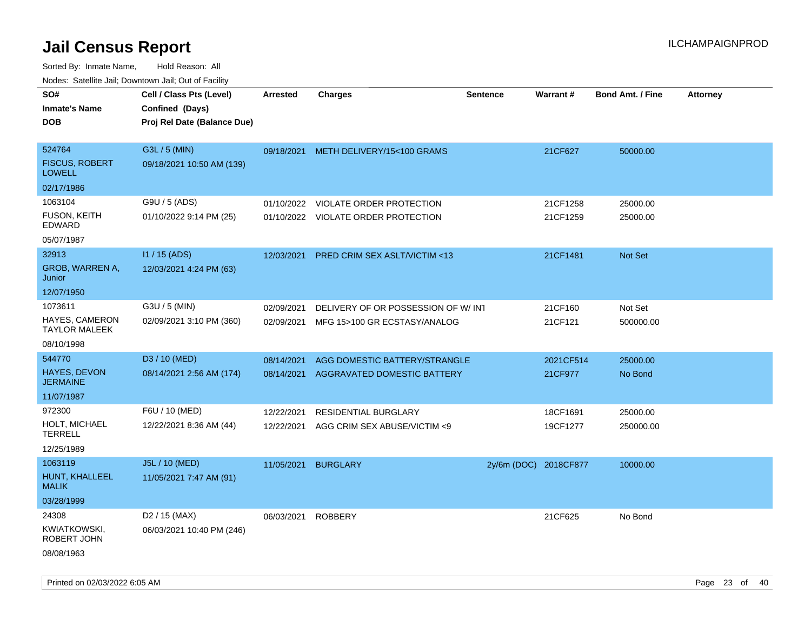| rouco. Calcinic Jan, Downtown Jan, Out of Facility |                                                                            |                 |                                         |                       |                 |                         |                 |
|----------------------------------------------------|----------------------------------------------------------------------------|-----------------|-----------------------------------------|-----------------------|-----------------|-------------------------|-----------------|
| SO#<br>Inmate's Name<br><b>DOB</b>                 | Cell / Class Pts (Level)<br>Confined (Days)<br>Proj Rel Date (Balance Due) | <b>Arrested</b> | <b>Charges</b>                          | <b>Sentence</b>       | <b>Warrant#</b> | <b>Bond Amt. / Fine</b> | <b>Attorney</b> |
| 524764<br><b>FISCUS, ROBERT</b><br><b>LOWELL</b>   | G3L / 5 (MIN)<br>09/18/2021 10:50 AM (139)                                 |                 | 09/18/2021 METH DELIVERY/15<100 GRAMS   |                       | 21CF627         | 50000.00                |                 |
| 02/17/1986                                         |                                                                            |                 |                                         |                       |                 |                         |                 |
| 1063104                                            | G9U / 5 (ADS)                                                              | 01/10/2022      | VIOLATE ORDER PROTECTION                |                       | 21CF1258        | 25000.00                |                 |
| FUSON, KEITH<br>EDWARD                             | 01/10/2022 9:14 PM (25)                                                    |                 | 01/10/2022 VIOLATE ORDER PROTECTION     |                       | 21CF1259        | 25000.00                |                 |
| 05/07/1987                                         |                                                                            |                 |                                         |                       |                 |                         |                 |
| 32913                                              | I1 / 15 (ADS)                                                              | 12/03/2021      | <b>PRED CRIM SEX ASLT/VICTIM &lt;13</b> |                       | 21CF1481        | <b>Not Set</b>          |                 |
| <b>GROB, WARREN A,</b><br>Junior                   | 12/03/2021 4:24 PM (63)                                                    |                 |                                         |                       |                 |                         |                 |
| 12/07/1950                                         |                                                                            |                 |                                         |                       |                 |                         |                 |
| 1073611                                            | G3U / 5 (MIN)                                                              | 02/09/2021      | DELIVERY OF OR POSSESSION OF W/INT      |                       | 21CF160         | Not Set                 |                 |
| HAYES, CAMERON<br>TAYLOR MALEEK                    | 02/09/2021 3:10 PM (360)                                                   | 02/09/2021      | MFG 15>100 GR ECSTASY/ANALOG            |                       | 21CF121         | 500000.00               |                 |
| 08/10/1998                                         |                                                                            |                 |                                         |                       |                 |                         |                 |
| 544770                                             | D3 / 10 (MED)                                                              | 08/14/2021      | AGG DOMESTIC BATTERY/STRANGLE           |                       | 2021CF514       | 25000.00                |                 |
| <b>HAYES, DEVON</b><br>JERMAINE                    | 08/14/2021 2:56 AM (174)                                                   | 08/14/2021      | AGGRAVATED DOMESTIC BATTERY             |                       | 21CF977         | No Bond                 |                 |
| 11/07/1987                                         |                                                                            |                 |                                         |                       |                 |                         |                 |
| 972300                                             | F6U / 10 (MED)                                                             | 12/22/2021      | RESIDENTIAL BURGLARY                    |                       | 18CF1691        | 25000.00                |                 |
| HOLT, MICHAEL<br>TERRELL                           | 12/22/2021 8:36 AM (44)                                                    | 12/22/2021      | AGG CRIM SEX ABUSE/VICTIM <9            |                       | 19CF1277        | 250000.00               |                 |
| 12/25/1989                                         |                                                                            |                 |                                         |                       |                 |                         |                 |
| 1063119                                            | J5L / 10 (MED)                                                             | 11/05/2021      | <b>BURGLARY</b>                         | 2y/6m (DOC) 2018CF877 |                 | 10000.00                |                 |
| HUNT, KHALLEEL<br>MALIK                            | 11/05/2021 7:47 AM (91)                                                    |                 |                                         |                       |                 |                         |                 |
| 03/28/1999                                         |                                                                            |                 |                                         |                       |                 |                         |                 |
| 24308                                              | D <sub>2</sub> / 15 (MAX)                                                  | 06/03/2021      | <b>ROBBERY</b>                          |                       | 21CF625         | No Bond                 |                 |
| KWIATKOWSKI,<br>ROBERT JOHN                        | 06/03/2021 10:40 PM (246)                                                  |                 |                                         |                       |                 |                         |                 |
| 08/08/1963                                         |                                                                            |                 |                                         |                       |                 |                         |                 |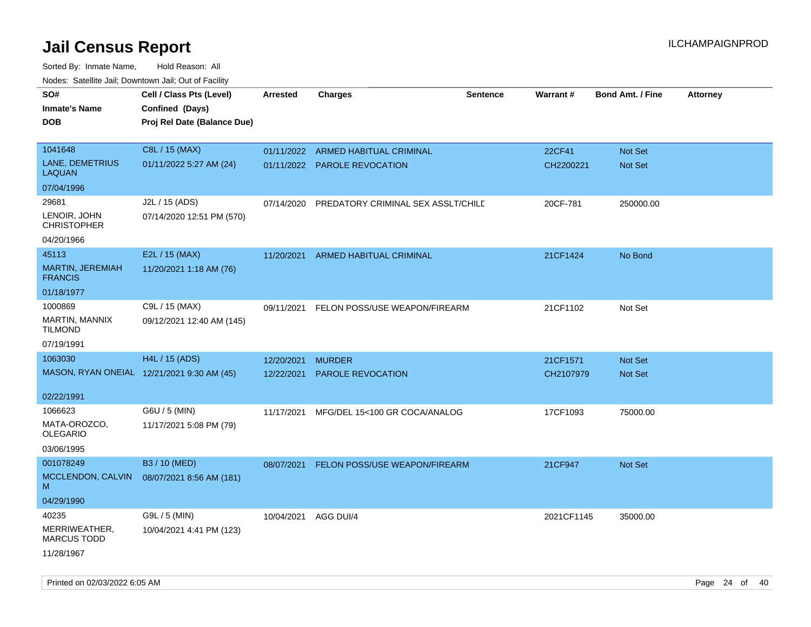| roaco. Catolino dall, Downtown dall, Out of Fability |                                            |                 |                                    |                 |                 |                         |                 |
|------------------------------------------------------|--------------------------------------------|-----------------|------------------------------------|-----------------|-----------------|-------------------------|-----------------|
| SO#                                                  | Cell / Class Pts (Level)                   | <b>Arrested</b> | Charges                            | <b>Sentence</b> | <b>Warrant#</b> | <b>Bond Amt. / Fine</b> | <b>Attorney</b> |
| <b>Inmate's Name</b>                                 | Confined (Days)                            |                 |                                    |                 |                 |                         |                 |
| <b>DOB</b>                                           | Proj Rel Date (Balance Due)                |                 |                                    |                 |                 |                         |                 |
|                                                      |                                            |                 |                                    |                 |                 |                         |                 |
| 1041648                                              | C8L / 15 (MAX)                             |                 | 01/11/2022 ARMED HABITUAL CRIMINAL |                 | 22CF41          | <b>Not Set</b>          |                 |
| LANE, DEMETRIUS<br><b>LAQUAN</b>                     | 01/11/2022 5:27 AM (24)                    |                 | 01/11/2022 PAROLE REVOCATION       |                 | CH2200221       | Not Set                 |                 |
| 07/04/1996                                           |                                            |                 |                                    |                 |                 |                         |                 |
| 29681                                                | J2L / 15 (ADS)                             | 07/14/2020      | PREDATORY CRIMINAL SEX ASSLT/CHILD |                 | 20CF-781        | 250000.00               |                 |
| LENOIR, JOHN<br><b>CHRISTOPHER</b>                   | 07/14/2020 12:51 PM (570)                  |                 |                                    |                 |                 |                         |                 |
| 04/20/1966                                           |                                            |                 |                                    |                 |                 |                         |                 |
| 45113                                                | E2L / 15 (MAX)                             | 11/20/2021      | ARMED HABITUAL CRIMINAL            |                 | 21CF1424        | No Bond                 |                 |
| MARTIN, JEREMIAH<br><b>FRANCIS</b>                   | 11/20/2021 1:18 AM (76)                    |                 |                                    |                 |                 |                         |                 |
| 01/18/1977                                           |                                            |                 |                                    |                 |                 |                         |                 |
| 1000869                                              | C9L / 15 (MAX)                             | 09/11/2021      | FELON POSS/USE WEAPON/FIREARM      |                 | 21CF1102        | Not Set                 |                 |
| MARTIN, MANNIX<br><b>TILMOND</b>                     | 09/12/2021 12:40 AM (145)                  |                 |                                    |                 |                 |                         |                 |
| 07/19/1991                                           |                                            |                 |                                    |                 |                 |                         |                 |
| 1063030                                              | <b>H4L / 15 (ADS)</b>                      | 12/20/2021      | <b>MURDER</b>                      |                 | 21CF1571        | <b>Not Set</b>          |                 |
|                                                      | MASON, RYAN ONEIAL 12/21/2021 9:30 AM (45) | 12/22/2021      | <b>PAROLE REVOCATION</b>           |                 | CH2107979       | <b>Not Set</b>          |                 |
|                                                      |                                            |                 |                                    |                 |                 |                         |                 |
| 02/22/1991                                           |                                            |                 |                                    |                 |                 |                         |                 |
| 1066623                                              | G6U / 5 (MIN)                              | 11/17/2021      | MFG/DEL 15<100 GR COCA/ANALOG      |                 | 17CF1093        | 75000.00                |                 |
| MATA-OROZCO.<br>OLEGARIO                             | 11/17/2021 5:08 PM (79)                    |                 |                                    |                 |                 |                         |                 |
| 03/06/1995                                           |                                            |                 |                                    |                 |                 |                         |                 |
| 001078249                                            | B3 / 10 (MED)                              |                 |                                    |                 |                 |                         |                 |
| MCCLENDON, CALVIN                                    | 08/07/2021 8:56 AM (181)                   | 08/07/2021      | FELON POSS/USE WEAPON/FIREARM      |                 | 21CF947         | <b>Not Set</b>          |                 |
| М                                                    |                                            |                 |                                    |                 |                 |                         |                 |
| 04/29/1990                                           |                                            |                 |                                    |                 |                 |                         |                 |
| 40235                                                | G9L / 5 (MIN)                              | 10/04/2021      | AGG DUI/4                          |                 | 2021CF1145      | 35000.00                |                 |
| MERRIWEATHER,<br><b>MARCUS TODD</b>                  | 10/04/2021 4:41 PM (123)                   |                 |                                    |                 |                 |                         |                 |
| 11/28/1967                                           |                                            |                 |                                    |                 |                 |                         |                 |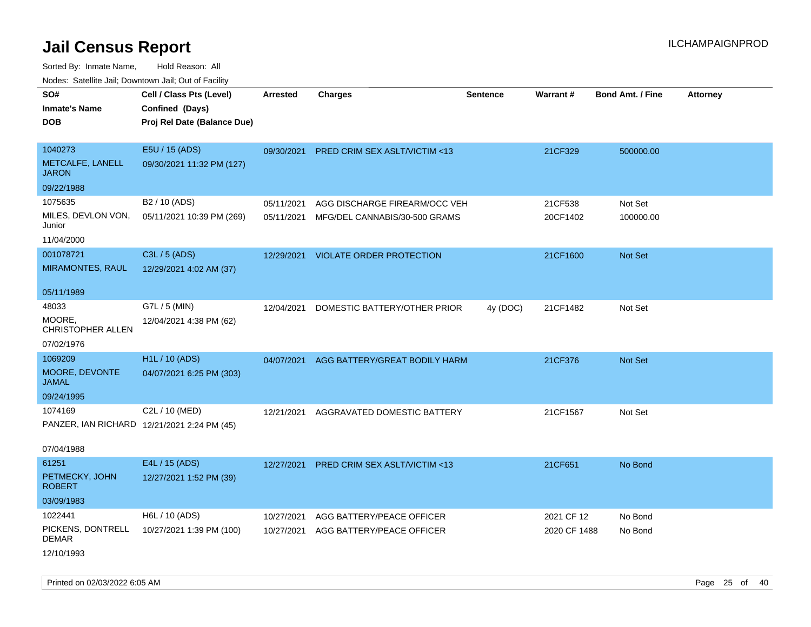Sorted By: Inmate Name, Hold Reason: All Nodes: Satellite Jail; Downtown Jail; Out of Facility

| ivoues. Salellite Jali, Downtown Jali, Out of Facility |                                             |                 |                                          |                 |              |                         |                 |
|--------------------------------------------------------|---------------------------------------------|-----------------|------------------------------------------|-----------------|--------------|-------------------------|-----------------|
| SO#                                                    | Cell / Class Pts (Level)                    | <b>Arrested</b> | <b>Charges</b>                           | <b>Sentence</b> | Warrant#     | <b>Bond Amt. / Fine</b> | <b>Attorney</b> |
| <b>Inmate's Name</b>                                   | Confined (Days)                             |                 |                                          |                 |              |                         |                 |
| <b>DOB</b>                                             | Proj Rel Date (Balance Due)                 |                 |                                          |                 |              |                         |                 |
|                                                        |                                             |                 |                                          |                 |              |                         |                 |
| 1040273                                                | E5U / 15 (ADS)                              | 09/30/2021      | PRED CRIM SEX ASLT/VICTIM <13            |                 | 21CF329      | 500000.00               |                 |
| METCALFE, LANELL<br><b>JARON</b>                       | 09/30/2021 11:32 PM (127)                   |                 |                                          |                 |              |                         |                 |
| 09/22/1988                                             |                                             |                 |                                          |                 |              |                         |                 |
| 1075635                                                | B2 / 10 (ADS)                               | 05/11/2021      | AGG DISCHARGE FIREARM/OCC VEH            |                 | 21CF538      | Not Set                 |                 |
| MILES, DEVLON VON,<br>Junior                           | 05/11/2021 10:39 PM (269)                   | 05/11/2021      | MFG/DEL CANNABIS/30-500 GRAMS            |                 | 20CF1402     | 100000.00               |                 |
| 11/04/2000                                             |                                             |                 |                                          |                 |              |                         |                 |
| 001078721                                              | C3L / 5 (ADS)                               | 12/29/2021      | <b>VIOLATE ORDER PROTECTION</b>          |                 | 21CF1600     | Not Set                 |                 |
| <b>MIRAMONTES, RAUL</b>                                | 12/29/2021 4:02 AM (37)                     |                 |                                          |                 |              |                         |                 |
|                                                        |                                             |                 |                                          |                 |              |                         |                 |
| 05/11/1989                                             |                                             |                 |                                          |                 |              |                         |                 |
| 48033                                                  | G7L / 5 (MIN)                               | 12/04/2021      | DOMESTIC BATTERY/OTHER PRIOR             | 4y (DOC)        | 21CF1482     | Not Set                 |                 |
| MOORE.<br><b>CHRISTOPHER ALLEN</b>                     | 12/04/2021 4:38 PM (62)                     |                 |                                          |                 |              |                         |                 |
| 07/02/1976                                             |                                             |                 |                                          |                 |              |                         |                 |
| 1069209                                                | H <sub>1</sub> L / 10 (ADS)                 |                 | 04/07/2021 AGG BATTERY/GREAT BODILY HARM |                 | 21CF376      | Not Set                 |                 |
| MOORE, DEVONTE<br><b>JAMAL</b>                         | 04/07/2021 6:25 PM (303)                    |                 |                                          |                 |              |                         |                 |
| 09/24/1995                                             |                                             |                 |                                          |                 |              |                         |                 |
| 1074169                                                | C2L / 10 (MED)                              | 12/21/2021      | AGGRAVATED DOMESTIC BATTERY              |                 | 21CF1567     | Not Set                 |                 |
|                                                        | PANZER, IAN RICHARD 12/21/2021 2:24 PM (45) |                 |                                          |                 |              |                         |                 |
| 07/04/1988                                             |                                             |                 |                                          |                 |              |                         |                 |
| 61251                                                  | E4L / 15 (ADS)                              | 12/27/2021      | <b>PRED CRIM SEX ASLT/VICTIM &lt;13</b>  |                 | 21CF651      | No Bond                 |                 |
| PETMECKY, JOHN<br><b>ROBERT</b>                        | 12/27/2021 1:52 PM (39)                     |                 |                                          |                 |              |                         |                 |
| 03/09/1983                                             |                                             |                 |                                          |                 |              |                         |                 |
| 1022441                                                | H6L / 10 (ADS)                              | 10/27/2021      | AGG BATTERY/PEACE OFFICER                |                 | 2021 CF 12   | No Bond                 |                 |
| PICKENS, DONTRELL<br><b>DEMAR</b>                      | 10/27/2021 1:39 PM (100)                    | 10/27/2021      | AGG BATTERY/PEACE OFFICER                |                 | 2020 CF 1488 | No Bond                 |                 |
| 12/10/1993                                             |                                             |                 |                                          |                 |              |                         |                 |

Printed on 02/03/2022 6:05 AM Page 25 of 40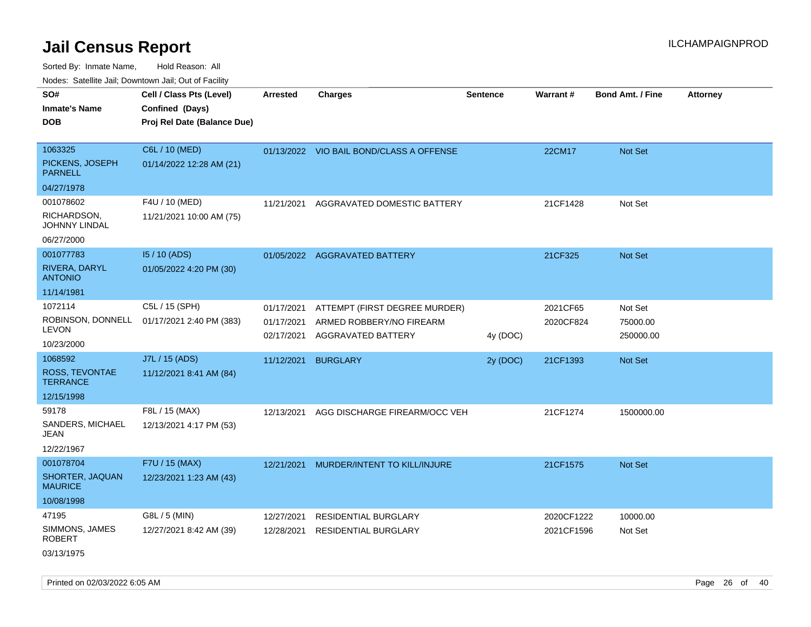Sorted By: Inmate Name, Hold Reason: All Nodes: Satellite Jail; Downtown Jail; Out of Facility

| Noues. Salemie Jan, Downtown Jan, Out of Facility |                             |                          |                                                |                 |            |                         |                 |
|---------------------------------------------------|-----------------------------|--------------------------|------------------------------------------------|-----------------|------------|-------------------------|-----------------|
| SO#                                               | Cell / Class Pts (Level)    | <b>Arrested</b>          | <b>Charges</b>                                 | <b>Sentence</b> | Warrant#   | <b>Bond Amt. / Fine</b> | <b>Attorney</b> |
| <b>Inmate's Name</b>                              | Confined (Days)             |                          |                                                |                 |            |                         |                 |
| <b>DOB</b>                                        | Proj Rel Date (Balance Due) |                          |                                                |                 |            |                         |                 |
|                                                   |                             |                          |                                                |                 |            |                         |                 |
| 1063325                                           | C6L / 10 (MED)              |                          | 01/13/2022 VIO BAIL BOND/CLASS A OFFENSE       |                 | 22CM17     | Not Set                 |                 |
| PICKENS, JOSEPH<br><b>PARNELL</b>                 | 01/14/2022 12:28 AM (21)    |                          |                                                |                 |            |                         |                 |
| 04/27/1978                                        |                             |                          |                                                |                 |            |                         |                 |
| 001078602                                         | F4U / 10 (MED)              | 11/21/2021               | AGGRAVATED DOMESTIC BATTERY                    |                 | 21CF1428   | Not Set                 |                 |
| RICHARDSON,<br><b>JOHNNY LINDAL</b>               | 11/21/2021 10:00 AM (75)    |                          |                                                |                 |            |                         |                 |
| 06/27/2000                                        |                             |                          |                                                |                 |            |                         |                 |
| 001077783                                         | I5 / 10 (ADS)               |                          | 01/05/2022 AGGRAVATED BATTERY                  |                 | 21CF325    | Not Set                 |                 |
| RIVERA, DARYL<br><b>ANTONIO</b>                   | 01/05/2022 4:20 PM (30)     |                          |                                                |                 |            |                         |                 |
| 11/14/1981                                        |                             |                          |                                                |                 |            |                         |                 |
| 1072114                                           | C5L / 15 (SPH)              | 01/17/2021               | ATTEMPT (FIRST DEGREE MURDER)                  |                 | 2021CF65   | Not Set                 |                 |
| ROBINSON, DONNELL<br><b>LEVON</b>                 | 01/17/2021 2:40 PM (383)    | 01/17/2021<br>02/17/2021 | ARMED ROBBERY/NO FIREARM<br>AGGRAVATED BATTERY | 4y (DOC)        | 2020CF824  | 75000.00<br>250000.00   |                 |
| 10/23/2000                                        |                             |                          |                                                |                 |            |                         |                 |
| 1068592                                           | J7L / 15 (ADS)              | 11/12/2021               | <b>BURGLARY</b>                                | 2y (DOC)        | 21CF1393   | Not Set                 |                 |
| ROSS, TEVONTAE<br><b>TERRANCE</b>                 | 11/12/2021 8:41 AM (84)     |                          |                                                |                 |            |                         |                 |
| 12/15/1998                                        |                             |                          |                                                |                 |            |                         |                 |
| 59178                                             | F8L / 15 (MAX)              | 12/13/2021               | AGG DISCHARGE FIREARM/OCC VEH                  |                 | 21CF1274   | 1500000.00              |                 |
| SANDERS, MICHAEL<br>JEAN                          | 12/13/2021 4:17 PM (53)     |                          |                                                |                 |            |                         |                 |
| 12/22/1967                                        |                             |                          |                                                |                 |            |                         |                 |
| 001078704                                         | F7U / 15 (MAX)              | 12/21/2021               | MURDER/INTENT TO KILL/INJURE                   |                 | 21CF1575   | Not Set                 |                 |
| SHORTER, JAQUAN<br><b>MAURICE</b>                 | 12/23/2021 1:23 AM (43)     |                          |                                                |                 |            |                         |                 |
| 10/08/1998                                        |                             |                          |                                                |                 |            |                         |                 |
| 47195                                             | G8L / 5 (MIN)               | 12/27/2021               | RESIDENTIAL BURGLARY                           |                 | 2020CF1222 | 10000.00                |                 |
| SIMMONS, JAMES<br><b>ROBERT</b>                   | 12/27/2021 8:42 AM (39)     | 12/28/2021               | <b>RESIDENTIAL BURGLARY</b>                    |                 | 2021CF1596 | Not Set                 |                 |
| 03/13/1975                                        |                             |                          |                                                |                 |            |                         |                 |

Printed on 02/03/2022 6:05 AM Page 26 of 40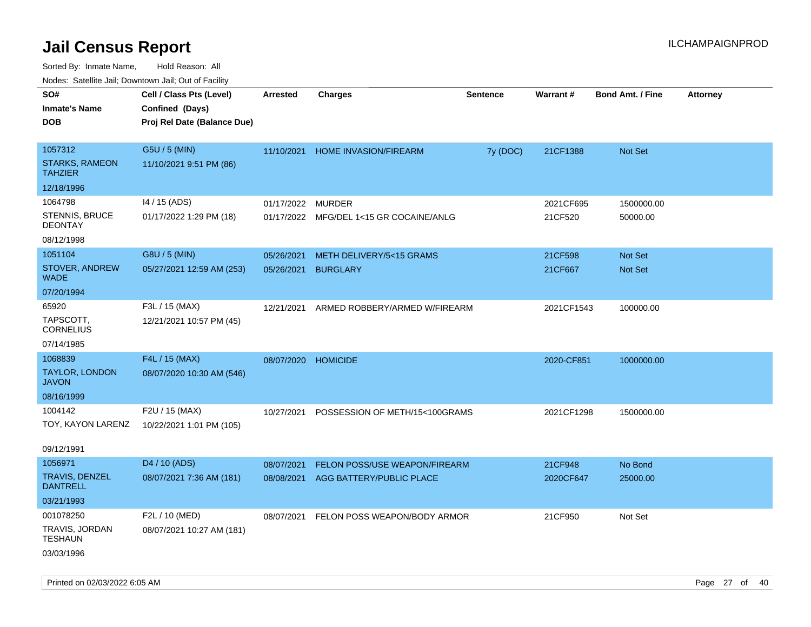| indues. Salenne Jan, Downlown Jan, Out of Facility |                             |            |                                         |                 |            |                  |                 |
|----------------------------------------------------|-----------------------------|------------|-----------------------------------------|-----------------|------------|------------------|-----------------|
| SO#                                                | Cell / Class Pts (Level)    | Arrested   | <b>Charges</b>                          | <b>Sentence</b> | Warrant#   | Bond Amt. / Fine | <b>Attorney</b> |
| <b>Inmate's Name</b>                               | Confined (Days)             |            |                                         |                 |            |                  |                 |
| <b>DOB</b>                                         | Proj Rel Date (Balance Due) |            |                                         |                 |            |                  |                 |
|                                                    |                             |            |                                         |                 |            |                  |                 |
| 1057312                                            | G5U / 5 (MIN)               | 11/10/2021 | <b>HOME INVASION/FIREARM</b>            | 7y (DOC)        | 21CF1388   | Not Set          |                 |
| <b>STARKS, RAMEON</b><br><b>TAHZIER</b>            | 11/10/2021 9:51 PM (86)     |            |                                         |                 |            |                  |                 |
| 12/18/1996                                         |                             |            |                                         |                 |            |                  |                 |
| 1064798                                            | 14 / 15 (ADS)               | 01/17/2022 | MURDER                                  |                 | 2021CF695  | 1500000.00       |                 |
| STENNIS, BRUCE<br><b>DEONTAY</b>                   | 01/17/2022 1:29 PM (18)     |            | 01/17/2022 MFG/DEL 1<15 GR COCAINE/ANLG |                 | 21CF520    | 50000.00         |                 |
| 08/12/1998                                         |                             |            |                                         |                 |            |                  |                 |
| 1051104                                            | G8U / 5 (MIN)               | 05/26/2021 | METH DELIVERY/5<15 GRAMS                |                 | 21CF598    | Not Set          |                 |
| STOVER, ANDREW<br><b>WADE</b>                      | 05/27/2021 12:59 AM (253)   | 05/26/2021 | <b>BURGLARY</b>                         |                 | 21CF667    | Not Set          |                 |
| 07/20/1994                                         |                             |            |                                         |                 |            |                  |                 |
| 65920                                              | F3L / 15 (MAX)              | 12/21/2021 | ARMED ROBBERY/ARMED W/FIREARM           |                 | 2021CF1543 | 100000.00        |                 |
| TAPSCOTT,<br><b>CORNELIUS</b>                      | 12/21/2021 10:57 PM (45)    |            |                                         |                 |            |                  |                 |
| 07/14/1985                                         |                             |            |                                         |                 |            |                  |                 |
| 1068839                                            | F4L / 15 (MAX)              | 08/07/2020 | <b>HOMICIDE</b>                         |                 | 2020-CF851 | 1000000.00       |                 |
| <b>TAYLOR, LONDON</b><br><b>JAVON</b>              | 08/07/2020 10:30 AM (546)   |            |                                         |                 |            |                  |                 |
| 08/16/1999                                         |                             |            |                                         |                 |            |                  |                 |
| 1004142                                            | F2U / 15 (MAX)              | 10/27/2021 | POSSESSION OF METH/15<100GRAMS          |                 | 2021CF1298 | 1500000.00       |                 |
| TOY, KAYON LARENZ                                  | 10/22/2021 1:01 PM (105)    |            |                                         |                 |            |                  |                 |
| 09/12/1991                                         |                             |            |                                         |                 |            |                  |                 |
| 1056971                                            | D4 / 10 (ADS)               | 08/07/2021 | FELON POSS/USE WEAPON/FIREARM           |                 | 21CF948    | No Bond          |                 |
| TRAVIS, DENZEL<br><b>DANTRELL</b>                  | 08/07/2021 7:36 AM (181)    | 08/08/2021 | AGG BATTERY/PUBLIC PLACE                |                 | 2020CF647  | 25000.00         |                 |
| 03/21/1993                                         |                             |            |                                         |                 |            |                  |                 |
| 001078250                                          | F2L / 10 (MED)              | 08/07/2021 | FELON POSS WEAPON/BODY ARMOR            |                 | 21CF950    | Not Set          |                 |
| TRAVIS, JORDAN<br><b>TESHAUN</b>                   | 08/07/2021 10:27 AM (181)   |            |                                         |                 |            |                  |                 |
| 03/03/1996                                         |                             |            |                                         |                 |            |                  |                 |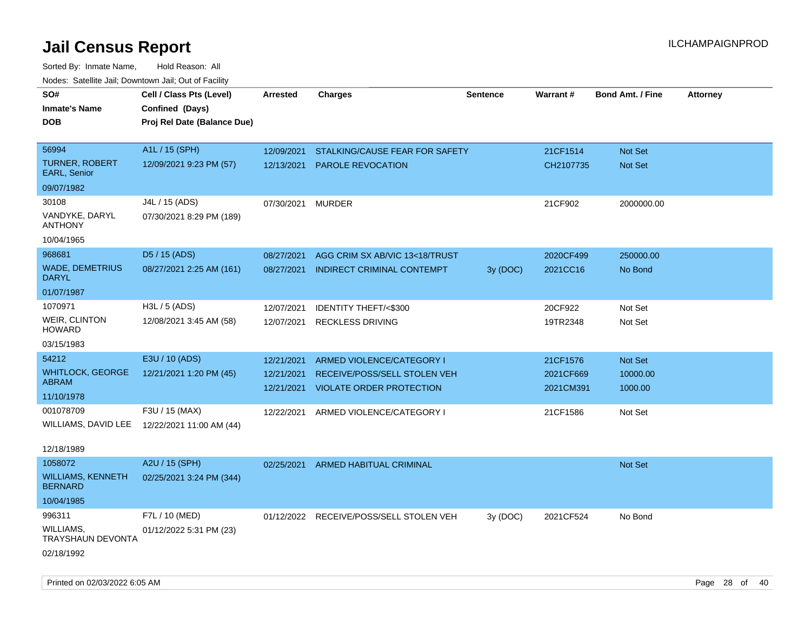| rougs. Calcing Jan, Downtown Jan, Out of Facinty |                             |                 |                                         |                 |           |                         |                 |
|--------------------------------------------------|-----------------------------|-----------------|-----------------------------------------|-----------------|-----------|-------------------------|-----------------|
| SO#                                              | Cell / Class Pts (Level)    | <b>Arrested</b> | <b>Charges</b>                          | <b>Sentence</b> | Warrant#  | <b>Bond Amt. / Fine</b> | <b>Attorney</b> |
| <b>Inmate's Name</b>                             | Confined (Days)             |                 |                                         |                 |           |                         |                 |
| <b>DOB</b>                                       | Proj Rel Date (Balance Due) |                 |                                         |                 |           |                         |                 |
|                                                  |                             |                 |                                         |                 |           |                         |                 |
| 56994                                            | A1L / 15 (SPH)              | 12/09/2021      | STALKING/CAUSE FEAR FOR SAFETY          |                 | 21CF1514  | Not Set                 |                 |
| <b>TURNER, ROBERT</b><br>EARL, Senior            | 12/09/2021 9:23 PM (57)     | 12/13/2021      | <b>PAROLE REVOCATION</b>                |                 | CH2107735 | <b>Not Set</b>          |                 |
| 09/07/1982                                       |                             |                 |                                         |                 |           |                         |                 |
| 30108                                            | J4L / 15 (ADS)              | 07/30/2021      | <b>MURDER</b>                           |                 | 21CF902   | 2000000.00              |                 |
| VANDYKE, DARYL<br><b>ANTHONY</b>                 | 07/30/2021 8:29 PM (189)    |                 |                                         |                 |           |                         |                 |
| 10/04/1965                                       |                             |                 |                                         |                 |           |                         |                 |
| 968681                                           | D5 / 15 (ADS)               | 08/27/2021      | AGG CRIM SX AB/VIC 13<18/TRUST          |                 | 2020CF499 | 250000.00               |                 |
| <b>WADE, DEMETRIUS</b><br><b>DARYL</b>           | 08/27/2021 2:25 AM (161)    | 08/27/2021      | <b>INDIRECT CRIMINAL CONTEMPT</b>       | 3y (DOC)        | 2021CC16  | No Bond                 |                 |
| 01/07/1987                                       |                             |                 |                                         |                 |           |                         |                 |
| 1070971                                          | H3L / 5 (ADS)               | 12/07/2021      | IDENTITY THEFT/<\$300                   |                 | 20CF922   | Not Set                 |                 |
| <b>WEIR, CLINTON</b><br><b>HOWARD</b>            | 12/08/2021 3:45 AM (58)     | 12/07/2021      | <b>RECKLESS DRIVING</b>                 |                 | 19TR2348  | Not Set                 |                 |
| 03/15/1983                                       |                             |                 |                                         |                 |           |                         |                 |
| 54212                                            | E3U / 10 (ADS)              | 12/21/2021      | ARMED VIOLENCE/CATEGORY I               |                 | 21CF1576  | Not Set                 |                 |
| <b>WHITLOCK, GEORGE</b>                          | 12/21/2021 1:20 PM (45)     | 12/21/2021      | RECEIVE/POSS/SELL STOLEN VEH            |                 | 2021CF669 | 10000.00                |                 |
| <b>ABRAM</b>                                     |                             | 12/21/2021      | <b>VIOLATE ORDER PROTECTION</b>         |                 | 2021CM391 | 1000.00                 |                 |
| 11/10/1978                                       |                             |                 |                                         |                 |           |                         |                 |
| 001078709                                        | F3U / 15 (MAX)              | 12/22/2021      | ARMED VIOLENCE/CATEGORY I               |                 | 21CF1586  | Not Set                 |                 |
| WILLIAMS, DAVID LEE                              | 12/22/2021 11:00 AM (44)    |                 |                                         |                 |           |                         |                 |
| 12/18/1989                                       |                             |                 |                                         |                 |           |                         |                 |
| 1058072                                          | A2U / 15 (SPH)              | 02/25/2021      | ARMED HABITUAL CRIMINAL                 |                 |           | <b>Not Set</b>          |                 |
| <b>WILLIAMS, KENNETH</b><br><b>BERNARD</b>       | 02/25/2021 3:24 PM (344)    |                 |                                         |                 |           |                         |                 |
| 10/04/1985                                       |                             |                 |                                         |                 |           |                         |                 |
| 996311                                           | F7L / 10 (MED)              |                 | 01/12/2022 RECEIVE/POSS/SELL STOLEN VEH | 3y (DOC)        | 2021CF524 | No Bond                 |                 |
| WILLIAMS,<br><b>TRAYSHAUN DEVONTA</b>            | 01/12/2022 5:31 PM (23)     |                 |                                         |                 |           |                         |                 |
| 02/18/1992                                       |                             |                 |                                         |                 |           |                         |                 |
|                                                  |                             |                 |                                         |                 |           |                         |                 |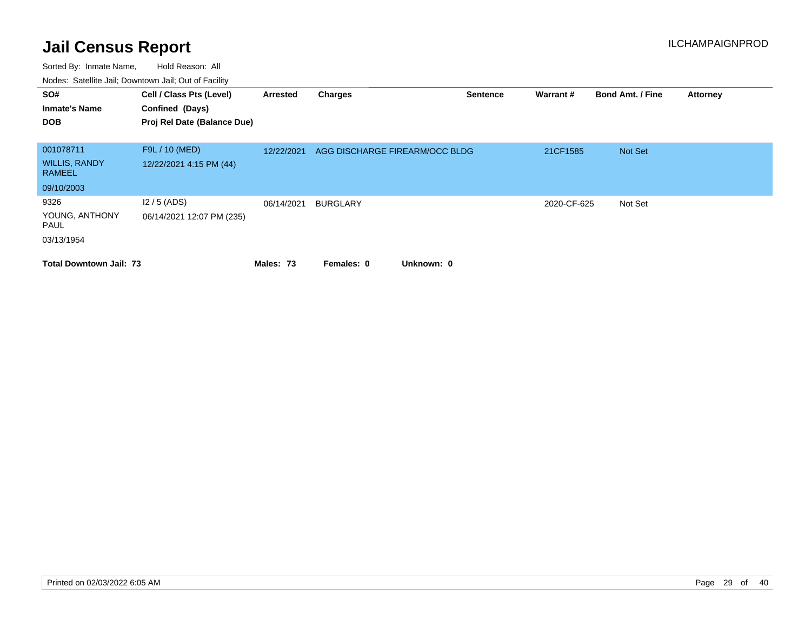| SO#<br><b>Inmate's Name</b><br><b>DOB</b> | Cell / Class Pts (Level)<br>Confined (Days)<br>Proj Rel Date (Balance Due) | Arrested   | <b>Charges</b>                 | <b>Sentence</b> | Warrant#    | <b>Bond Amt. / Fine</b> | <b>Attorney</b> |
|-------------------------------------------|----------------------------------------------------------------------------|------------|--------------------------------|-----------------|-------------|-------------------------|-----------------|
| 001078711                                 | F9L / 10 (MED)                                                             | 12/22/2021 | AGG DISCHARGE FIREARM/OCC BLDG |                 | 21CF1585    | Not Set                 |                 |
| <b>WILLIS, RANDY</b><br><b>RAMEEL</b>     | 12/22/2021 4:15 PM (44)                                                    |            |                                |                 |             |                         |                 |
| 09/10/2003                                |                                                                            |            |                                |                 |             |                         |                 |
| 9326                                      | $12/5$ (ADS)                                                               | 06/14/2021 | <b>BURGLARY</b>                |                 | 2020-CF-625 | Not Set                 |                 |
| YOUNG, ANTHONY<br>PAUL                    | 06/14/2021 12:07 PM (235)                                                  |            |                                |                 |             |                         |                 |
| 03/13/1954                                |                                                                            |            |                                |                 |             |                         |                 |
| <b>Total Downtown Jail: 73</b>            |                                                                            | Males: 73  | Unknown: 0<br>Females: 0       |                 |             |                         |                 |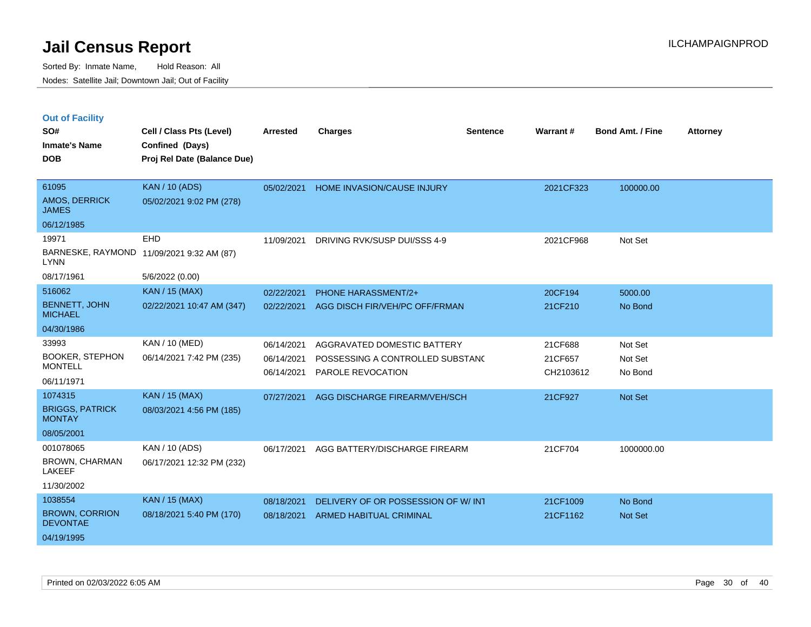|  | <b>Out of Facility</b> |
|--|------------------------|
|--|------------------------|

| SO#                                      | Cell / Class Pts (Level)    | <b>Arrested</b> | <b>Charges</b>                     | <b>Sentence</b> | Warrant#  | <b>Bond Amt. / Fine</b> | <b>Attorney</b> |
|------------------------------------------|-----------------------------|-----------------|------------------------------------|-----------------|-----------|-------------------------|-----------------|
| <b>Inmate's Name</b>                     | Confined (Days)             |                 |                                    |                 |           |                         |                 |
| <b>DOB</b>                               | Proj Rel Date (Balance Due) |                 |                                    |                 |           |                         |                 |
|                                          |                             |                 |                                    |                 |           |                         |                 |
| 61095                                    | <b>KAN / 10 (ADS)</b>       | 05/02/2021      | HOME INVASION/CAUSE INJURY         |                 | 2021CF323 | 100000.00               |                 |
| <b>AMOS, DERRICK</b><br><b>JAMES</b>     | 05/02/2021 9:02 PM (278)    |                 |                                    |                 |           |                         |                 |
| 06/12/1985                               |                             |                 |                                    |                 |           |                         |                 |
| 19971                                    | <b>EHD</b>                  | 11/09/2021      | DRIVING RVK/SUSP DUI/SSS 4-9       |                 | 2021CF968 | Not Set                 |                 |
| BARNESKE, RAYMOND<br><b>LYNN</b>         | 11/09/2021 9:32 AM (87)     |                 |                                    |                 |           |                         |                 |
| 08/17/1961                               | 5/6/2022 (0.00)             |                 |                                    |                 |           |                         |                 |
| 516062                                   | <b>KAN / 15 (MAX)</b>       | 02/22/2021      | PHONE HARASSMENT/2+                |                 | 20CF194   | 5000.00                 |                 |
| <b>BENNETT, JOHN</b><br><b>MICHAEL</b>   | 02/22/2021 10:47 AM (347)   | 02/22/2021      | AGG DISCH FIR/VEH/PC OFF/FRMAN     |                 | 21CF210   | No Bond                 |                 |
| 04/30/1986                               |                             |                 |                                    |                 |           |                         |                 |
| 33993                                    | KAN / 10 (MED)              | 06/14/2021      | AGGRAVATED DOMESTIC BATTERY        |                 | 21CF688   | Not Set                 |                 |
| <b>BOOKER, STEPHON</b>                   | 06/14/2021 7:42 PM (235)    | 06/14/2021      | POSSESSING A CONTROLLED SUBSTAND   |                 | 21CF657   | Not Set                 |                 |
| <b>MONTELL</b>                           |                             | 06/14/2021      | PAROLE REVOCATION                  |                 | CH2103612 | No Bond                 |                 |
| 06/11/1971                               |                             |                 |                                    |                 |           |                         |                 |
| 1074315                                  | <b>KAN / 15 (MAX)</b>       | 07/27/2021      | AGG DISCHARGE FIREARM/VEH/SCH      |                 | 21CF927   | Not Set                 |                 |
| <b>BRIGGS, PATRICK</b><br><b>MONTAY</b>  | 08/03/2021 4:56 PM (185)    |                 |                                    |                 |           |                         |                 |
| 08/05/2001                               |                             |                 |                                    |                 |           |                         |                 |
| 001078065                                | KAN / 10 (ADS)              | 06/17/2021      | AGG BATTERY/DISCHARGE FIREARM      |                 | 21CF704   | 1000000.00              |                 |
| BROWN, CHARMAN<br>LAKEEF                 | 06/17/2021 12:32 PM (232)   |                 |                                    |                 |           |                         |                 |
| 11/30/2002                               |                             |                 |                                    |                 |           |                         |                 |
| 1038554                                  | <b>KAN / 15 (MAX)</b>       | 08/18/2021      | DELIVERY OF OR POSSESSION OF W/INT |                 | 21CF1009  | No Bond                 |                 |
| <b>BROWN, CORRION</b><br><b>DEVONTAE</b> | 08/18/2021 5:40 PM (170)    | 08/18/2021      | <b>ARMED HABITUAL CRIMINAL</b>     |                 | 21CF1162  | <b>Not Set</b>          |                 |
| 04/19/1995                               |                             |                 |                                    |                 |           |                         |                 |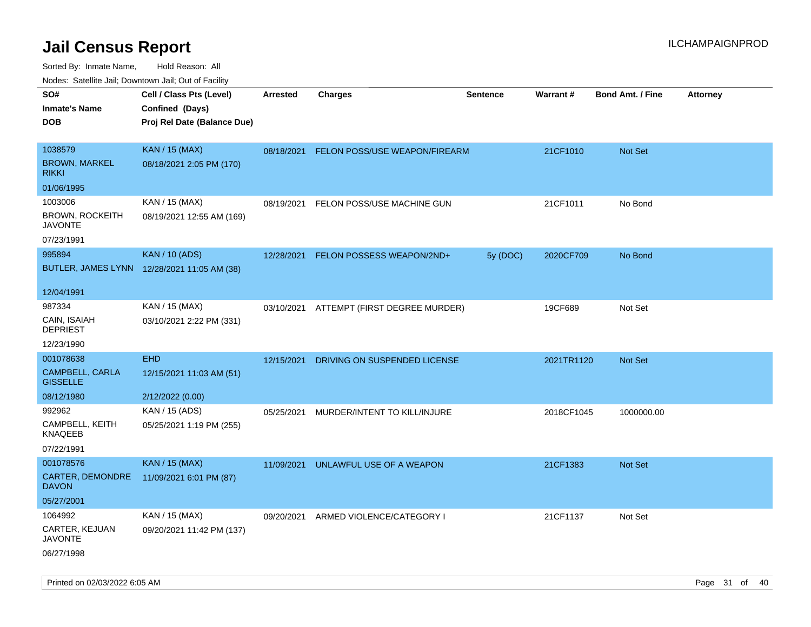| ivouss. Saleline Jali, Downtown Jali, Out of Facility |                                             |                 |                                          |                 |                 |                         |                 |
|-------------------------------------------------------|---------------------------------------------|-----------------|------------------------------------------|-----------------|-----------------|-------------------------|-----------------|
| SO#                                                   | Cell / Class Pts (Level)                    | <b>Arrested</b> | <b>Charges</b>                           | <b>Sentence</b> | <b>Warrant#</b> | <b>Bond Amt. / Fine</b> | <b>Attorney</b> |
| Inmate's Name                                         | Confined (Days)                             |                 |                                          |                 |                 |                         |                 |
| DOB                                                   | Proj Rel Date (Balance Due)                 |                 |                                          |                 |                 |                         |                 |
|                                                       |                                             |                 |                                          |                 |                 |                         |                 |
| 1038579                                               | <b>KAN / 15 (MAX)</b>                       | 08/18/2021      | FELON POSS/USE WEAPON/FIREARM            |                 | 21CF1010        | Not Set                 |                 |
| <b>BROWN, MARKEL</b><br>RIKKI                         | 08/18/2021 2:05 PM (170)                    |                 |                                          |                 |                 |                         |                 |
| 01/06/1995                                            |                                             |                 |                                          |                 |                 |                         |                 |
| 1003006                                               | KAN / 15 (MAX)                              | 08/19/2021      | FELON POSS/USE MACHINE GUN               |                 | 21CF1011        | No Bond                 |                 |
| <b>BROWN, ROCKEITH</b><br><b>JAVONTE</b>              | 08/19/2021 12:55 AM (169)                   |                 |                                          |                 |                 |                         |                 |
| 07/23/1991                                            |                                             |                 |                                          |                 |                 |                         |                 |
| 995894                                                | <b>KAN / 10 (ADS)</b>                       | 12/28/2021      | FELON POSSESS WEAPON/2ND+                | 5y (DOC)        | 2020CF709       | No Bond                 |                 |
|                                                       | BUTLER, JAMES LYNN 12/28/2021 11:05 AM (38) |                 |                                          |                 |                 |                         |                 |
| 12/04/1991                                            |                                             |                 |                                          |                 |                 |                         |                 |
| 987334                                                | KAN / 15 (MAX)                              |                 | 03/10/2021 ATTEMPT (FIRST DEGREE MURDER) |                 | 19CF689         | Not Set                 |                 |
| CAIN, ISAIAH<br>DEPRIEST                              | 03/10/2021 2:22 PM (331)                    |                 |                                          |                 |                 |                         |                 |
| 12/23/1990                                            |                                             |                 |                                          |                 |                 |                         |                 |
| 001078638                                             | <b>EHD</b>                                  | 12/15/2021      | DRIVING ON SUSPENDED LICENSE             |                 | 2021TR1120      | <b>Not Set</b>          |                 |
| <b>CAMPBELL, CARLA</b><br><b>GISSELLE</b>             | 12/15/2021 11:03 AM (51)                    |                 |                                          |                 |                 |                         |                 |
| 08/12/1980                                            | 2/12/2022 (0.00)                            |                 |                                          |                 |                 |                         |                 |
| 992962                                                | KAN / 15 (ADS)                              | 05/25/2021      | MURDER/INTENT TO KILL/INJURE             |                 | 2018CF1045      | 1000000.00              |                 |
| CAMPBELL, KEITH<br>KNAQEEB                            | 05/25/2021 1:19 PM (255)                    |                 |                                          |                 |                 |                         |                 |
| 07/22/1991                                            |                                             |                 |                                          |                 |                 |                         |                 |
| 001078576                                             | <b>KAN / 15 (MAX)</b>                       | 11/09/2021      | UNLAWFUL USE OF A WEAPON                 |                 | 21CF1383        | <b>Not Set</b>          |                 |
| CARTER, DEMONDRE<br>DAVON                             | 11/09/2021 6:01 PM (87)                     |                 |                                          |                 |                 |                         |                 |
| 05/27/2001                                            |                                             |                 |                                          |                 |                 |                         |                 |
| 1064992                                               | KAN / 15 (MAX)                              | 09/20/2021      | ARMED VIOLENCE/CATEGORY I                |                 | 21CF1137        | Not Set                 |                 |
| CARTER, KEJUAN<br>JAVONTE                             | 09/20/2021 11:42 PM (137)                   |                 |                                          |                 |                 |                         |                 |
| 06/27/1998                                            |                                             |                 |                                          |                 |                 |                         |                 |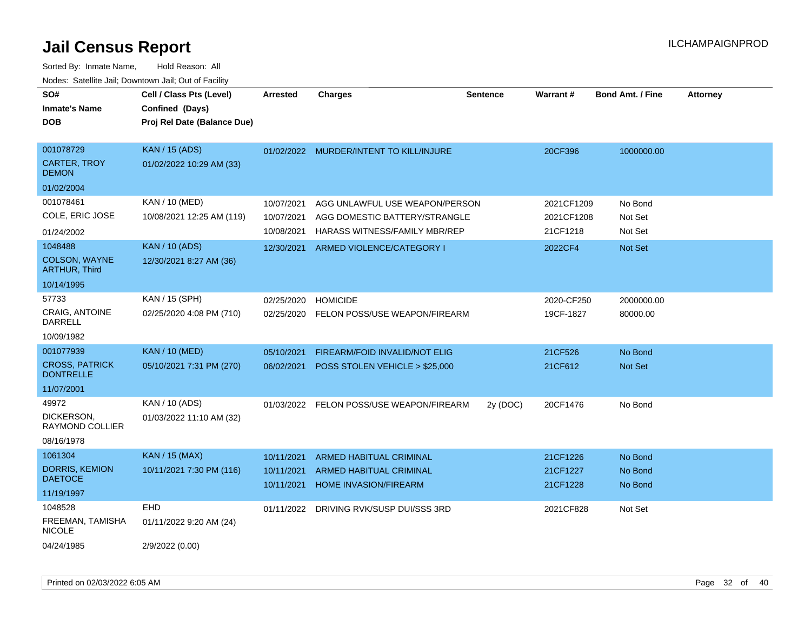| SO#<br><b>Inmate's Name</b><br><b>DOB</b>        | Cell / Class Pts (Level)<br>Confined (Days)<br>Proj Rel Date (Balance Due) | <b>Arrested</b>                        | <b>Charges</b>                                                                     | <b>Sentence</b> | Warrant#                         | <b>Bond Amt. / Fine</b>       | <b>Attorney</b> |
|--------------------------------------------------|----------------------------------------------------------------------------|----------------------------------------|------------------------------------------------------------------------------------|-----------------|----------------------------------|-------------------------------|-----------------|
| 001078729<br><b>CARTER, TROY</b><br><b>DEMON</b> | <b>KAN / 15 (ADS)</b><br>01/02/2022 10:29 AM (33)                          |                                        | 01/02/2022 MURDER/INTENT TO KILL/INJURE                                            |                 | 20CF396                          | 1000000.00                    |                 |
| 01/02/2004<br>001078461                          | KAN / 10 (MED)                                                             |                                        |                                                                                    |                 |                                  |                               |                 |
| COLE, ERIC JOSE                                  | 10/08/2021 12:25 AM (119)                                                  | 10/07/2021<br>10/07/2021               | AGG UNLAWFUL USE WEAPON/PERSON<br>AGG DOMESTIC BATTERY/STRANGLE                    |                 | 2021CF1209<br>2021CF1208         | No Bond<br>Not Set            |                 |
| 01/24/2002                                       |                                                                            | 10/08/2021                             | HARASS WITNESS/FAMILY MBR/REP                                                      |                 | 21CF1218                         | Not Set                       |                 |
| 1048488<br>COLSON, WAYNE<br><b>ARTHUR, Third</b> | <b>KAN / 10 (ADS)</b><br>12/30/2021 8:27 AM (36)                           | 12/30/2021                             | ARMED VIOLENCE/CATEGORY I                                                          |                 | 2022CF4                          | Not Set                       |                 |
| 10/14/1995                                       |                                                                            |                                        |                                                                                    |                 |                                  |                               |                 |
| 57733<br>CRAIG, ANTOINE<br>DARRELL               | KAN / 15 (SPH)<br>02/25/2020 4:08 PM (710)                                 | 02/25/2020<br>02/25/2020               | <b>HOMICIDE</b><br>FELON POSS/USE WEAPON/FIREARM                                   |                 | 2020-CF250<br>19CF-1827          | 2000000.00<br>80000.00        |                 |
| 10/09/1982                                       |                                                                            |                                        |                                                                                    |                 |                                  |                               |                 |
| 001077939                                        | <b>KAN / 10 (MED)</b>                                                      | 05/10/2021                             | FIREARM/FOID INVALID/NOT ELIG                                                      |                 | 21CF526                          | No Bond                       |                 |
| <b>CROSS, PATRICK</b><br><b>DONTRELLE</b>        | 05/10/2021 7:31 PM (270)                                                   | 06/02/2021                             | POSS STOLEN VEHICLE > \$25,000                                                     |                 | 21CF612                          | Not Set                       |                 |
| 11/07/2001                                       |                                                                            |                                        |                                                                                    |                 |                                  |                               |                 |
| 49972<br>DICKERSON,<br>RAYMOND COLLIER           | KAN / 10 (ADS)<br>01/03/2022 11:10 AM (32)                                 | 01/03/2022                             | FELON POSS/USE WEAPON/FIREARM                                                      | 2y (DOC)        | 20CF1476                         | No Bond                       |                 |
| 08/16/1978<br>1061304                            | <b>KAN / 15 (MAX)</b>                                                      |                                        |                                                                                    |                 |                                  |                               |                 |
| <b>DORRIS, KEMION</b><br><b>DAETOCE</b>          | 10/11/2021 7:30 PM (116)                                                   | 10/11/2021<br>10/11/2021<br>10/11/2021 | <b>ARMED HABITUAL CRIMINAL</b><br>ARMED HABITUAL CRIMINAL<br>HOME INVASION/FIREARM |                 | 21CF1226<br>21CF1227<br>21CF1228 | No Bond<br>No Bond<br>No Bond |                 |
| 11/19/1997                                       |                                                                            |                                        |                                                                                    |                 |                                  |                               |                 |
| 1048528<br>FREEMAN, TAMISHA<br><b>NICOLE</b>     | EHD<br>01/11/2022 9:20 AM (24)                                             | 01/11/2022                             | DRIVING RVK/SUSP DUI/SSS 3RD                                                       |                 | 2021CF828                        | Not Set                       |                 |
| 04/24/1985                                       | 2/9/2022 (0.00)                                                            |                                        |                                                                                    |                 |                                  |                               |                 |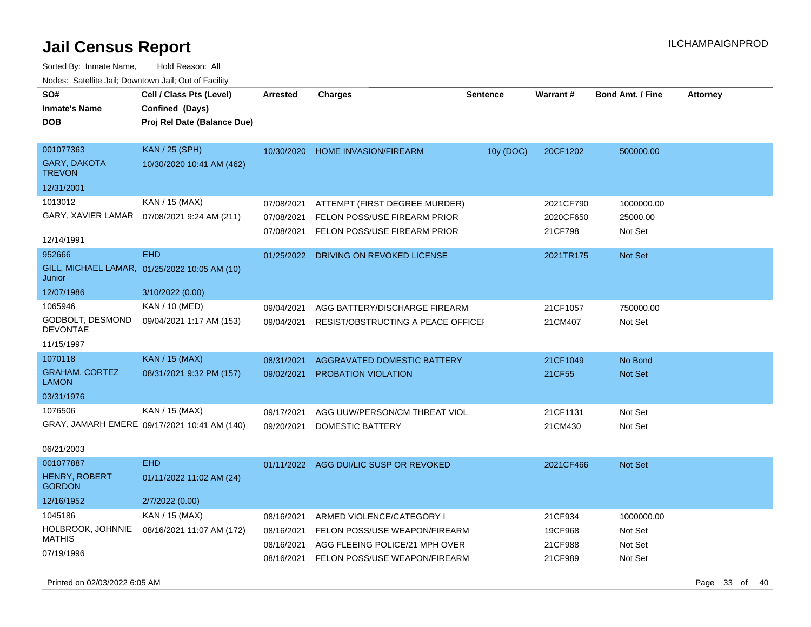| Nuuts. Saltiille Jall, Downlown Jall, Oul of Facility |                                               |                 |                                        |                 |                 |                         |                 |
|-------------------------------------------------------|-----------------------------------------------|-----------------|----------------------------------------|-----------------|-----------------|-------------------------|-----------------|
| SO#                                                   | Cell / Class Pts (Level)                      | <b>Arrested</b> | <b>Charges</b>                         | <b>Sentence</b> | <b>Warrant#</b> | <b>Bond Amt. / Fine</b> | <b>Attorney</b> |
| <b>Inmate's Name</b>                                  | Confined (Days)                               |                 |                                        |                 |                 |                         |                 |
| <b>DOB</b>                                            | Proj Rel Date (Balance Due)                   |                 |                                        |                 |                 |                         |                 |
|                                                       |                                               |                 |                                        |                 |                 |                         |                 |
| 001077363                                             | <b>KAN / 25 (SPH)</b>                         | 10/30/2020      | <b>HOME INVASION/FIREARM</b>           | 10y (DOC)       | 20CF1202        | 500000.00               |                 |
| <b>GARY, DAKOTA</b><br><b>TREVON</b>                  | 10/30/2020 10:41 AM (462)                     |                 |                                        |                 |                 |                         |                 |
| 12/31/2001                                            |                                               |                 |                                        |                 |                 |                         |                 |
| 1013012                                               | KAN / 15 (MAX)                                | 07/08/2021      | ATTEMPT (FIRST DEGREE MURDER)          |                 | 2021CF790       | 1000000.00              |                 |
| GARY, XAVIER LAMAR                                    | 07/08/2021 9:24 AM (211)                      | 07/08/2021      | FELON POSS/USE FIREARM PRIOR           |                 | 2020CF650       | 25000.00                |                 |
|                                                       |                                               | 07/08/2021      | FELON POSS/USE FIREARM PRIOR           |                 | 21CF798         | Not Set                 |                 |
| 12/14/1991                                            |                                               |                 |                                        |                 |                 |                         |                 |
| 952666                                                | <b>EHD</b>                                    | 01/25/2022      | DRIVING ON REVOKED LICENSE             |                 | 2021TR175       | Not Set                 |                 |
| Junior                                                | GILL, MICHAEL LAMAR, 01/25/2022 10:05 AM (10) |                 |                                        |                 |                 |                         |                 |
| 12/07/1986                                            | 3/10/2022 (0.00)                              |                 |                                        |                 |                 |                         |                 |
| 1065946                                               | KAN / 10 (MED)                                | 09/04/2021      | AGG BATTERY/DISCHARGE FIREARM          |                 | 21CF1057        | 750000.00               |                 |
| GODBOLT, DESMOND<br><b>DEVONTAE</b>                   | 09/04/2021 1:17 AM (153)                      | 09/04/2021      | RESIST/OBSTRUCTING A PEACE OFFICEI     |                 | 21CM407         | Not Set                 |                 |
| 11/15/1997                                            |                                               |                 |                                        |                 |                 |                         |                 |
| 1070118                                               | <b>KAN / 15 (MAX)</b>                         | 08/31/2021      | <b>AGGRAVATED DOMESTIC BATTERY</b>     |                 | 21CF1049        | No Bond                 |                 |
| <b>GRAHAM, CORTEZ</b><br><b>LAMON</b>                 | 08/31/2021 9:32 PM (157)                      | 09/02/2021      | PROBATION VIOLATION                    |                 | 21CF55          | Not Set                 |                 |
| 03/31/1976                                            |                                               |                 |                                        |                 |                 |                         |                 |
| 1076506                                               | KAN / 15 (MAX)                                | 09/17/2021      | AGG UUW/PERSON/CM THREAT VIOL          |                 | 21CF1131        | Not Set                 |                 |
|                                                       | GRAY, JAMARH EMERE 09/17/2021 10:41 AM (140)  | 09/20/2021      | DOMESTIC BATTERY                       |                 | 21CM430         | Not Set                 |                 |
|                                                       |                                               |                 |                                        |                 |                 |                         |                 |
| 06/21/2003                                            |                                               |                 |                                        |                 |                 |                         |                 |
| 001077887                                             | <b>EHD</b>                                    |                 | 01/11/2022 AGG DUI/LIC SUSP OR REVOKED |                 | 2021CF466       | Not Set                 |                 |
| <b>HENRY, ROBERT</b><br><b>GORDON</b>                 | 01/11/2022 11:02 AM (24)                      |                 |                                        |                 |                 |                         |                 |
| 12/16/1952                                            | 2/7/2022 (0.00)                               |                 |                                        |                 |                 |                         |                 |
| 1045186                                               | KAN / 15 (MAX)                                | 08/16/2021      | ARMED VIOLENCE/CATEGORY I              |                 | 21CF934         | 1000000.00              |                 |
| HOLBROOK, JOHNNIE                                     | 08/16/2021 11:07 AM (172)                     | 08/16/2021      | FELON POSS/USE WEAPON/FIREARM          |                 | 19CF968         | Not Set                 |                 |
| <b>MATHIS</b>                                         |                                               | 08/16/2021      | AGG FLEEING POLICE/21 MPH OVER         |                 | 21CF988         | Not Set                 |                 |
| 07/19/1996                                            |                                               | 08/16/2021      | FELON POSS/USE WEAPON/FIREARM          |                 | 21CF989         | Not Set                 |                 |
|                                                       |                                               |                 |                                        |                 |                 |                         |                 |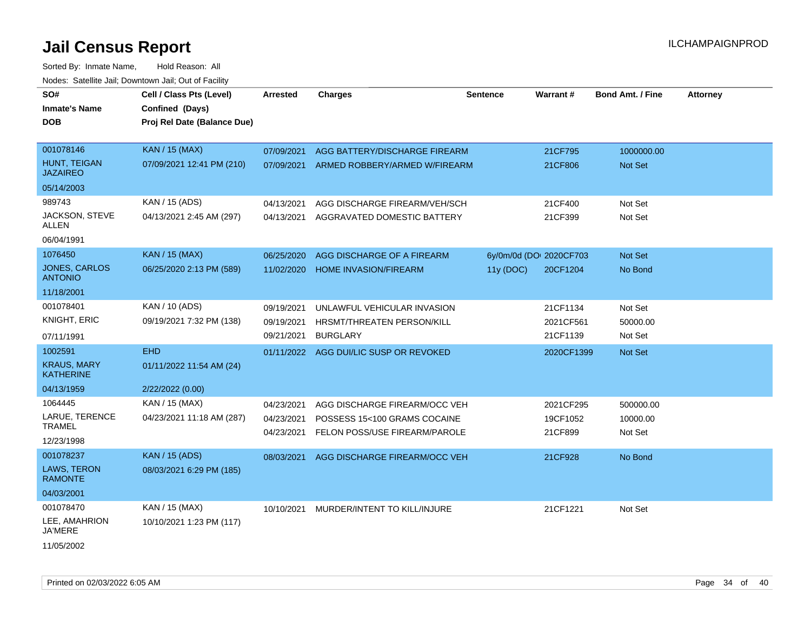| SO#<br><b>Inmate's Name</b><br><b>DOB</b> | Cell / Class Pts (Level)<br>Confined (Days)<br>Proj Rel Date (Balance Due) | <b>Arrested</b> | <b>Charges</b>                         | <b>Sentence</b> | <b>Warrant#</b>         | <b>Bond Amt. / Fine</b> | <b>Attorney</b> |
|-------------------------------------------|----------------------------------------------------------------------------|-----------------|----------------------------------------|-----------------|-------------------------|-------------------------|-----------------|
|                                           |                                                                            |                 |                                        |                 |                         |                         |                 |
| 001078146                                 | <b>KAN / 15 (MAX)</b>                                                      | 07/09/2021      | AGG BATTERY/DISCHARGE FIREARM          |                 | 21CF795                 | 1000000.00              |                 |
| HUNT, TEIGAN<br><b>JAZAIREO</b>           | 07/09/2021 12:41 PM (210)                                                  | 07/09/2021      | ARMED ROBBERY/ARMED W/FIREARM          |                 | 21CF806                 | <b>Not Set</b>          |                 |
| 05/14/2003                                |                                                                            |                 |                                        |                 |                         |                         |                 |
| 989743                                    | KAN / 15 (ADS)                                                             | 04/13/2021      | AGG DISCHARGE FIREARM/VEH/SCH          |                 | 21CF400                 | Not Set                 |                 |
| JACKSON, STEVE<br>ALLEN                   | 04/13/2021 2:45 AM (297)                                                   | 04/13/2021      | AGGRAVATED DOMESTIC BATTERY            |                 | 21CF399                 | Not Set                 |                 |
| 06/04/1991                                |                                                                            |                 |                                        |                 |                         |                         |                 |
| 1076450                                   | <b>KAN / 15 (MAX)</b>                                                      | 06/25/2020      | AGG DISCHARGE OF A FIREARM             |                 | 6y/0m/0d (DOI 2020CF703 | <b>Not Set</b>          |                 |
| JONES, CARLOS<br><b>ANTONIO</b>           | 06/25/2020 2:13 PM (589)                                                   | 11/02/2020      | <b>HOME INVASION/FIREARM</b>           | 11y (DOC)       | 20CF1204                | No Bond                 |                 |
| 11/18/2001                                |                                                                            |                 |                                        |                 |                         |                         |                 |
| 001078401                                 | KAN / 10 (ADS)                                                             | 09/19/2021      | UNLAWFUL VEHICULAR INVASION            |                 | 21CF1134                | Not Set                 |                 |
| <b>KNIGHT, ERIC</b>                       | 09/19/2021 7:32 PM (138)                                                   | 09/19/2021      | HRSMT/THREATEN PERSON/KILL             |                 | 2021CF561               | 50000.00                |                 |
| 07/11/1991                                |                                                                            | 09/21/2021      | <b>BURGLARY</b>                        |                 | 21CF1139                | Not Set                 |                 |
| 1002591                                   | <b>EHD</b>                                                                 |                 | 01/11/2022 AGG DUI/LIC SUSP OR REVOKED |                 | 2020CF1399              | <b>Not Set</b>          |                 |
| <b>KRAUS, MARY</b><br><b>KATHERINE</b>    | 01/11/2022 11:54 AM (24)                                                   |                 |                                        |                 |                         |                         |                 |
| 04/13/1959                                | 2/22/2022 (0.00)                                                           |                 |                                        |                 |                         |                         |                 |
| 1064445                                   | KAN / 15 (MAX)                                                             | 04/23/2021      | AGG DISCHARGE FIREARM/OCC VEH          |                 | 2021CF295               | 500000.00               |                 |
| LARUE, TERENCE                            | 04/23/2021 11:18 AM (287)                                                  | 04/23/2021      | POSSESS 15<100 GRAMS COCAINE           |                 | 19CF1052                | 10000.00                |                 |
| TRAMEL                                    |                                                                            | 04/23/2021      | FELON POSS/USE FIREARM/PAROLE          |                 | 21CF899                 | Not Set                 |                 |
| 12/23/1998                                |                                                                            |                 |                                        |                 |                         |                         |                 |
| 001078237                                 | <b>KAN / 15 (ADS)</b>                                                      | 08/03/2021      | AGG DISCHARGE FIREARM/OCC VEH          |                 | 21CF928                 | No Bond                 |                 |
| LAWS, TERON<br><b>RAMONTE</b>             | 08/03/2021 6:29 PM (185)                                                   |                 |                                        |                 |                         |                         |                 |
| 04/03/2001                                |                                                                            |                 |                                        |                 |                         |                         |                 |
| 001078470                                 | KAN / 15 (MAX)                                                             | 10/10/2021      | MURDER/INTENT TO KILL/INJURE           |                 | 21CF1221                | Not Set                 |                 |
| LEE, AMAHRION<br>JA'MERE                  | 10/10/2021 1:23 PM (117)                                                   |                 |                                        |                 |                         |                         |                 |
| 11/05/2002                                |                                                                            |                 |                                        |                 |                         |                         |                 |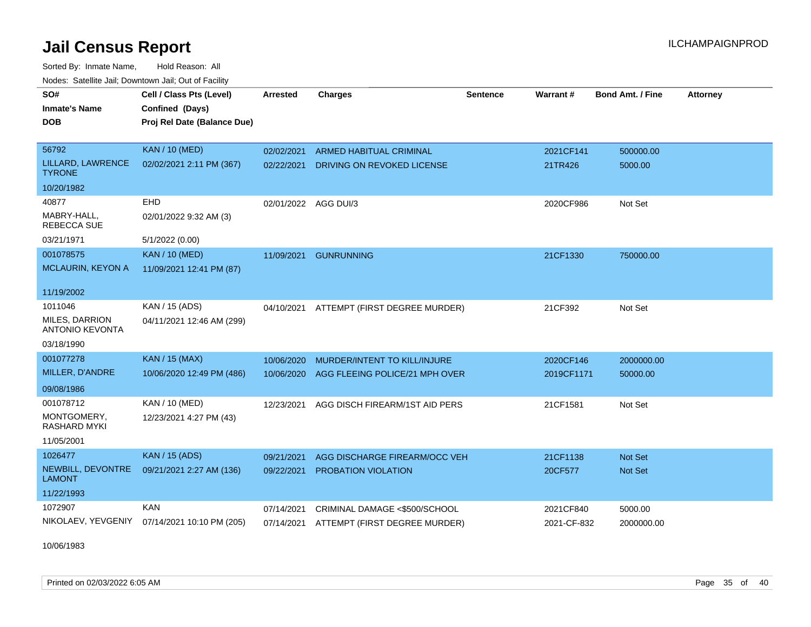Sorted By: Inmate Name, Hold Reason: All Nodes: Satellite Jail; Downtown Jail; Out of Facility

| SO#                                      | Cell / Class Pts (Level)    | <b>Arrested</b>      | <b>Charges</b>                           | <b>Sentence</b> | Warrant#    | <b>Bond Amt. / Fine</b> | <b>Attorney</b> |
|------------------------------------------|-----------------------------|----------------------|------------------------------------------|-----------------|-------------|-------------------------|-----------------|
| <b>Inmate's Name</b>                     | Confined (Days)             |                      |                                          |                 |             |                         |                 |
| <b>DOB</b>                               | Proj Rel Date (Balance Due) |                      |                                          |                 |             |                         |                 |
|                                          |                             |                      |                                          |                 |             |                         |                 |
| 56792                                    | <b>KAN / 10 (MED)</b>       | 02/02/2021           | <b>ARMED HABITUAL CRIMINAL</b>           |                 | 2021CF141   | 500000.00               |                 |
| LILLARD, LAWRENCE<br><b>TYRONE</b>       | 02/02/2021 2:11 PM (367)    | 02/22/2021           | DRIVING ON REVOKED LICENSE               |                 | 21TR426     | 5000.00                 |                 |
| 10/20/1982                               |                             |                      |                                          |                 |             |                         |                 |
| 40877                                    | EHD                         | 02/01/2022 AGG DUI/3 |                                          |                 | 2020CF986   | Not Set                 |                 |
| MABRY-HALL.<br><b>REBECCA SUE</b>        | 02/01/2022 9:32 AM (3)      |                      |                                          |                 |             |                         |                 |
| 03/21/1971                               | 5/1/2022 (0.00)             |                      |                                          |                 |             |                         |                 |
| 001078575                                | <b>KAN / 10 (MED)</b>       | 11/09/2021           | <b>GUNRUNNING</b>                        |                 | 21CF1330    | 750000.00               |                 |
| MCLAURIN, KEYON A                        | 11/09/2021 12:41 PM (87)    |                      |                                          |                 |             |                         |                 |
| 11/19/2002                               |                             |                      |                                          |                 |             |                         |                 |
| 1011046                                  | KAN / 15 (ADS)              | 04/10/2021           | ATTEMPT (FIRST DEGREE MURDER)            |                 | 21CF392     | Not Set                 |                 |
| MILES, DARRION<br><b>ANTONIO KEVONTA</b> | 04/11/2021 12:46 AM (299)   |                      |                                          |                 |             |                         |                 |
| 03/18/1990                               |                             |                      |                                          |                 |             |                         |                 |
| 001077278                                | <b>KAN / 15 (MAX)</b>       | 10/06/2020           | MURDER/INTENT TO KILL/INJURE             |                 | 2020CF146   | 2000000.00              |                 |
| MILLER, D'ANDRE                          | 10/06/2020 12:49 PM (486)   | 10/06/2020           | AGG FLEEING POLICE/21 MPH OVER           |                 | 2019CF1171  | 50000.00                |                 |
| 09/08/1986                               |                             |                      |                                          |                 |             |                         |                 |
| 001078712                                | KAN / 10 (MED)              | 12/23/2021           | AGG DISCH FIREARM/1ST AID PERS           |                 | 21CF1581    | Not Set                 |                 |
| MONTGOMERY,<br><b>RASHARD MYKI</b>       | 12/23/2021 4:27 PM (43)     |                      |                                          |                 |             |                         |                 |
| 11/05/2001                               |                             |                      |                                          |                 |             |                         |                 |
| 1026477                                  | <b>KAN / 15 (ADS)</b>       | 09/21/2021           | AGG DISCHARGE FIREARM/OCC VEH            |                 | 21CF1138    | <b>Not Set</b>          |                 |
| NEWBILL, DEVONTRE<br><b>LAMONT</b>       | 09/21/2021 2:27 AM (136)    | 09/22/2021           | PROBATION VIOLATION                      |                 | 20CF577     | Not Set                 |                 |
| 11/22/1993                               |                             |                      |                                          |                 |             |                         |                 |
| 1072907                                  | <b>KAN</b>                  | 07/14/2021           | CRIMINAL DAMAGE <\$500/SCHOOL            |                 | 2021CF840   | 5000.00                 |                 |
| NIKOLAEV, YEVGENIY                       | 07/14/2021 10:10 PM (205)   |                      | 07/14/2021 ATTEMPT (FIRST DEGREE MURDER) |                 | 2021-CF-832 | 2000000.00              |                 |

10/06/1983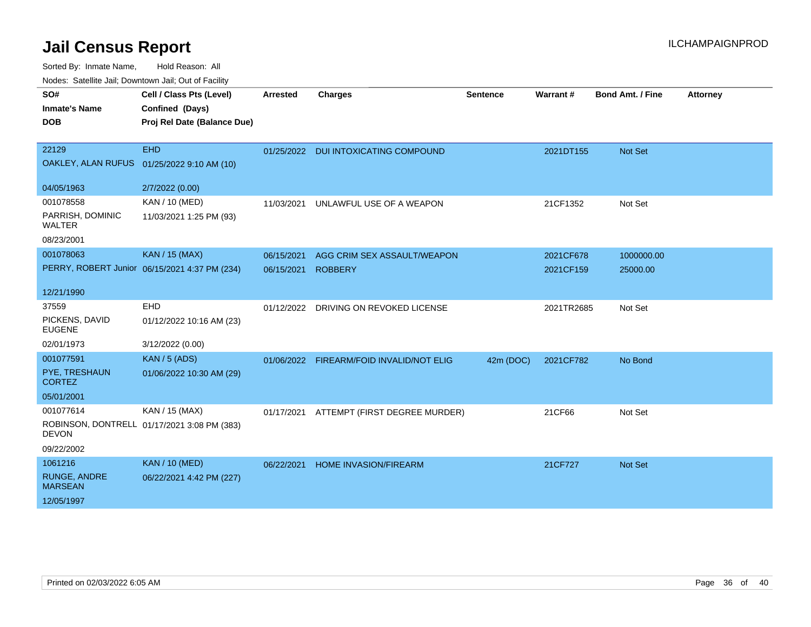| wacs. Calcinic Jan, Downtown Jan, Out of Facility |                                               |            |                                          |                 |            |                         |                 |  |
|---------------------------------------------------|-----------------------------------------------|------------|------------------------------------------|-----------------|------------|-------------------------|-----------------|--|
| SO#                                               | Cell / Class Pts (Level)                      | Arrested   | <b>Charges</b>                           | <b>Sentence</b> | Warrant#   | <b>Bond Amt. / Fine</b> | <b>Attorney</b> |  |
| <b>Inmate's Name</b>                              | Confined (Days)                               |            |                                          |                 |            |                         |                 |  |
| <b>DOB</b>                                        | Proj Rel Date (Balance Due)                   |            |                                          |                 |            |                         |                 |  |
|                                                   |                                               |            |                                          |                 |            |                         |                 |  |
| 22129                                             | <b>EHD</b>                                    |            | 01/25/2022 DUI INTOXICATING COMPOUND     |                 | 2021DT155  | Not Set                 |                 |  |
|                                                   | OAKLEY, ALAN RUFUS 01/25/2022 9:10 AM (10)    |            |                                          |                 |            |                         |                 |  |
|                                                   |                                               |            |                                          |                 |            |                         |                 |  |
| 04/05/1963                                        | 2/7/2022 (0.00)                               |            |                                          |                 |            |                         |                 |  |
| 001078558                                         | KAN / 10 (MED)                                | 11/03/2021 | UNLAWFUL USE OF A WEAPON                 |                 | 21CF1352   | Not Set                 |                 |  |
| PARRISH, DOMINIC<br>WALTER                        | 11/03/2021 1:25 PM (93)                       |            |                                          |                 |            |                         |                 |  |
| 08/23/2001                                        |                                               |            |                                          |                 |            |                         |                 |  |
| 001078063                                         | <b>KAN / 15 (MAX)</b>                         | 06/15/2021 | AGG CRIM SEX ASSAULT/WEAPON              |                 | 2021CF678  | 1000000.00              |                 |  |
|                                                   | PERRY, ROBERT Junior 06/15/2021 4:37 PM (234) | 06/15/2021 | <b>ROBBERY</b>                           |                 | 2021CF159  | 25000.00                |                 |  |
|                                                   |                                               |            |                                          |                 |            |                         |                 |  |
| 12/21/1990                                        |                                               |            |                                          |                 |            |                         |                 |  |
| 37559                                             | EHD                                           |            | 01/12/2022 DRIVING ON REVOKED LICENSE    |                 | 2021TR2685 | Not Set                 |                 |  |
| PICKENS, DAVID<br><b>EUGENE</b>                   | 01/12/2022 10:16 AM (23)                      |            |                                          |                 |            |                         |                 |  |
| 02/01/1973                                        | 3/12/2022 (0.00)                              |            |                                          |                 |            |                         |                 |  |
| 001077591                                         | <b>KAN / 5 (ADS)</b>                          |            | 01/06/2022 FIREARM/FOID INVALID/NOT ELIG | 42m (DOC)       | 2021CF782  | No Bond                 |                 |  |
| PYE, TRESHAUN<br><b>CORTEZ</b>                    | 01/06/2022 10:30 AM (29)                      |            |                                          |                 |            |                         |                 |  |
| 05/01/2001                                        |                                               |            |                                          |                 |            |                         |                 |  |
| 001077614                                         | KAN / 15 (MAX)                                | 01/17/2021 | ATTEMPT (FIRST DEGREE MURDER)            |                 | 21CF66     | Not Set                 |                 |  |
| <b>DEVON</b>                                      | ROBINSON, DONTRELL 01/17/2021 3:08 PM (383)   |            |                                          |                 |            |                         |                 |  |
| 09/22/2002                                        |                                               |            |                                          |                 |            |                         |                 |  |
| 1061216                                           | <b>KAN / 10 (MED)</b>                         | 06/22/2021 | <b>HOME INVASION/FIREARM</b>             |                 | 21CF727    | Not Set                 |                 |  |
| <b>RUNGE, ANDRE</b><br><b>MARSEAN</b>             | 06/22/2021 4:42 PM (227)                      |            |                                          |                 |            |                         |                 |  |
| 12/05/1997                                        |                                               |            |                                          |                 |            |                         |                 |  |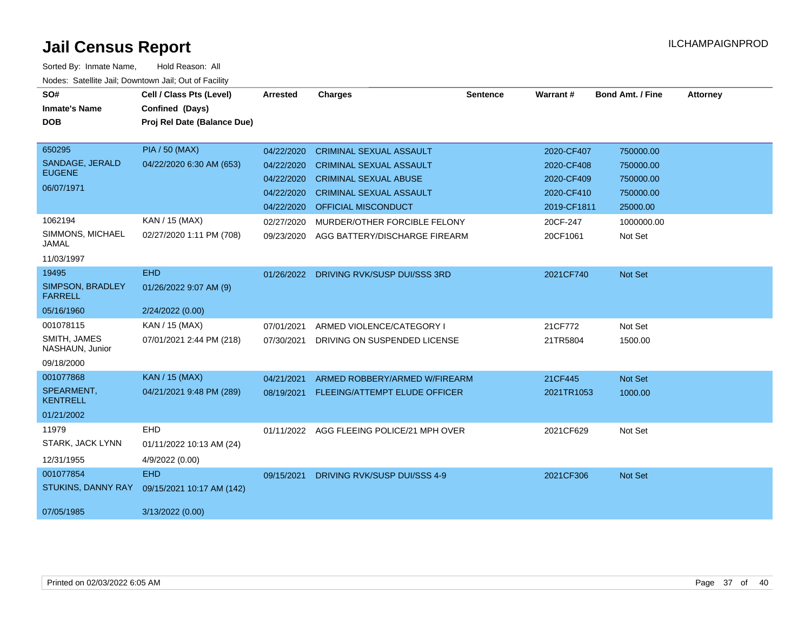| SO#<br><b>Inmate's Name</b>        | Cell / Class Pts (Level)<br>Confined (Days) | Arrested   | <b>Charges</b>                            | <b>Sentence</b> | <b>Warrant#</b> | <b>Bond Amt. / Fine</b> | <b>Attorney</b> |
|------------------------------------|---------------------------------------------|------------|-------------------------------------------|-----------------|-----------------|-------------------------|-----------------|
| <b>DOB</b>                         | Proj Rel Date (Balance Due)                 |            |                                           |                 |                 |                         |                 |
|                                    |                                             |            |                                           |                 |                 |                         |                 |
| 650295                             | <b>PIA / 50 (MAX)</b>                       | 04/22/2020 | <b>CRIMINAL SEXUAL ASSAULT</b>            |                 | 2020-CF407      | 750000.00               |                 |
| SANDAGE, JERALD<br><b>EUGENE</b>   | 04/22/2020 6:30 AM (653)                    | 04/22/2020 | <b>CRIMINAL SEXUAL ASSAULT</b>            |                 | 2020-CF408      | 750000.00               |                 |
|                                    |                                             | 04/22/2020 | <b>CRIMINAL SEXUAL ABUSE</b>              |                 | 2020-CF409      | 750000.00               |                 |
| 06/07/1971                         |                                             | 04/22/2020 | <b>CRIMINAL SEXUAL ASSAULT</b>            |                 | 2020-CF410      | 750000.00               |                 |
|                                    |                                             | 04/22/2020 | <b>OFFICIAL MISCONDUCT</b>                |                 | 2019-CF1811     | 25000.00                |                 |
| 1062194                            | KAN / 15 (MAX)                              | 02/27/2020 | MURDER/OTHER FORCIBLE FELONY              |                 | 20CF-247        | 1000000.00              |                 |
| SIMMONS, MICHAEL<br><b>JAMAL</b>   | 02/27/2020 1:11 PM (708)                    | 09/23/2020 | AGG BATTERY/DISCHARGE FIREARM             |                 | 20CF1061        | Not Set                 |                 |
| 11/03/1997                         |                                             |            |                                           |                 |                 |                         |                 |
| 19495                              | <b>EHD</b>                                  | 01/26/2022 | DRIVING RVK/SUSP DUI/SSS 3RD              |                 | 2021CF740       | Not Set                 |                 |
| SIMPSON, BRADLEY<br><b>FARRELL</b> | 01/26/2022 9:07 AM (9)                      |            |                                           |                 |                 |                         |                 |
| 05/16/1960                         | 2/24/2022 (0.00)                            |            |                                           |                 |                 |                         |                 |
| 001078115                          | KAN / 15 (MAX)                              | 07/01/2021 | ARMED VIOLENCE/CATEGORY I                 |                 | 21CF772         | Not Set                 |                 |
| SMITH, JAMES<br>NASHAUN, Junior    | 07/01/2021 2:44 PM (218)                    | 07/30/2021 | DRIVING ON SUSPENDED LICENSE              |                 | 21TR5804        | 1500.00                 |                 |
| 09/18/2000                         |                                             |            |                                           |                 |                 |                         |                 |
| 001077868                          | <b>KAN / 15 (MAX)</b>                       | 04/21/2021 | ARMED ROBBERY/ARMED W/FIREARM             |                 | 21CF445         | Not Set                 |                 |
| SPEARMENT,<br><b>KENTRELL</b>      | 04/21/2021 9:48 PM (289)                    | 08/19/2021 | FLEEING/ATTEMPT ELUDE OFFICER             |                 | 2021TR1053      | 1000.00                 |                 |
| 01/21/2002                         |                                             |            |                                           |                 |                 |                         |                 |
| 11979                              | EHD                                         |            | 01/11/2022 AGG FLEEING POLICE/21 MPH OVER |                 | 2021CF629       | Not Set                 |                 |
| STARK, JACK LYNN                   | 01/11/2022 10:13 AM (24)                    |            |                                           |                 |                 |                         |                 |
| 12/31/1955                         | 4/9/2022 (0.00)                             |            |                                           |                 |                 |                         |                 |
| 001077854                          | <b>EHD</b>                                  | 09/15/2021 | DRIVING RVK/SUSP DUI/SSS 4-9              |                 | 2021CF306       | Not Set                 |                 |
| <b>STUKINS, DANNY RAY</b>          | 09/15/2021 10:17 AM (142)                   |            |                                           |                 |                 |                         |                 |
| 07/05/1985                         | 3/13/2022 (0.00)                            |            |                                           |                 |                 |                         |                 |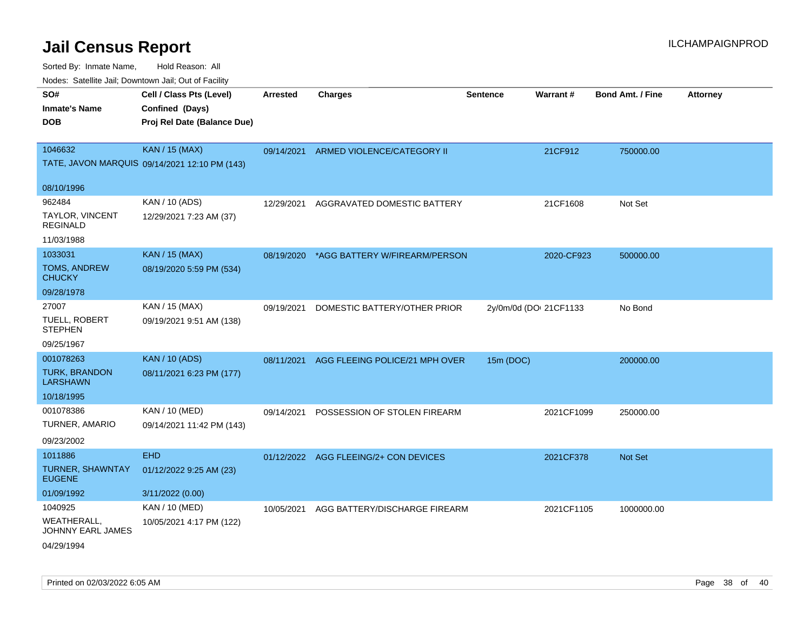| rouco. Calcillo Jali, Downtown Jali, Out of Facility   |                                                                            |                 |                                          |                 |                        |                         |                 |
|--------------------------------------------------------|----------------------------------------------------------------------------|-----------------|------------------------------------------|-----------------|------------------------|-------------------------|-----------------|
| SO#<br>Inmate's Name<br><b>DOB</b>                     | Cell / Class Pts (Level)<br>Confined (Days)<br>Proj Rel Date (Balance Due) | <b>Arrested</b> | <b>Charges</b>                           | <b>Sentence</b> | Warrant#               | <b>Bond Amt. / Fine</b> | <b>Attorney</b> |
| 1046632                                                | <b>KAN / 15 (MAX)</b><br>TATE, JAVON MARQUIS 09/14/2021 12:10 PM (143)     | 09/14/2021      | ARMED VIOLENCE/CATEGORY II               |                 | 21CF912                | 750000.00               |                 |
| 08/10/1996                                             |                                                                            |                 |                                          |                 |                        |                         |                 |
| 962484<br>TAYLOR, VINCENT<br>REGINALD                  | KAN / 10 (ADS)<br>12/29/2021 7:23 AM (37)                                  | 12/29/2021      | AGGRAVATED DOMESTIC BATTERY              |                 | 21CF1608               | Not Set                 |                 |
| 11/03/1988<br>1033031                                  |                                                                            |                 |                                          |                 |                        |                         |                 |
| TOMS, ANDREW<br>CHUCKY                                 | <b>KAN / 15 (MAX)</b><br>08/19/2020 5:59 PM (534)                          |                 | 08/19/2020 *AGG BATTERY W/FIREARM/PERSON |                 | 2020-CF923             | 500000.00               |                 |
| 09/28/1978                                             |                                                                            |                 |                                          |                 |                        |                         |                 |
| 27007<br>TUELL, ROBERT<br><b>STEPHEN</b><br>09/25/1967 | KAN / 15 (MAX)<br>09/19/2021 9:51 AM (138)                                 | 09/19/2021      | DOMESTIC BATTERY/OTHER PRIOR             |                 | 2y/0m/0d (DOI 21CF1133 | No Bond                 |                 |
| 001078263                                              | <b>KAN / 10 (ADS)</b>                                                      | 08/11/2021      | AGG FLEEING POLICE/21 MPH OVER           | 15m (DOC)       |                        | 200000.00               |                 |
| <b>TURK, BRANDON</b><br>LARSHAWN                       | 08/11/2021 6:23 PM (177)                                                   |                 |                                          |                 |                        |                         |                 |
| 10/18/1995                                             |                                                                            |                 |                                          |                 |                        |                         |                 |
| 001078386<br>TURNER, AMARIO<br>09/23/2002              | KAN / 10 (MED)<br>09/14/2021 11:42 PM (143)                                | 09/14/2021      | POSSESSION OF STOLEN FIREARM             |                 | 2021CF1099             | 250000.00               |                 |
| 1011886                                                | <b>EHD</b>                                                                 |                 | 01/12/2022 AGG FLEEING/2+ CON DEVICES    |                 | 2021CF378              | <b>Not Set</b>          |                 |
| TURNER, SHAWNTAY<br><b>EUGENE</b>                      | 01/12/2022 9:25 AM (23)                                                    |                 |                                          |                 |                        |                         |                 |
| 01/09/1992                                             | 3/11/2022 (0.00)                                                           |                 |                                          |                 |                        |                         |                 |
| 1040925                                                | KAN / 10 (MED)                                                             | 10/05/2021      | AGG BATTERY/DISCHARGE FIREARM            |                 | 2021CF1105             | 1000000.00              |                 |
| WEATHERALL.<br>JOHNNY EARL JAMES<br>04/29/1994         | 10/05/2021 4:17 PM (122)                                                   |                 |                                          |                 |                        |                         |                 |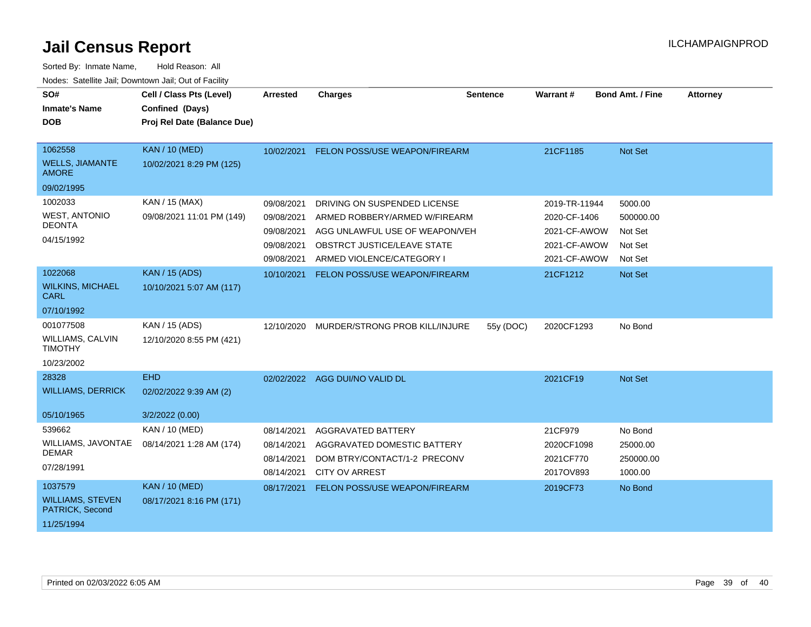| SO#<br><b>Inmate's Name</b><br><b>DOB</b>                            | Cell / Class Pts (Level)<br>Confined (Days)<br>Proj Rel Date (Balance Due) | <b>Arrested</b>                                                    | <b>Charges</b>                                                                                                                                              | <b>Sentence</b> | Warrant#                                                                      | <b>Bond Amt. / Fine</b>                               | <b>Attorney</b> |
|----------------------------------------------------------------------|----------------------------------------------------------------------------|--------------------------------------------------------------------|-------------------------------------------------------------------------------------------------------------------------------------------------------------|-----------------|-------------------------------------------------------------------------------|-------------------------------------------------------|-----------------|
| 1062558<br><b>WELLS, JIAMANTE</b><br><b>AMORE</b>                    | <b>KAN / 10 (MED)</b><br>10/02/2021 8:29 PM (125)                          | 10/02/2021                                                         | FELON POSS/USE WEAPON/FIREARM                                                                                                                               |                 | 21CF1185                                                                      | Not Set                                               |                 |
| 09/02/1995                                                           |                                                                            |                                                                    |                                                                                                                                                             |                 |                                                                               |                                                       |                 |
| 1002033<br><b>WEST, ANTONIO</b><br><b>DEONTA</b><br>04/15/1992       | KAN / 15 (MAX)<br>09/08/2021 11:01 PM (149)                                | 09/08/2021<br>09/08/2021<br>09/08/2021<br>09/08/2021<br>09/08/2021 | DRIVING ON SUSPENDED LICENSE<br>ARMED ROBBERY/ARMED W/FIREARM<br>AGG UNLAWFUL USE OF WEAPON/VEH<br>OBSTRCT JUSTICE/LEAVE STATE<br>ARMED VIOLENCE/CATEGORY I |                 | 2019-TR-11944<br>2020-CF-1406<br>2021-CF-AWOW<br>2021-CF-AWOW<br>2021-CF-AWOW | 5000.00<br>500000.00<br>Not Set<br>Not Set<br>Not Set |                 |
| 1022068                                                              | <b>KAN / 15 (ADS)</b>                                                      | 10/10/2021                                                         | <b>FELON POSS/USE WEAPON/FIREARM</b>                                                                                                                        |                 | 21CF1212                                                                      | Not Set                                               |                 |
| <b>WILKINS, MICHAEL</b><br><b>CARL</b>                               | 10/10/2021 5:07 AM (117)                                                   |                                                                    |                                                                                                                                                             |                 |                                                                               |                                                       |                 |
| 07/10/1992                                                           |                                                                            |                                                                    |                                                                                                                                                             |                 |                                                                               |                                                       |                 |
| 001077508<br><b>WILLIAMS, CALVIN</b><br><b>TIMOTHY</b><br>10/23/2002 | KAN / 15 (ADS)<br>12/10/2020 8:55 PM (421)                                 | 12/10/2020                                                         | MURDER/STRONG PROB KILL/INJURE                                                                                                                              | 55y (DOC)       | 2020CF1293                                                                    | No Bond                                               |                 |
| 28328                                                                | <b>EHD</b>                                                                 |                                                                    | 02/02/2022 AGG DUI/NO VALID DL                                                                                                                              |                 | 2021CF19                                                                      | Not Set                                               |                 |
| <b>WILLIAMS, DERRICK</b><br>05/10/1965                               | 02/02/2022 9:39 AM (2)<br>3/2/2022 (0.00)                                  |                                                                    |                                                                                                                                                             |                 |                                                                               |                                                       |                 |
| 539662<br>WILLIAMS, JAVONTAE<br><b>DEMAR</b><br>07/28/1991           | KAN / 10 (MED)<br>08/14/2021 1:28 AM (174)                                 | 08/14/2021<br>08/14/2021<br>08/14/2021<br>08/14/2021               | <b>AGGRAVATED BATTERY</b><br>AGGRAVATED DOMESTIC BATTERY<br>DOM BTRY/CONTACT/1-2 PRECONV<br><b>CITY OV ARREST</b>                                           |                 | 21CF979<br>2020CF1098<br>2021CF770<br>2017OV893                               | No Bond<br>25000.00<br>250000.00<br>1000.00           |                 |
| 1037579<br><b>WILLIAMS, STEVEN</b><br>PATRICK, Second<br>11/25/1994  | <b>KAN / 10 (MED)</b><br>08/17/2021 8:16 PM (171)                          | 08/17/2021                                                         | FELON POSS/USE WEAPON/FIREARM                                                                                                                               |                 | 2019CF73                                                                      | No Bond                                               |                 |